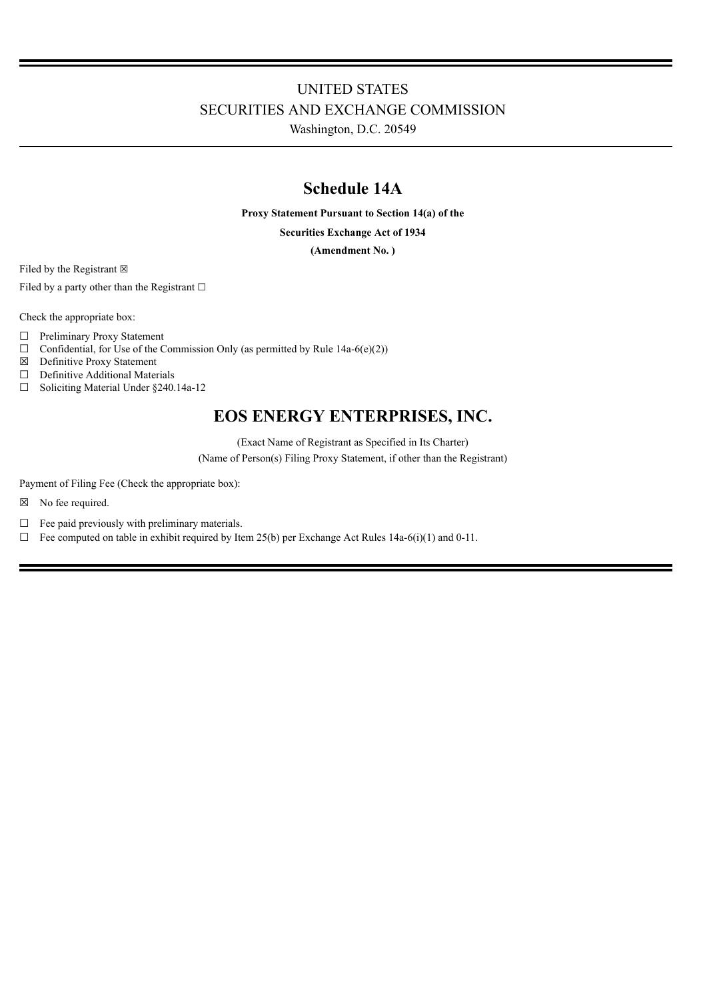# UNITED STATES SECURITIES AND EXCHANGE COMMISSION

Washington, D.C. 20549

# **Schedule 14A**

**Proxy Statement Pursuant to Section 14(a) of the**

**Securities Exchange Act of 1934**

**(Amendment No. )**

Filed by the Registrant  $\boxtimes$ 

Filed by a party other than the Registrant  $□$ 

Check the appropriate box:

- ☐ Preliminary Proxy Statement
- $\Box$  Confidential, for Use of the Commission Only (as permitted by Rule 14a-6(e)(2))
- ☒ Definitive Proxy Statement
- ☐ Definitive Additional Materials
- ☐ Soliciting Material Under §240.14a-12

# **EOS ENERGY ENTERPRISES, INC.**

(Exact Name of Registrant as Specified in Its Charter)

(Name of Person(s) Filing Proxy Statement, if other than the Registrant)

Payment of Filing Fee (Check the appropriate box):

- ☒ No fee required.
- $\Box$  Fee paid previously with preliminary materials.
- $\Box$  Fee computed on table in exhibit required by Item 25(b) per Exchange Act Rules 14a-6(i)(1) and 0-11.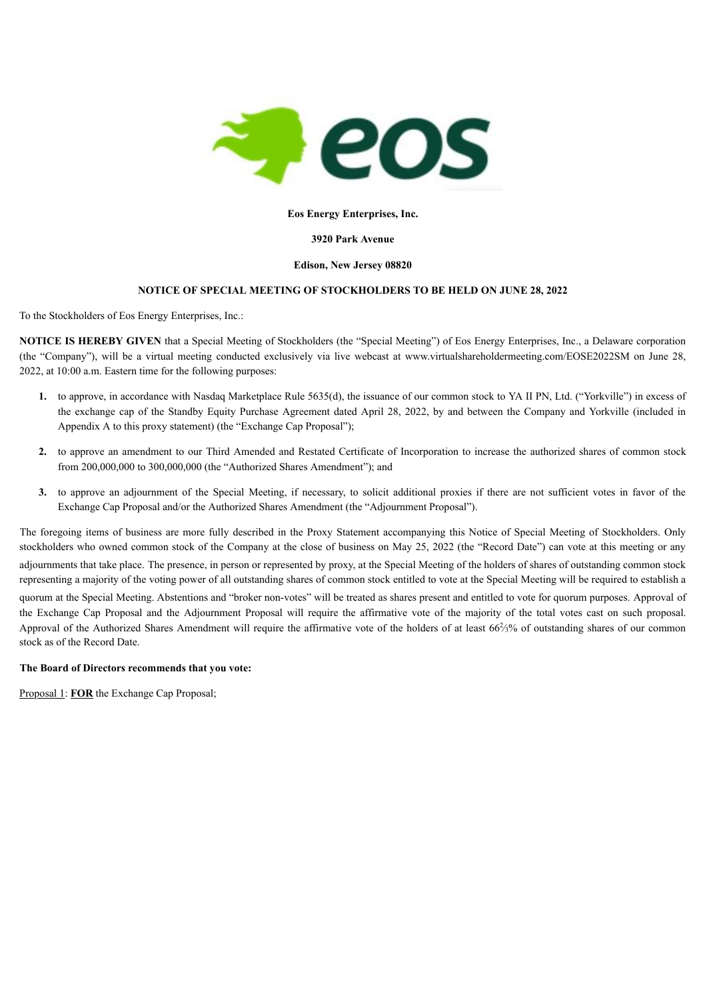

# **Eos Energy Enterprises, Inc.**

# **3920 Park Avenue**

# **Edison, New Jersey 08820**

# **NOTICE OF SPECIAL MEETING OF STOCKHOLDERS TO BE HELD ON JUNE 28, 2022**

To the Stockholders of Eos Energy Enterprises, Inc.:

**NOTICE IS HEREBY GIVEN** that a Special Meeting of Stockholders (the "Special Meeting") of Eos Energy Enterprises, Inc., a Delaware corporation (the "Company"), will be a virtual meeting conducted exclusively via live webcast at www.virtualshareholdermeeting.com/EOSE2022SM on June 28, 2022, at 10:00 a.m. Eastern time for the following purposes:

- **1.** to approve, in accordance with Nasdaq Marketplace Rule 5635(d), the issuance of our common stock to YA II PN, Ltd. ("Yorkville") in excess of the exchange cap of the Standby Equity Purchase Agreement dated April 28, 2022, by and between the Company and Yorkville (included in Appendix A to this proxy statement) (the "Exchange Cap Proposal");
- **2.** to approve an amendment to our Third Amended and Restated Certificate of Incorporation to increase the authorized shares of common stock from 200,000,000 to 300,000,000 (the "Authorized Shares Amendment"); and
- **3.** to approve an adjournment of the Special Meeting, if necessary, to solicit additional proxies if there are not sufficient votes in favor of the Exchange Cap Proposal and/or the Authorized Shares Amendment (the "Adjournment Proposal").

The foregoing items of business are more fully described in the Proxy Statement accompanying this Notice of Special Meeting of Stockholders. Only stockholders who owned common stock of the Company at the close of business on May 25, 2022 (the "Record Date") can vote at this meeting or any adjournments that take place. The presence, in person or represented by proxy, at the Special Meeting of the holders of shares of outstanding common stock representing a majority of the voting power of all outstanding shares of common stock entitled to vote at the Special Meeting will be required to establish a quorum at the Special Meeting. Abstentions and "broker non-votes" will be treated as shares present and entitled to vote for quorum purposes. Approval of the Exchange Cap Proposal and the Adjournment Proposal will require the affirmative vote of the majority of the total votes cast on such proposal. Approval of the Authorized Shares Amendment will require the affirmative vote of the holders of at least  $66\frac{2}{3}\%$  of outstanding shares of our common stock as of the Record Date.

# **The Board of Directors recommends that you vote:**

Proposal 1: **FOR** the Exchange Cap Proposal;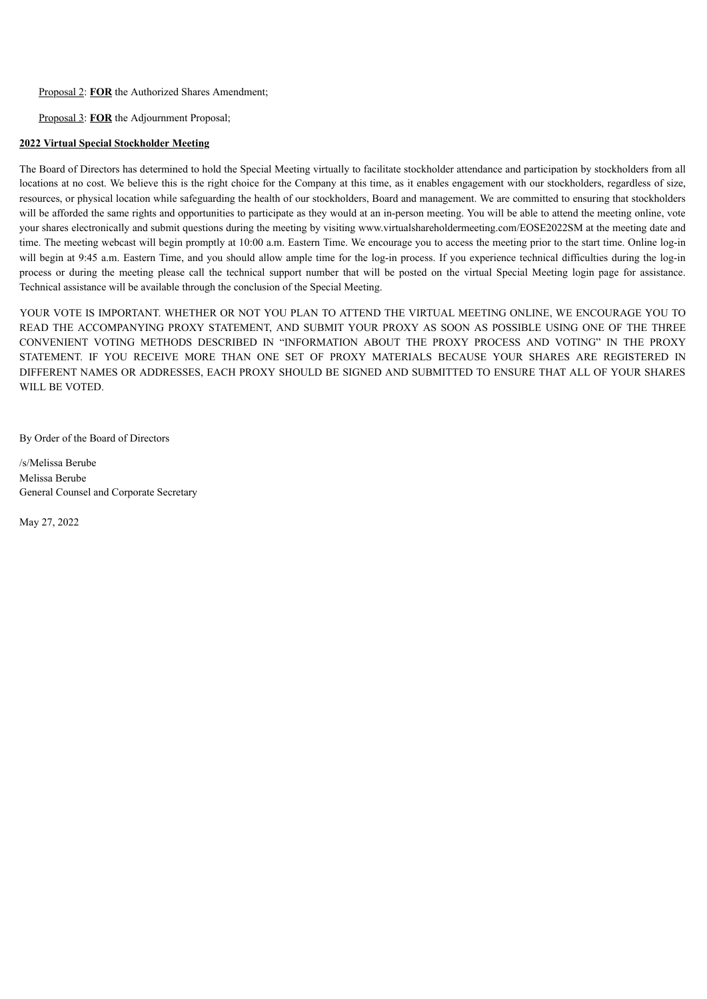Proposal 2: **FOR** the Authorized Shares Amendment;

Proposal 3: **FOR** the Adjournment Proposal;

# **2022 Virtual Special Stockholder Meeting**

The Board of Directors has determined to hold the Special Meeting virtually to facilitate stockholder attendance and participation by stockholders from all locations at no cost. We believe this is the right choice for the Company at this time, as it enables engagement with our stockholders, regardless of size, resources, or physical location while safeguarding the health of our stockholders, Board and management. We are committed to ensuring that stockholders will be afforded the same rights and opportunities to participate as they would at an in-person meeting. You will be able to attend the meeting online, vote your shares electronically and submit questions during the meeting by visiting www.virtualshareholdermeeting.com/EOSE2022SM at the meeting date and time. The meeting webcast will begin promptly at 10:00 a.m. Eastern Time. We encourage you to access the meeting prior to the start time. Online log-in will begin at 9:45 a.m. Eastern Time, and you should allow ample time for the log-in process. If you experience technical difficulties during the log-in process or during the meeting please call the technical support number that will be posted on the virtual Special Meeting login page for assistance. Technical assistance will be available through the conclusion of the Special Meeting.

YOUR VOTE IS IMPORTANT. WHETHER OR NOT YOU PLAN TO ATTEND THE VIRTUAL MEETING ONLINE, WE ENCOURAGE YOU TO READ THE ACCOMPANYING PROXY STATEMENT, AND SUBMIT YOUR PROXY AS SOON AS POSSIBLE USING ONE OF THE THREE CONVENIENT VOTING METHODS DESCRIBED IN "INFORMATION ABOUT THE PROXY PROCESS AND VOTING" IN THE PROXY STATEMENT. IF YOU RECEIVE MORE THAN ONE SET OF PROXY MATERIALS BECAUSE YOUR SHARES ARE REGISTERED IN DIFFERENT NAMES OR ADDRESSES, EACH PROXY SHOULD BE SIGNED AND SUBMITTED TO ENSURE THAT ALL OF YOUR SHARES WILL BE VOTED.

By Order of the Board of Directors

/s/Melissa Berube Melissa Berube General Counsel and Corporate Secretary

<span id="page-2-0"></span>May 27, 2022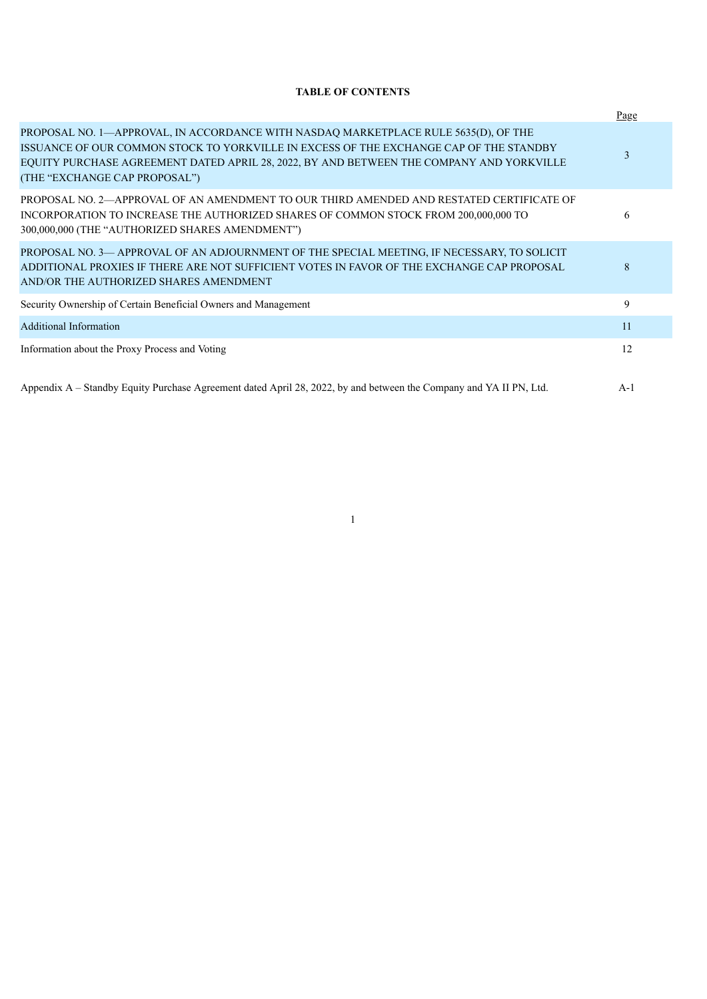# **TABLE OF CONTENTS**

|                                                                                                                                                                                                                                                                                                            | Page  |
|------------------------------------------------------------------------------------------------------------------------------------------------------------------------------------------------------------------------------------------------------------------------------------------------------------|-------|
| PROPOSAL NO. 1—APPROVAL, IN ACCORDANCE WITH NASDAQ MARKETPLACE RULE 5635(D), OF THE<br>ISSUANCE OF OUR COMMON STOCK TO YORKVILLE IN EXCESS OF THE EXCHANGE CAP OF THE STANDBY<br>EQUITY PURCHASE AGREEMENT DATED APRIL 28, 2022, BY AND BETWEEN THE COMPANY AND YORKVILLE<br>(THE "EXCHANGE CAP PROPOSAL") | 3     |
| PROPOSAL NO. 2—APPROVAL OF AN AMENDMENT TO OUR THIRD AMENDED AND RESTATED CERTIFICATE OF<br>INCORPORATION TO INCREASE THE AUTHORIZED SHARES OF COMMON STOCK FROM 200,000,000 TO<br>300,000,000 (THE "AUTHORIZED SHARES AMENDMENT")                                                                         | 6     |
| PROPOSAL NO. 3— APPROVAL OF AN ADJOURNMENT OF THE SPECIAL MEETING, IF NECESSARY, TO SOLICIT<br>ADDITIONAL PROXIES IF THERE ARE NOT SUFFICIENT VOTES IN FAVOR OF THE EXCHANGE CAP PROPOSAL<br>AND/OR THE AUTHORIZED SHARES AMENDMENT                                                                        | 8     |
| Security Ownership of Certain Beneficial Owners and Management                                                                                                                                                                                                                                             | 9     |
| Additional Information                                                                                                                                                                                                                                                                                     | 11    |
| Information about the Proxy Process and Voting                                                                                                                                                                                                                                                             | 12    |
| Appendix A – Standby Equity Purchase Agreement dated April 28, 2022, by and between the Company and YA II PN, Ltd.                                                                                                                                                                                         | $A-1$ |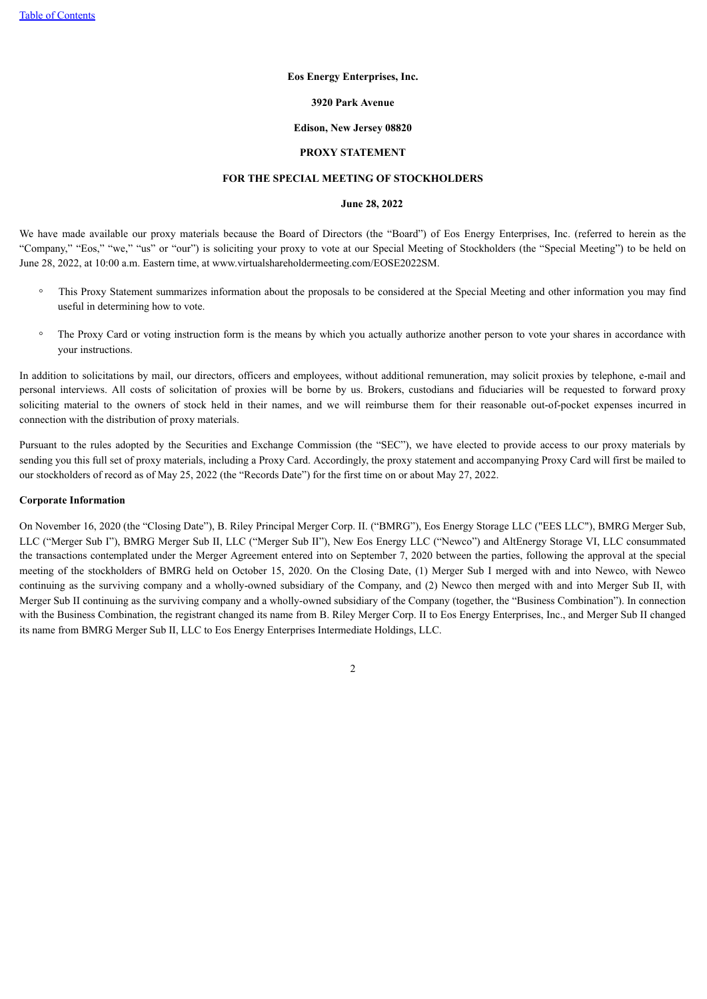#### **Eos Energy Enterprises, Inc.**

#### **3920 Park Avenue**

#### **Edison, New Jersey 08820**

# **PROXY STATEMENT**

#### **FOR THE SPECIAL MEETING OF STOCKHOLDERS**

# **June 28, 2022**

We have made available our proxy materials because the Board of Directors (the "Board") of Eos Energy Enterprises, Inc. (referred to herein as the "Company," "Eos," "we," "us" or "our") is soliciting your proxy to vote at our Special Meeting of Stockholders (the "Special Meeting") to be held on June 28, 2022, at 10:00 a.m. Eastern time, at www.virtualshareholdermeeting.com/EOSE2022SM.

- This Proxy Statement summarizes information about the proposals to be considered at the Special Meeting and other information you may find useful in determining how to vote.
- The Proxy Card or voting instruction form is the means by which you actually authorize another person to vote your shares in accordance with your instructions.

In addition to solicitations by mail, our directors, officers and employees, without additional remuneration, may solicit proxies by telephone, e-mail and personal interviews. All costs of solicitation of proxies will be borne by us. Brokers, custodians and fiduciaries will be requested to forward proxy soliciting material to the owners of stock held in their names, and we will reimburse them for their reasonable out-of-pocket expenses incurred in connection with the distribution of proxy materials.

Pursuant to the rules adopted by the Securities and Exchange Commission (the "SEC"), we have elected to provide access to our proxy materials by sending you this full set of proxy materials, including a Proxy Card. Accordingly, the proxy statement and accompanying Proxy Card will first be mailed to our stockholders of record as of May 25, 2022 (the "Records Date") for the first time on or about May 27, 2022.

#### **Corporate Information**

<span id="page-4-0"></span>On November 16, 2020 (the "Closing Date"), B. Riley Principal Merger Corp. II. ("BMRG"), Eos Energy Storage LLC ("EES LLC"), BMRG Merger Sub, LLC ("Merger Sub I"), BMRG Merger Sub II, LLC ("Merger Sub II"), New Eos Energy LLC ("Newco") and AltEnergy Storage VI, LLC consummated the transactions contemplated under the Merger Agreement entered into on September 7, 2020 between the parties, following the approval at the special meeting of the stockholders of BMRG held on October 15, 2020. On the Closing Date, (1) Merger Sub I merged with and into Newco, with Newco continuing as the surviving company and a wholly-owned subsidiary of the Company, and (2) Newco then merged with and into Merger Sub II, with Merger Sub II continuing as the surviving company and a wholly-owned subsidiary of the Company (together, the "Business Combination"). In connection with the Business Combination, the registrant changed its name from B. Riley Merger Corp. II to Eos Energy Enterprises, Inc., and Merger Sub II changed its name from BMRG Merger Sub II, LLC to Eos Energy Enterprises Intermediate Holdings, LLC.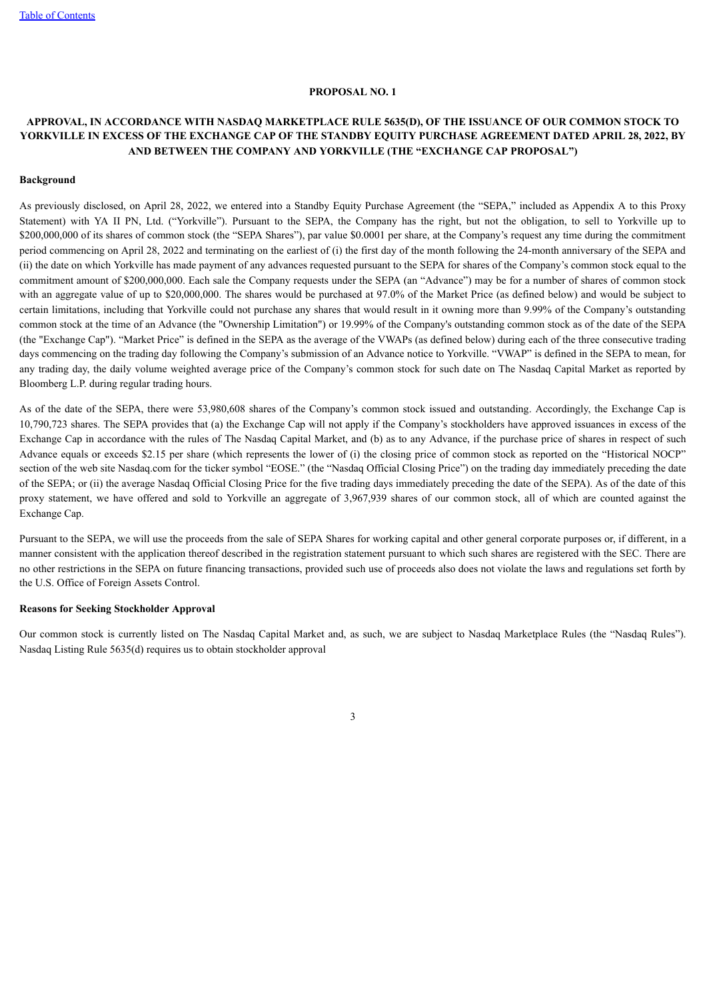#### **PROPOSAL NO. 1**

# **APPROVAL, IN ACCORDANCE WITH NASDAQ MARKETPLACE RULE 5635(D), OF THE ISSUANCE OF OUR COMMON STOCK TO** YORKVILLE IN EXCESS OF THE EXCHANGE CAP OF THE STANDBY EQUITY PURCHASE AGREEMENT DATED APRIL 28, 2022, BY **AND BETWEEN THE COMPANY AND YORKVILLE (THE "EXCHANGE CAP PROPOSAL")**

#### **Background**

As previously disclosed, on April 28, 2022, we entered into a Standby Equity Purchase Agreement (the "SEPA," included as Appendix A to this Proxy Statement) with YA II PN, Ltd. ("Yorkville"). Pursuant to the SEPA, the Company has the right, but not the obligation, to sell to Yorkville up to \$200,000,000 of its shares of common stock (the "SEPA Shares"), par value \$0.0001 per share, at the Company's request any time during the commitment period commencing on April 28, 2022 and terminating on the earliest of (i) the first day of the month following the 24-month anniversary of the SEPA and (ii) the date on which Yorkville has made payment of any advances requested pursuant to the SEPA for shares of the Company's common stock equal to the commitment amount of \$200,000,000. Each sale the Company requests under the SEPA (an "Advance") may be for a number of shares of common stock with an aggregate value of up to \$20,000,000. The shares would be purchased at 97.0% of the Market Price (as defined below) and would be subject to certain limitations, including that Yorkville could not purchase any shares that would result in it owning more than 9.99% of the Company's outstanding common stock at the time of an Advance (the "Ownership Limitation") or 19.99% of the Company's outstanding common stock as of the date of the SEPA (the "Exchange Cap"). "Market Price" is defined in the SEPA as the average of the VWAPs (as defined below) during each of the three consecutive trading days commencing on the trading day following the Company's submission of an Advance notice to Yorkville. "VWAP" is defined in the SEPA to mean, for any trading day, the daily volume weighted average price of the Company's common stock for such date on The Nasdaq Capital Market as reported by Bloomberg L.P. during regular trading hours.

As of the date of the SEPA, there were 53,980,608 shares of the Company's common stock issued and outstanding. Accordingly, the Exchange Cap is 10,790,723 shares. The SEPA provides that (a) the Exchange Cap will not apply if the Company's stockholders have approved issuances in excess of the Exchange Cap in accordance with the rules of The Nasdaq Capital Market, and (b) as to any Advance, if the purchase price of shares in respect of such Advance equals or exceeds \$2.15 per share (which represents the lower of (i) the closing price of common stock as reported on the "Historical NOCP" section of the web site Nasdaq.com for the ticker symbol "EOSE." (the "Nasdaq Official Closing Price") on the trading day immediately preceding the date of the SEPA; or (ii) the average Nasdaq Official Closing Price for the five trading days immediately preceding the date of the SEPA). As of the date of this proxy statement, we have offered and sold to Yorkville an aggregate of 3,967,939 shares of our common stock, all of which are counted against the Exchange Cap.

Pursuant to the SEPA, we will use the proceeds from the sale of SEPA Shares for working capital and other general corporate purposes or, if different, in a manner consistent with the application thereof described in the registration statement pursuant to which such shares are registered with the SEC. There are no other restrictions in the SEPA on future financing transactions, provided such use of proceeds also does not violate the laws and regulations set forth by the U.S. Office of Foreign Assets Control.

#### **Reasons for Seeking Stockholder Approval**

Our common stock is currently listed on The Nasdaq Capital Market and, as such, we are subject to Nasdaq Marketplace Rules (the "Nasdaq Rules"). Nasdaq Listing Rule 5635(d) requires us to obtain stockholder approval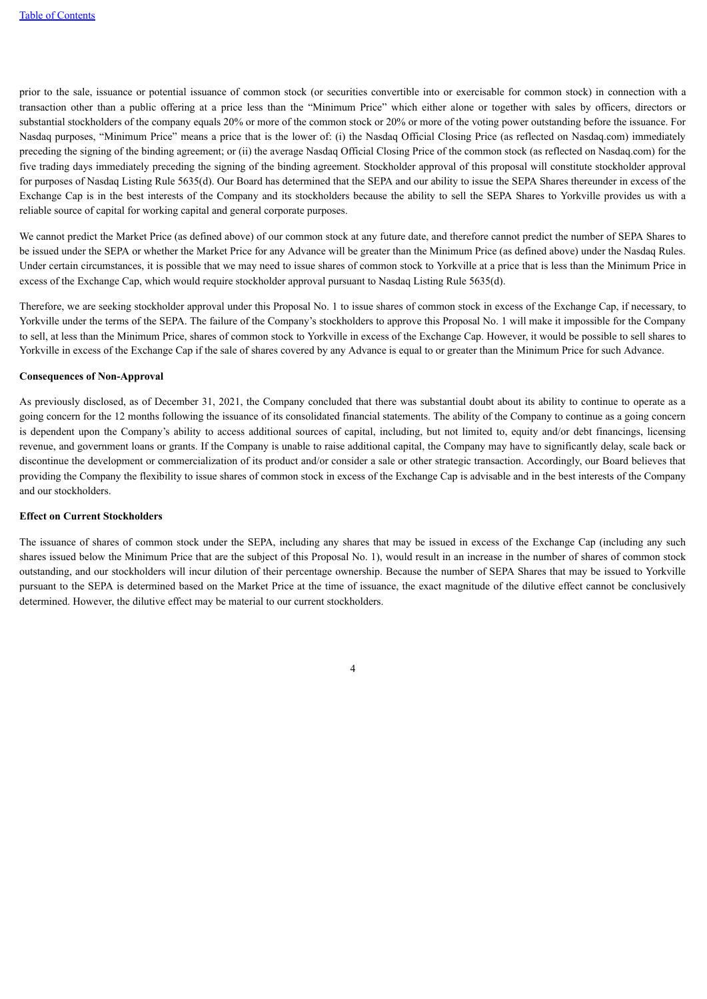prior to the sale, issuance or potential issuance of common stock (or securities convertible into or exercisable for common stock) in connection with a transaction other than a public offering at a price less than the "Minimum Price" which either alone or together with sales by officers, directors or substantial stockholders of the company equals 20% or more of the common stock or 20% or more of the voting power outstanding before the issuance. For Nasdaq purposes, "Minimum Price" means a price that is the lower of: (i) the Nasdaq Official Closing Price (as reflected on Nasdaq.com) immediately preceding the signing of the binding agreement; or (ii) the average Nasdaq Official Closing Price of the common stock (as reflected on Nasdaq.com) for the five trading days immediately preceding the signing of the binding agreement. Stockholder approval of this proposal will constitute stockholder approval for purposes of Nasdaq Listing Rule 5635(d). Our Board has determined that the SEPA and our ability to issue the SEPA Shares thereunder in excess of the Exchange Cap is in the best interests of the Company and its stockholders because the ability to sell the SEPA Shares to Yorkville provides us with a reliable source of capital for working capital and general corporate purposes.

We cannot predict the Market Price (as defined above) of our common stock at any future date, and therefore cannot predict the number of SEPA Shares to be issued under the SEPA or whether the Market Price for any Advance will be greater than the Minimum Price (as defined above) under the Nasdaq Rules. Under certain circumstances, it is possible that we may need to issue shares of common stock to Yorkville at a price that is less than the Minimum Price in excess of the Exchange Cap, which would require stockholder approval pursuant to Nasdaq Listing Rule 5635(d).

Therefore, we are seeking stockholder approval under this Proposal No. 1 to issue shares of common stock in excess of the Exchange Cap, if necessary, to Yorkville under the terms of the SEPA. The failure of the Company's stockholders to approve this Proposal No. 1 will make it impossible for the Company to sell, at less than the Minimum Price, shares of common stock to Yorkville in excess of the Exchange Cap. However, it would be possible to sell shares to Yorkville in excess of the Exchange Cap if the sale of shares covered by any Advance is equal to or greater than the Minimum Price for such Advance.

## **Consequences of Non-Approval**

As previously disclosed, as of December 31, 2021, the Company concluded that there was substantial doubt about its ability to continue to operate as a going concern for the 12 months following the issuance of its consolidated financial statements. The ability of the Company to continue as a going concern is dependent upon the Company's ability to access additional sources of capital, including, but not limited to, equity and/or debt financings, licensing revenue, and government loans or grants. If the Company is unable to raise additional capital, the Company may have to significantly delay, scale back or discontinue the development or commercialization of its product and/or consider a sale or other strategic transaction. Accordingly, our Board believes that providing the Company the flexibility to issue shares of common stock in excess of the Exchange Cap is advisable and in the best interests of the Company and our stockholders.

# **Effect on Current Stockholders**

The issuance of shares of common stock under the SEPA, including any shares that may be issued in excess of the Exchange Cap (including any such shares issued below the Minimum Price that are the subject of this Proposal No. 1), would result in an increase in the number of shares of common stock outstanding, and our stockholders will incur dilution of their percentage ownership. Because the number of SEPA Shares that may be issued to Yorkville pursuant to the SEPA is determined based on the Market Price at the time of issuance, the exact magnitude of the dilutive effect cannot be conclusively determined. However, the dilutive effect may be material to our current stockholders.

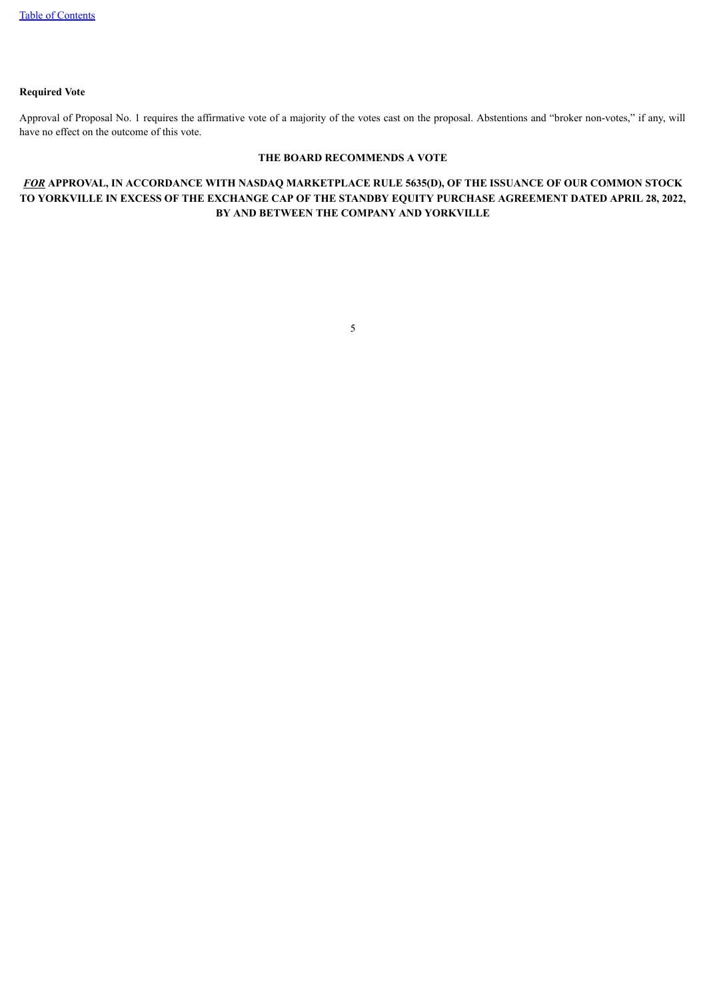# **Required Vote**

Approval of Proposal No. 1 requires the affirmative vote of a majority of the votes cast on the proposal. Abstentions and "broker non-votes," if any, will have no effect on the outcome of this vote.

# **THE BOARD RECOMMENDS A VOTE**

# <span id="page-7-0"></span>*FOR* **APPROVAL, IN ACCORDANCE WITH NASDAQ MARKETPLACE RULE 5635(D), OF THE ISSUANCE OF OUR COMMON STOCK** TO YORKVILLE IN EXCESS OF THE EXCHANGE CAP OF THE STANDBY EQUITY PURCHASE AGREEMENT DATED APRIL 28, 2022, **BY AND BETWEEN THE COMPANY AND YORKVILLE**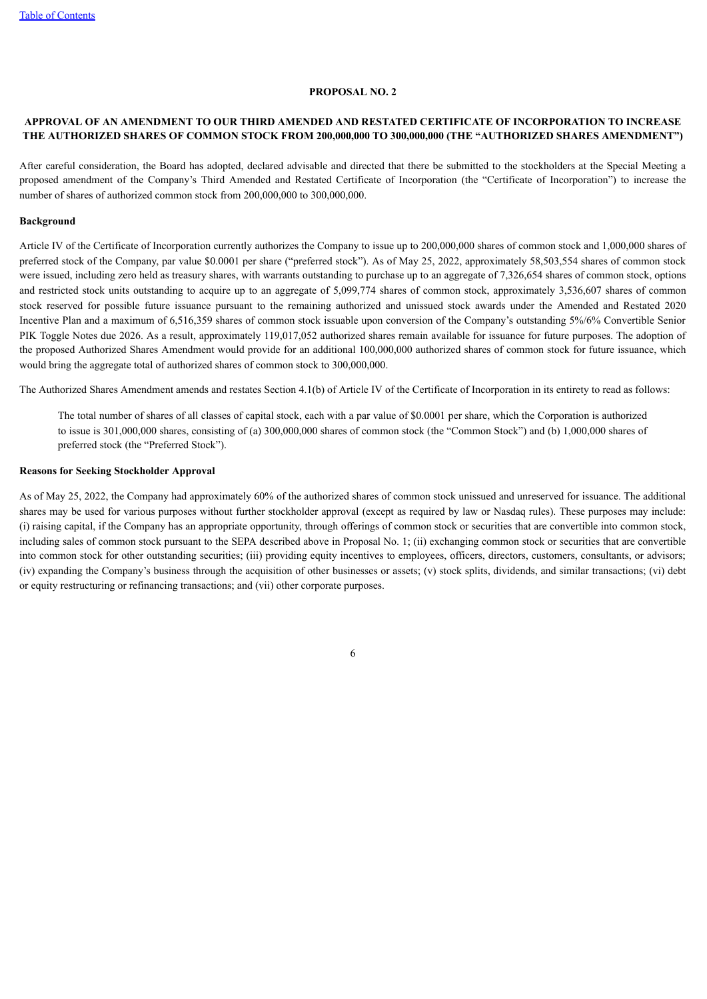#### **PROPOSAL NO. 2**

# **APPROVAL OF AN AMENDMENT TO OUR THIRD AMENDED AND RESTATED CERTIFICATE OF INCORPORATION TO INCREASE THE AUTHORIZED SHARES OF COMMON STOCK FROM 200,000,000 TO 300,000,000 (THE "AUTHORIZED SHARES AMENDMENT")**

After careful consideration, the Board has adopted, declared advisable and directed that there be submitted to the stockholders at the Special Meeting a proposed amendment of the Company's Third Amended and Restated Certificate of Incorporation (the "Certificate of Incorporation") to increase the number of shares of authorized common stock from 200,000,000 to 300,000,000.

#### **Background**

Article IV of the Certificate of Incorporation currently authorizes the Company to issue up to 200,000,000 shares of common stock and 1,000,000 shares of preferred stock of the Company, par value \$0.0001 per share ("preferred stock"). As of May 25, 2022, approximately 58,503,554 shares of common stock were issued, including zero held as treasury shares, with warrants outstanding to purchase up to an aggregate of 7,326,654 shares of common stock, options and restricted stock units outstanding to acquire up to an aggregate of 5,099,774 shares of common stock, approximately 3,536,607 shares of common stock reserved for possible future issuance pursuant to the remaining authorized and unissued stock awards under the Amended and Restated 2020 Incentive Plan and a maximum of 6,516,359 shares of common stock issuable upon conversion of the Company's outstanding 5%/6% Convertible Senior PIK Toggle Notes due 2026. As a result, approximately 119,017,052 authorized shares remain available for issuance for future purposes. The adoption of the proposed Authorized Shares Amendment would provide for an additional 100,000,000 authorized shares of common stock for future issuance, which would bring the aggregate total of authorized shares of common stock to 300,000,000.

The Authorized Shares Amendment amends and restates Section 4.1(b) of Article IV of the Certificate of Incorporation in its entirety to read as follows:

The total number of shares of all classes of capital stock, each with a par value of \$0.0001 per share, which the Corporation is authorized to issue is 301,000,000 shares, consisting of (a) 300,000,000 shares of common stock (the "Common Stock") and (b) 1,000,000 shares of preferred stock (the "Preferred Stock").

#### **Reasons for Seeking Stockholder Approval**

As of May 25, 2022, the Company had approximately 60% of the authorized shares of common stock unissued and unreserved for issuance. The additional shares may be used for various purposes without further stockholder approval (except as required by law or Nasdaq rules). These purposes may include: (i) raising capital, if the Company has an appropriate opportunity, through offerings of common stock or securities that are convertible into common stock, including sales of common stock pursuant to the SEPA described above in Proposal No. 1; (ii) exchanging common stock or securities that are convertible into common stock for other outstanding securities; (iii) providing equity incentives to employees, officers, directors, customers, consultants, or advisors; (iv) expanding the Company's business through the acquisition of other businesses or assets; (v) stock splits, dividends, and similar transactions; (vi) debt or equity restructuring or refinancing transactions; and (vii) other corporate purposes.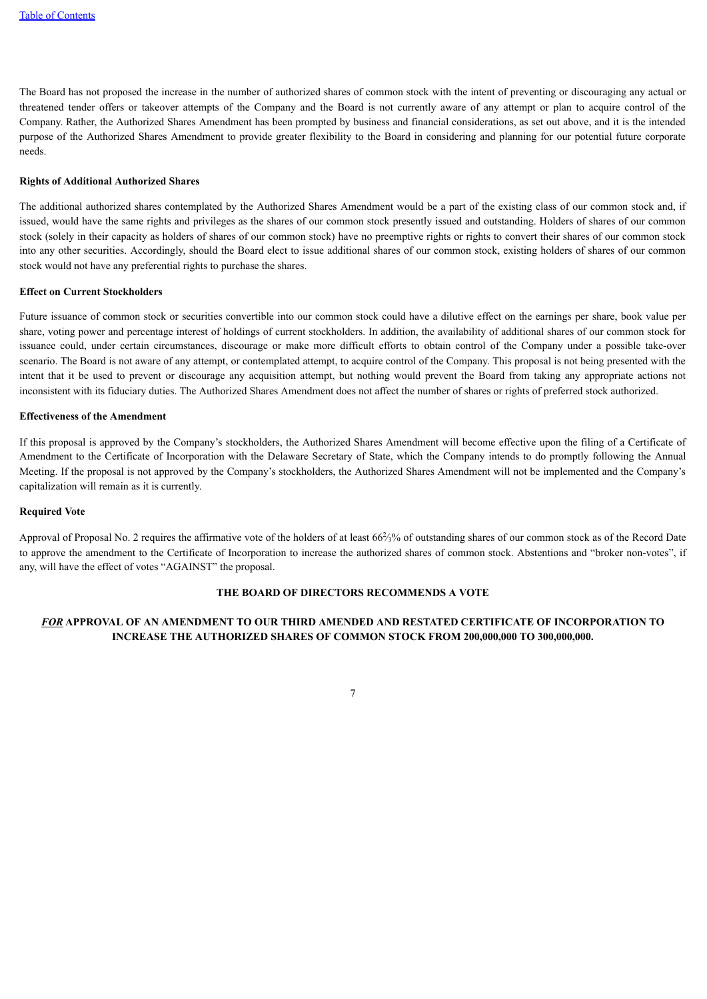The Board has not proposed the increase in the number of authorized shares of common stock with the intent of preventing or discouraging any actual or threatened tender offers or takeover attempts of the Company and the Board is not currently aware of any attempt or plan to acquire control of the Company. Rather, the Authorized Shares Amendment has been prompted by business and financial considerations, as set out above, and it is the intended purpose of the Authorized Shares Amendment to provide greater flexibility to the Board in considering and planning for our potential future corporate needs.

#### **Rights of Additional Authorized Shares**

The additional authorized shares contemplated by the Authorized Shares Amendment would be a part of the existing class of our common stock and, if issued, would have the same rights and privileges as the shares of our common stock presently issued and outstanding. Holders of shares of our common stock (solely in their capacity as holders of shares of our common stock) have no preemptive rights or rights to convert their shares of our common stock into any other securities. Accordingly, should the Board elect to issue additional shares of our common stock, existing holders of shares of our common stock would not have any preferential rights to purchase the shares.

#### **Effect on Current Stockholders**

Future issuance of common stock or securities convertible into our common stock could have a dilutive effect on the earnings per share, book value per share, voting power and percentage interest of holdings of current stockholders. In addition, the availability of additional shares of our common stock for issuance could, under certain circumstances, discourage or make more difficult efforts to obtain control of the Company under a possible take-over scenario. The Board is not aware of any attempt, or contemplated attempt, to acquire control of the Company. This proposal is not being presented with the intent that it be used to prevent or discourage any acquisition attempt, but nothing would prevent the Board from taking any appropriate actions not inconsistent with its fiduciary duties. The Authorized Shares Amendment does not affect the number of shares or rights of preferred stock authorized.

#### **Effectiveness of the Amendment**

If this proposal is approved by the Company's stockholders, the Authorized Shares Amendment will become effective upon the filing of a Certificate of Amendment to the Certificate of Incorporation with the Delaware Secretary of State, which the Company intends to do promptly following the Annual Meeting. If the proposal is not approved by the Company's stockholders, the Authorized Shares Amendment will not be implemented and the Company's capitalization will remain as it is currently.

#### **Required Vote**

Approval of Proposal No. 2 requires the affirmative vote of the holders of at least  $66\frac{2}{3}\%$  of outstanding shares of our common stock as of the Record Date to approve the amendment to the Certificate of Incorporation to increase the authorized shares of common stock. Abstentions and "broker non-votes", if any, will have the effect of votes "AGAINST" the proposal.

# **THE BOARD OF DIRECTORS RECOMMENDS A VOTE**

# <span id="page-9-0"></span>*FOR* **APPROVAL OF AN AMENDMENT TO OUR THIRD AMENDED AND RESTATED CERTIFICATE OF INCORPORATION TO INCREASE THE AUTHORIZED SHARES OF COMMON STOCK FROM 200,000,000 TO 300,000,000.**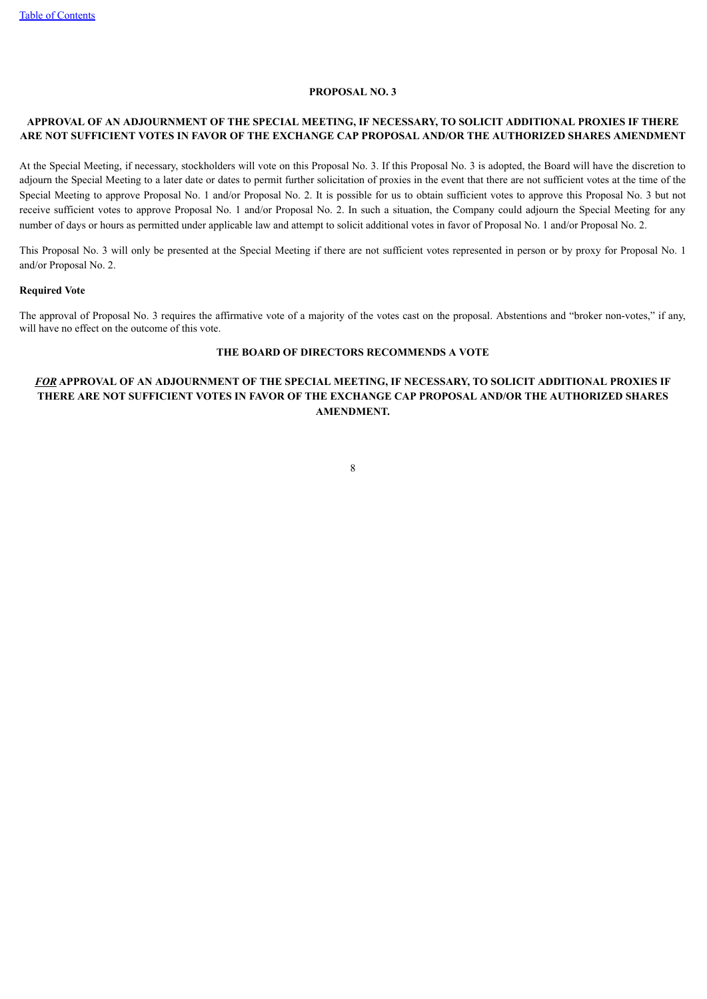#### **PROPOSAL NO. 3**

# **APPROVAL OF AN ADJOURNMENT OF THE SPECIAL MEETING, IF NECESSARY, TO SOLICIT ADDITIONAL PROXIES IF THERE ARE NOT SUFFICIENT VOTES IN FAVOR OF THE EXCHANGE CAP PROPOSAL AND/OR THE AUTHORIZED SHARES AMENDMENT**

At the Special Meeting, if necessary, stockholders will vote on this Proposal No. 3. If this Proposal No. 3 is adopted, the Board will have the discretion to adjourn the Special Meeting to a later date or dates to permit further solicitation of proxies in the event that there are not sufficient votes at the time of the Special Meeting to approve Proposal No. 1 and/or Proposal No. 2. It is possible for us to obtain sufficient votes to approve this Proposal No. 3 but not receive sufficient votes to approve Proposal No. 1 and/or Proposal No. 2. In such a situation, the Company could adjourn the Special Meeting for any number of days or hours as permitted under applicable law and attempt to solicit additional votes in favor of Proposal No. 1 and/or Proposal No. 2.

This Proposal No. 3 will only be presented at the Special Meeting if there are not sufficient votes represented in person or by proxy for Proposal No. 1 and/or Proposal No. 2.

# **Required Vote**

The approval of Proposal No. 3 requires the affirmative vote of a majority of the votes cast on the proposal. Abstentions and "broker non-votes," if any, will have no effect on the outcome of this vote.

# **THE BOARD OF DIRECTORS RECOMMENDS A VOTE**

# <span id="page-10-0"></span>*FOR* **APPROVAL OF AN ADJOURNMENT OF THE SPECIAL MEETING, IF NECESSARY, TO SOLICIT ADDITIONAL PROXIES IF THERE ARE NOT SUFFICIENT VOTES IN FAVOR OF THE EXCHANGE CAP PROPOSAL AND/OR THE AUTHORIZED SHARES AMENDMENT.**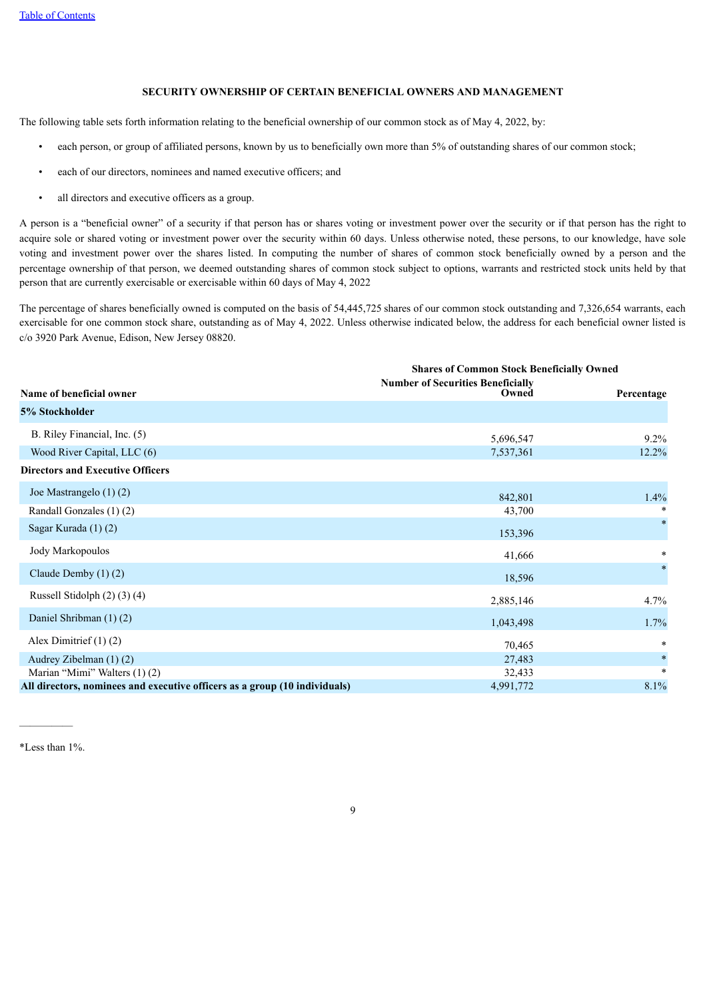# **SECURITY OWNERSHIP OF CERTAIN BENEFICIAL OWNERS AND MANAGEMENT**

The following table sets forth information relating to the beneficial ownership of our common stock as of May 4, 2022, by:

- each person, or group of affiliated persons, known by us to beneficially own more than 5% of outstanding shares of our common stock;
- each of our directors, nominees and named executive officers; and
- all directors and executive officers as a group.

A person is a "beneficial owner" of a security if that person has or shares voting or investment power over the security or if that person has the right to acquire sole or shared voting or investment power over the security within 60 days. Unless otherwise noted, these persons, to our knowledge, have sole voting and investment power over the shares listed. In computing the number of shares of common stock beneficially owned by a person and the percentage ownership of that person, we deemed outstanding shares of common stock subject to options, warrants and restricted stock units held by that person that are currently exercisable or exercisable within 60 days of May 4, 2022

The percentage of shares beneficially owned is computed on the basis of 54,445,725 shares of our common stock outstanding and 7,326,654 warrants, each exercisable for one common stock share, outstanding as of May 4, 2022. Unless otherwise indicated below, the address for each beneficial owner listed is c/o 3920 Park Avenue, Edison, New Jersey 08820.

|                                                                            | <b>Shares of Common Stock Beneficially Owned</b> |            |
|----------------------------------------------------------------------------|--------------------------------------------------|------------|
|                                                                            | <b>Number of Securities Beneficially</b>         |            |
| Name of beneficial owner                                                   | Owned                                            | Percentage |
| 5% Stockholder                                                             |                                                  |            |
| B. Riley Financial, Inc. (5)                                               | 5,696,547                                        | $9.2\%$    |
| Wood River Capital, LLC (6)                                                | 7,537,361                                        | 12.2%      |
| <b>Directors and Executive Officers</b>                                    |                                                  |            |
| Joe Mastrangelo $(1)$ $(2)$                                                | 842,801                                          | 1.4%       |
| Randall Gonzales (1)(2)                                                    | 43,700                                           | $\ast$     |
| Sagar Kurada (1) (2)                                                       | 153,396                                          | $\ast$     |
| Jody Markopoulos                                                           | 41,666                                           | $\ast$     |
| Claude Demby $(1)$ $(2)$                                                   | 18,596                                           | $\ast$     |
| Russell Stidolph $(2)$ $(3)$ $(4)$                                         | 2,885,146                                        | 4.7%       |
| Daniel Shribman (1) (2)                                                    | 1,043,498                                        | 1.7%       |
| Alex Dimitrief $(1)$ $(2)$                                                 | 70,465                                           | $\ast$     |
| Audrey Zibelman (1) (2)                                                    | 27,483                                           | $\ast$     |
| Marian "Mimi" Walters (1) (2)                                              | 32,433                                           | $\ast$     |
| All directors, nominees and executive officers as a group (10 individuals) | 4,991,772                                        | 8.1%       |

————— \*Less than 1%.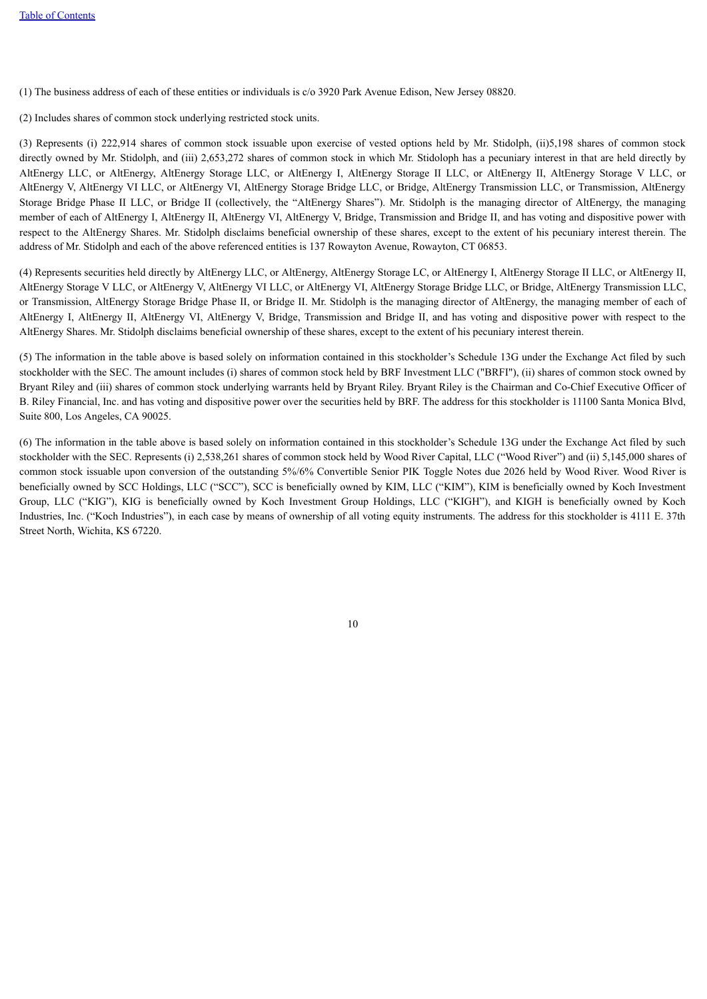(1) The business address of each of these entities or individuals is c/o 3920 Park Avenue Edison, New Jersey 08820.

(2) Includes shares of common stock underlying restricted stock units.

(3) Represents (i) 222,914 shares of common stock issuable upon exercise of vested options held by Mr. Stidolph, (ii)5,198 shares of common stock directly owned by Mr. Stidolph, and (iii) 2,653,272 shares of common stock in which Mr. Stidoloph has a pecuniary interest in that are held directly by AltEnergy LLC, or AltEnergy, AltEnergy Storage LLC, or AltEnergy I, AltEnergy Storage II LLC, or AltEnergy II, AltEnergy Storage V LLC, or AltEnergy V, AltEnergy VI LLC, or AltEnergy VI, AltEnergy Storage Bridge LLC, or Bridge, AltEnergy Transmission LLC, or Transmission, AltEnergy Storage Bridge Phase II LLC, or Bridge II (collectively, the "AltEnergy Shares"). Mr. Stidolph is the managing director of AltEnergy, the managing member of each of AltEnergy I, AltEnergy II, AltEnergy VI, AltEnergy V, Bridge, Transmission and Bridge II, and has voting and dispositive power with respect to the AltEnergy Shares. Mr. Stidolph disclaims beneficial ownership of these shares, except to the extent of his pecuniary interest therein. The address of Mr. Stidolph and each of the above referenced entities is 137 Rowayton Avenue, Rowayton, CT 06853.

(4) Represents securities held directly by AltEnergy LLC, or AltEnergy, AltEnergy Storage LC, or AltEnergy I, AltEnergy Storage II LLC, or AltEnergy II, AltEnergy Storage V LLC, or AltEnergy V, AltEnergy VI LLC, or AltEnergy VI, AltEnergy Storage Bridge LLC, or Bridge, AltEnergy Transmission LLC, or Transmission, AltEnergy Storage Bridge Phase II, or Bridge II. Mr. Stidolph is the managing director of AltEnergy, the managing member of each of AltEnergy I, AltEnergy II, AltEnergy VI, AltEnergy V, Bridge, Transmission and Bridge II, and has voting and dispositive power with respect to the AltEnergy Shares. Mr. Stidolph disclaims beneficial ownership of these shares, except to the extent of his pecuniary interest therein.

(5) The information in the table above is based solely on information contained in this stockholder's Schedule 13G under the Exchange Act filed by such stockholder with the SEC. The amount includes (i) shares of common stock held by BRF Investment LLC ("BRFI"), (ii) shares of common stock owned by Bryant Riley and (iii) shares of common stock underlying warrants held by Bryant Riley. Bryant Riley is the Chairman and Co-Chief Executive Officer of B. Riley Financial, Inc. and has voting and dispositive power over the securities held by BRF. The address for this stockholder is 11100 Santa Monica Blvd, Suite 800, Los Angeles, CA 90025.

<span id="page-12-0"></span>(6) The information in the table above is based solely on information contained in this stockholder's Schedule 13G under the Exchange Act filed by such stockholder with the SEC. Represents (i) 2,538,261 shares of common stock held by Wood River Capital, LLC ("Wood River") and (ii) 5,145,000 shares of common stock issuable upon conversion of the outstanding 5%/6% Convertible Senior PIK Toggle Notes due 2026 held by Wood River. Wood River is beneficially owned by SCC Holdings, LLC ("SCC"), SCC is beneficially owned by KIM, LLC ("KIM"), KIM is beneficially owned by Koch Investment Group, LLC ("KIG"), KIG is beneficially owned by Koch Investment Group Holdings, LLC ("KIGH"), and KIGH is beneficially owned by Koch Industries, Inc. ("Koch Industries"), in each case by means of ownership of all voting equity instruments. The address for this stockholder is 4111 E. 37th Street North, Wichita, KS 67220.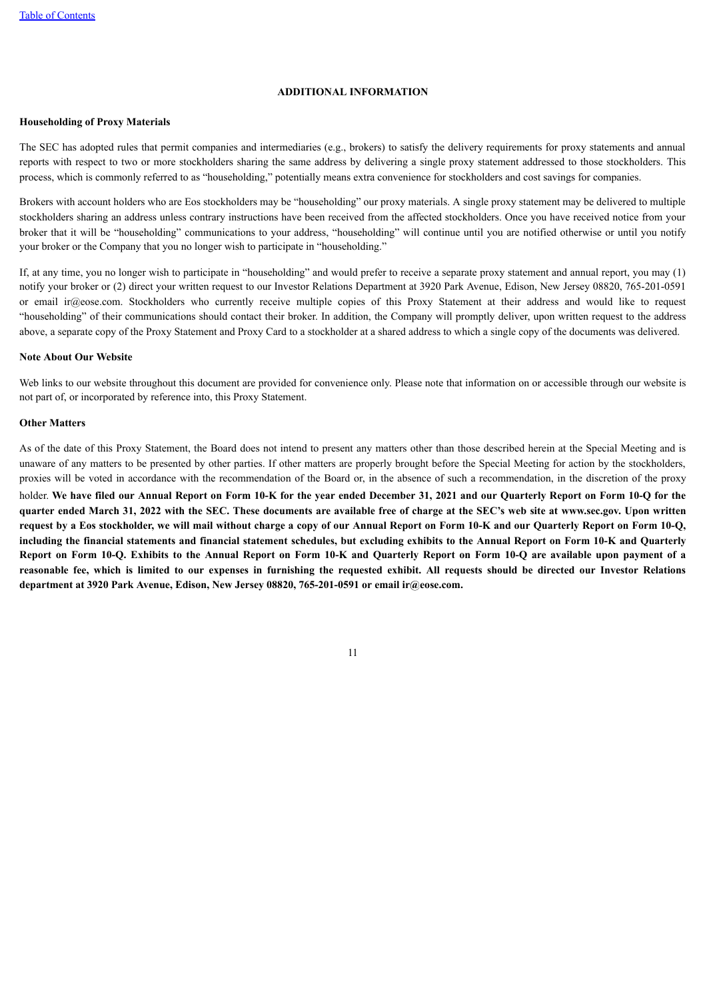#### **ADDITIONAL INFORMATION**

# **Householding of Proxy Materials**

The SEC has adopted rules that permit companies and intermediaries (e.g., brokers) to satisfy the delivery requirements for proxy statements and annual reports with respect to two or more stockholders sharing the same address by delivering a single proxy statement addressed to those stockholders. This process, which is commonly referred to as "householding," potentially means extra convenience for stockholders and cost savings for companies.

Brokers with account holders who are Eos stockholders may be "householding" our proxy materials. A single proxy statement may be delivered to multiple stockholders sharing an address unless contrary instructions have been received from the affected stockholders. Once you have received notice from your broker that it will be "householding" communications to your address, "householding" will continue until you are notified otherwise or until you notify your broker or the Company that you no longer wish to participate in "householding."

If, at any time, you no longer wish to participate in "householding" and would prefer to receive a separate proxy statement and annual report, you may (1) notify your broker or (2) direct your written request to our Investor Relations Department at 3920 Park Avenue, Edison, New Jersey 08820, 765-201-0591 or email ir@eose.com. Stockholders who currently receive multiple copies of this Proxy Statement at their address and would like to request "householding" of their communications should contact their broker. In addition, the Company will promptly deliver, upon written request to the address above, a separate copy of the Proxy Statement and Proxy Card to a stockholder at a shared address to which a single copy of the documents was delivered.

# **Note About Our Website**

Web links to our website throughout this document are provided for convenience only. Please note that information on or accessible through our website is not part of, or incorporated by reference into, this Proxy Statement.

#### **Other Matters**

As of the date of this Proxy Statement, the Board does not intend to present any matters other than those described herein at the Special Meeting and is unaware of any matters to be presented by other parties. If other matters are properly brought before the Special Meeting for action by the stockholders, proxies will be voted in accordance with the recommendation of the Board or, in the absence of such a recommendation, in the discretion of the proxy

<span id="page-13-0"></span>holder. We have filed our Annual Report on Form 10-K for the year ended December 31, 2021 and our Quarterly Report on Form 10-Q for the quarter ended March 31, 2022 with the SEC. These documents are available free of charge at the SEC's web site at www.sec.gov. Upon written request by a Eos stockholder, we will mail without charge a copy of our Annual Report on Form 10-K and our Quarterly Report on Form 10-Q, including the financial statements and financial statement schedules, but excluding exhibits to the Annual Report on Form 10-K and Quarterly Report on Form 10-O. Exhibits to the Annual Report on Form 10-K and Ouarterly Report on Form 10-O are available upon payment of a reasonable fee, which is limited to our expenses in furnishing the requested exhibit. All requests should be directed our Investor Relations **department at 3920 Park Avenue, Edison, New Jersey 08820, 765-201-0591 or email ir@eose.com.**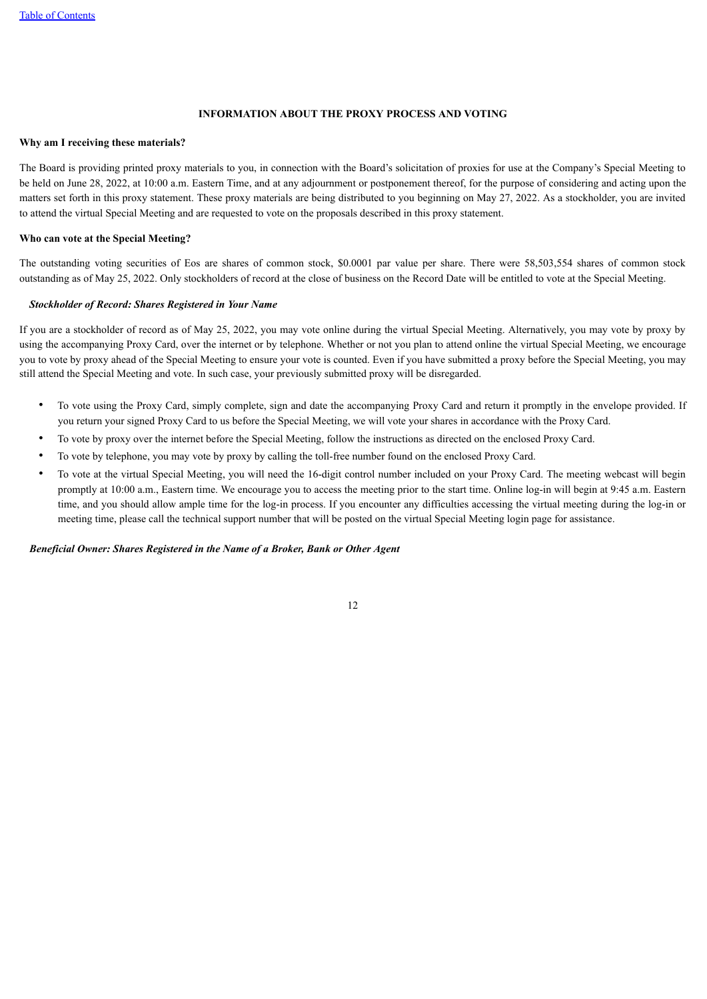# **INFORMATION ABOUT THE PROXY PROCESS AND VOTING**

#### **Why am I receiving these materials?**

The Board is providing printed proxy materials to you, in connection with the Board's solicitation of proxies for use at the Company's Special Meeting to be held on June 28, 2022, at 10:00 a.m. Eastern Time, and at any adjournment or postponement thereof, for the purpose of considering and acting upon the matters set forth in this proxy statement. These proxy materials are being distributed to you beginning on May 27, 2022. As a stockholder, you are invited to attend the virtual Special Meeting and are requested to vote on the proposals described in this proxy statement.

# **Who can vote at the Special Meeting?**

The outstanding voting securities of Eos are shares of common stock, \$0.0001 par value per share. There were 58,503,554 shares of common stock outstanding as of May 25, 2022. Only stockholders of record at the close of business on the Record Date will be entitled to vote at the Special Meeting.

# *Stockholder of Record: Shares Registered in Your Name*

If you are a stockholder of record as of May 25, 2022, you may vote online during the virtual Special Meeting. Alternatively, you may vote by proxy by using the accompanying Proxy Card, over the internet or by telephone. Whether or not you plan to attend online the virtual Special Meeting, we encourage you to vote by proxy ahead of the Special Meeting to ensure your vote is counted. Even if you have submitted a proxy before the Special Meeting, you may still attend the Special Meeting and vote. In such case, your previously submitted proxy will be disregarded.

- To vote using the Proxy Card, simply complete, sign and date the accompanying Proxy Card and return it promptly in the envelope provided. If you return your signed Proxy Card to us before the Special Meeting, we will vote your shares in accordance with the Proxy Card.
- To vote by proxy over the internet before the Special Meeting, follow the instructions as directed on the enclosed Proxy Card.
- To vote by telephone, you may vote by proxy by calling the toll-free number found on the enclosed Proxy Card.
- To vote at the virtual Special Meeting, you will need the 16-digit control number included on your Proxy Card. The meeting webcast will begin promptly at 10:00 a.m., Eastern time. We encourage you to access the meeting prior to the start time. Online log-in will begin at 9:45 a.m. Eastern time, and you should allow ample time for the log-in process. If you encounter any difficulties accessing the virtual meeting during the log-in or meeting time, please call the technical support number that will be posted on the virtual Special Meeting login page for assistance.

#### *Beneficial Owner: Shares Registered in the Name of a Broker, Bank or Other Agent*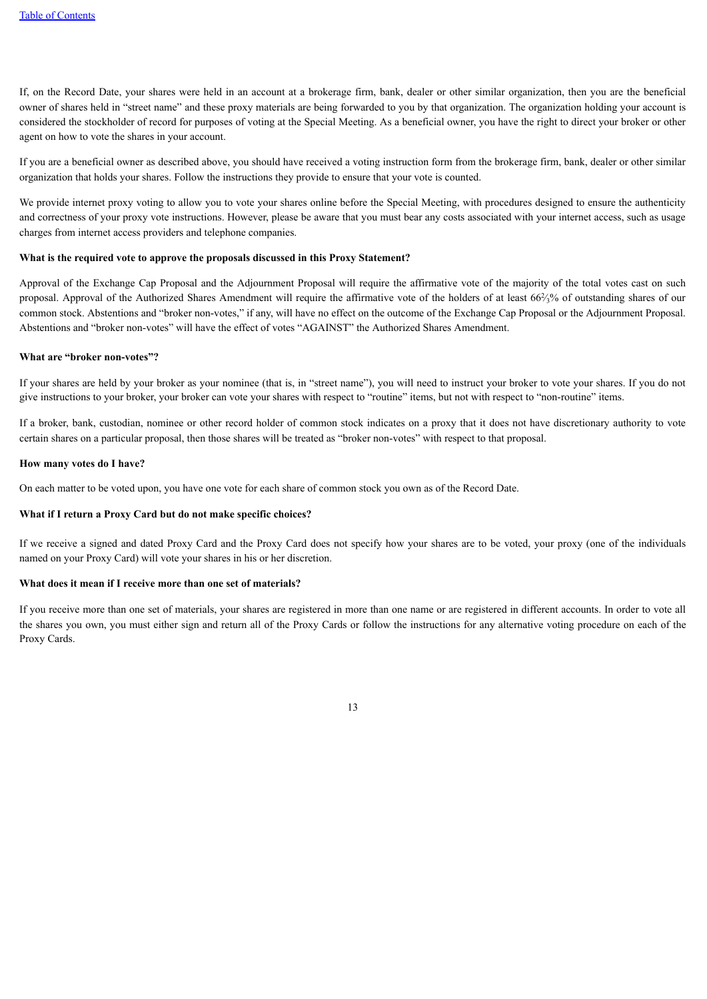If, on the Record Date, your shares were held in an account at a brokerage firm, bank, dealer or other similar organization, then you are the beneficial owner of shares held in "street name" and these proxy materials are being forwarded to you by that organization. The organization holding your account is considered the stockholder of record for purposes of voting at the Special Meeting. As a beneficial owner, you have the right to direct your broker or other agent on how to vote the shares in your account.

If you are a beneficial owner as described above, you should have received a voting instruction form from the brokerage firm, bank, dealer or other similar organization that holds your shares. Follow the instructions they provide to ensure that your vote is counted.

We provide internet proxy voting to allow you to vote your shares online before the Special Meeting, with procedures designed to ensure the authenticity and correctness of your proxy vote instructions. However, please be aware that you must bear any costs associated with your internet access, such as usage charges from internet access providers and telephone companies.

# **What is the required vote to approve the proposals discussed in this Proxy Statement?**

Approval of the Exchange Cap Proposal and the Adjournment Proposal will require the affirmative vote of the majority of the total votes cast on such proposal. Approval of the Authorized Shares Amendment will require the affirmative vote of the holders of at least 66%% of outstanding shares of our common stock. Abstentions and "broker non-votes," if any, will have no effect on the outcome of the Exchange Cap Proposal or the Adjournment Proposal. Abstentions and "broker non-votes" will have the effect of votes "AGAINST" the Authorized Shares Amendment.

# **What are "broker non-votes"?**

If your shares are held by your broker as your nominee (that is, in "street name"), you will need to instruct your broker to vote your shares. If you do not give instructions to your broker, your broker can vote your shares with respect to "routine" items, but not with respect to "non-routine" items.

If a broker, bank, custodian, nominee or other record holder of common stock indicates on a proxy that it does not have discretionary authority to vote certain shares on a particular proposal, then those shares will be treated as "broker non-votes" with respect to that proposal.

#### **How many votes do I have?**

On each matter to be voted upon, you have one vote for each share of common stock you own as of the Record Date.

# **What if I return a Proxy Card but do not make specific choices?**

If we receive a signed and dated Proxy Card and the Proxy Card does not specify how your shares are to be voted, your proxy (one of the individuals named on your Proxy Card) will vote your shares in his or her discretion.

# **What does it mean if I receive more than one set of materials?**

If you receive more than one set of materials, your shares are registered in more than one name or are registered in different accounts. In order to vote all the shares you own, you must either sign and return all of the Proxy Cards or follow the instructions for any alternative voting procedure on each of the Proxy Cards.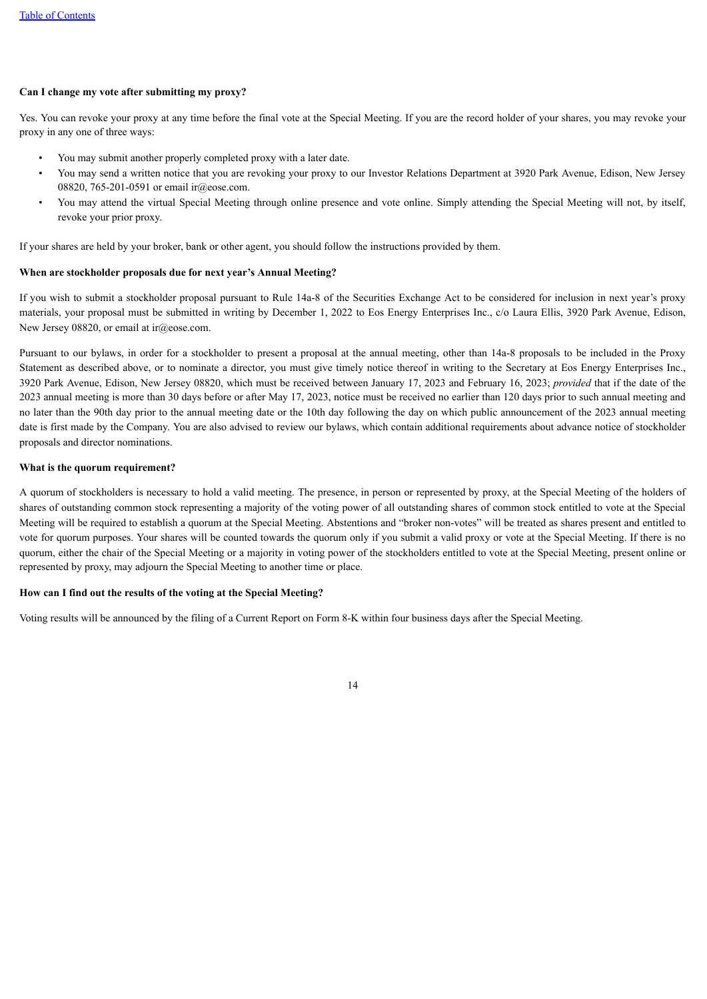# **Can I change my vote after submitting my proxy?**

Yes. You can revoke your proxy at any time before the final vote at the Special Meeting. If you are the record holder of your shares, you may revoke your proxy in any one of three ways:

- You may submit another properly completed proxy with a later date.
- You may send a written notice that you are revoking your proxy to our Investor Relations Department at 3920 Park Avenue, Edison, New Jersey 08820, 765-201-0591 or email ir@eose.com.
- You may attend the virtual Special Meeting through online presence and vote online. Simply attending the Special Meeting will not, by itself, revoke your prior proxy.

If your shares are held by your broker, bank or other agent, you should follow the instructions provided by them.

#### **When are stockholder proposals due for next year's Annual Meeting?**

If you wish to submit a stockholder proposal pursuant to Rule 14a-8 of the Securities Exchange Act to be considered for inclusion in next year's proxy materials, your proposal must be submitted in writing by December 1, 2022 to Eos Energy Enterprises Inc., c/o Laura Ellis, 3920 Park Avenue, Edison, New Jersey 08820, or email at ir@eose.com.

Pursuant to our bylaws, in order for a stockholder to present a proposal at the annual meeting, other than 14a-8 proposals to be included in the Proxy Statement as described above, or to nominate a director, you must give timely notice thereof in writing to the Secretary at Eos Energy Enterprises Inc., 3920 Park Avenue, Edison, New Jersey 08820, which must be received between January 17, 2023 and February 16, 2023; *provided* that if the date of the 2023 annual meeting is more than 30 days before or after May 17, 2023, notice must be received no earlier than 120 days prior to such annual meeting and no later than the 90th day prior to the annual meeting date or the 10th day following the day on which public announcement of the 2023 annual meeting date is first made by the Company. You are also advised to review our bylaws, which contain additional requirements about advance notice of stockholder proposals and director nominations.

## **What is the quorum requirement?**

A quorum of stockholders is necessary to hold a valid meeting. The presence, in person or represented by proxy, at the Special Meeting of the holders of shares of outstanding common stock representing a majority of the voting power of all outstanding shares of common stock entitled to vote at the Special Meeting will be required to establish a quorum at the Special Meeting. Abstentions and "broker non-votes" will be treated as shares present and entitled to vote for quorum purposes. Your shares will be counted towards the quorum only if you submit a valid proxy or vote at the Special Meeting. If there is no quorum, either the chair of the Special Meeting or a majority in voting power of the stockholders entitled to vote at the Special Meeting, present online or represented by proxy, may adjourn the Special Meeting to another time or place.

# **How can I find out the results of the voting at the Special Meeting?**

Voting results will be announced by the filing of a Current Report on Form 8-K within four business days after the Special Meeting.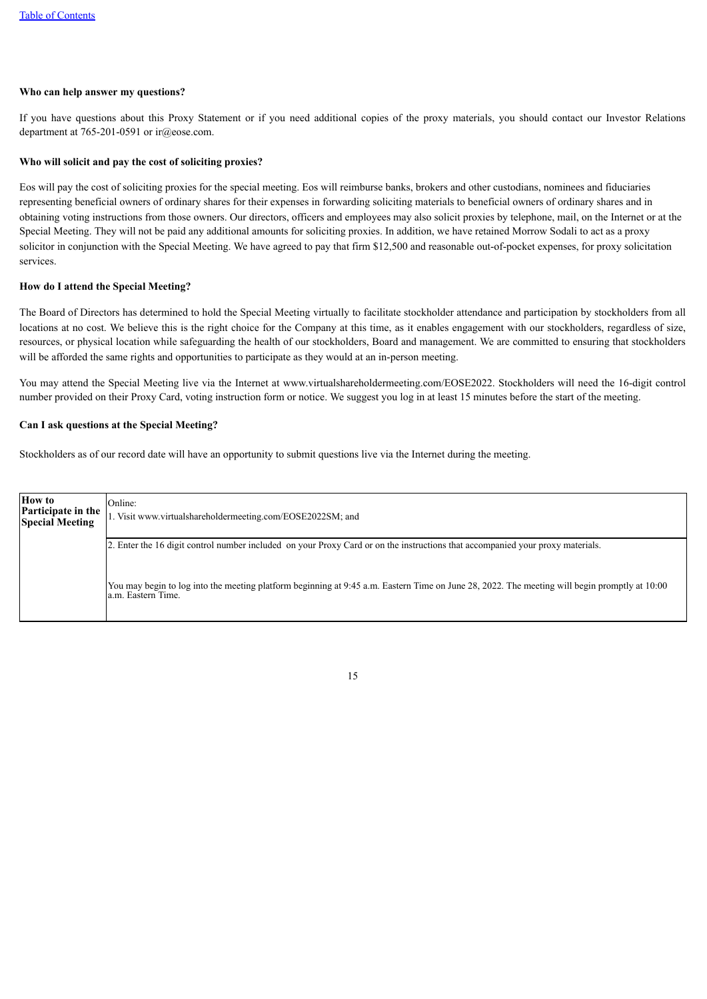#### **Who can help answer my questions?**

If you have questions about this Proxy Statement or if you need additional copies of the proxy materials, you should contact our Investor Relations department at 765-201-0591 or ir@eose.com.

## **Who will solicit and pay the cost of soliciting proxies?**

Eos will pay the cost of soliciting proxies for the special meeting. Eos will reimburse banks, brokers and other custodians, nominees and fiduciaries representing beneficial owners of ordinary shares for their expenses in forwarding soliciting materials to beneficial owners of ordinary shares and in obtaining voting instructions from those owners. Our directors, officers and employees may also solicit proxies by telephone, mail, on the Internet or at the Special Meeting. They will not be paid any additional amounts for soliciting proxies. In addition, we have retained Morrow Sodali to act as a proxy solicitor in conjunction with the Special Meeting. We have agreed to pay that firm \$12,500 and reasonable out-of-pocket expenses, for proxy solicitation services.

## **How do I attend the Special Meeting?**

The Board of Directors has determined to hold the Special Meeting virtually to facilitate stockholder attendance and participation by stockholders from all locations at no cost. We believe this is the right choice for the Company at this time, as it enables engagement with our stockholders, regardless of size, resources, or physical location while safeguarding the health of our stockholders, Board and management. We are committed to ensuring that stockholders will be afforded the same rights and opportunities to participate as they would at an in-person meeting.

You may attend the Special Meeting live via the Internet at www.virtualshareholdermeeting.com/EOSE2022. Stockholders will need the 16-digit control number provided on their Proxy Card, voting instruction form or notice. We suggest you log in at least 15 minutes before the start of the meeting.

# **Can I ask questions at the Special Meeting?**

Stockholders as of our record date will have an opportunity to submit questions live via the Internet during the meeting.

| <b>How to</b><br>Participate in the<br><b>Special Meeting</b> | Online:<br>1. Visit www.virtualshareholdermeeting.com/EOSE2022SM; and                                                                                               |
|---------------------------------------------------------------|---------------------------------------------------------------------------------------------------------------------------------------------------------------------|
|                                                               | 2. Enter the 16 digit control number included on your Proxy Card or on the instructions that accompanied your proxy materials.                                      |
|                                                               | You may begin to log into the meeting platform beginning at 9:45 a.m. Eastern Time on June 28, 2022. The meeting will begin promptly at 10:00<br>a.m. Eastern Time. |

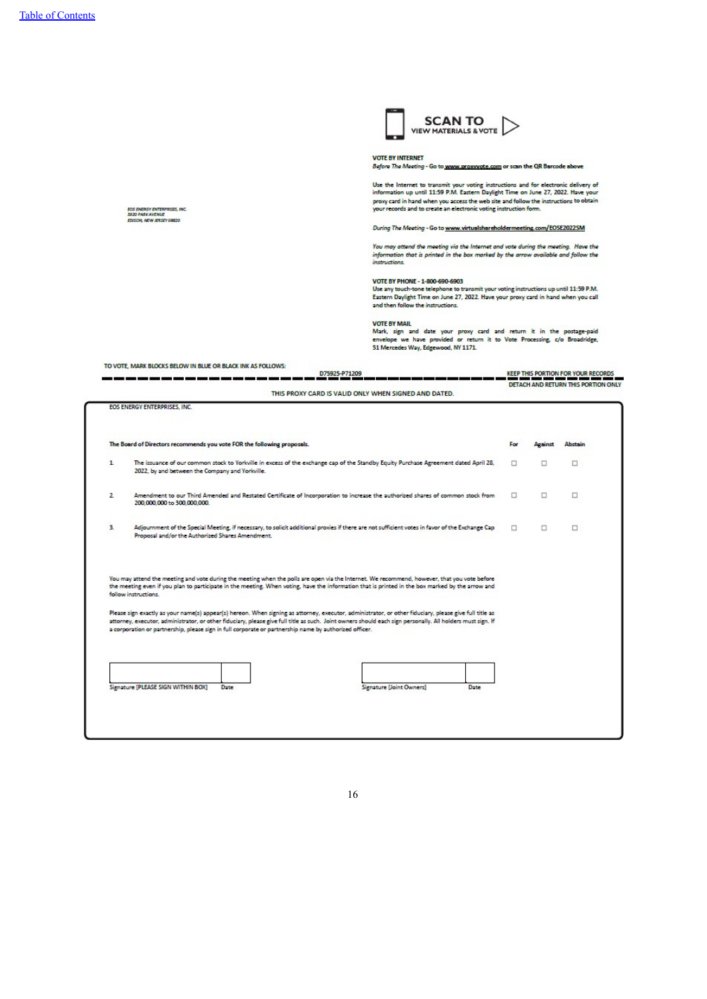EOS ENERGY ENTERPRISES, INC.<br>3920 PARK AVENUE<br>EDISON, NEW JERSEY GEEZO

 $SCAN TO   
VIEW MATERIALS AVOTE$ 

#### **VOTE BY INTERNET**

Before The Meeting - Go to www.proxwote.com or scan the QR Barcode above

Use the Internet to transmit your voting instructions and for electronic delivery of<br>information up until 11:59 P.M. Eastern Daylight Time on June 27, 2022. Have your<br>proxy card in hand when you access the web site and fol

During The Meeting - Go to www.virtualshareholdermeeting.com/EOSE20225M

You may attend the meeting via the Internet and vote during the meeting. Have the<br>information that is printed in the bax marked by the arrow available and follow the<br>instructions.

VOTE BY PHONE - 1-800-690-6903<br>Use any touch-tone telephone to transmit your voting instructions up until 11:59 P.M.<br>Eastern Daylight Time on June 27, 2022. Have your proxy card in hand when you call<br>and then follow the in

**VOTE BY MAIL** 

VOTE BY MAIL<br>Mark, sign and date your proxy card and return it in the postage-paid<br>envelope we have provided or return it to Vote Processing, c/o Broadridge,<br>51 Mercedes Way, Edgewood, NY 1171.

| TO VOTE, MARK BLOCKS BELOW IN BLUE OR BLACK INK AS FOLLOWS: |                                     |
|-------------------------------------------------------------|-------------------------------------|
| D75925-P71209                                               | KEEP THIS PORTION FOR YOUR RECORDS. |
|                                                             |                                     |
|                                                             | DETACH AND RETURN THIS PORTION ONLY |
| THIS PROXY CARD IS VALID ONLY WHEN SIGNED AND DATED.        |                                     |

|    | The Board of Directors recommends you vote FOR the following proposals.                                                                                                                                                                                                                                                                                                                                                                                                                                                        | For | Against | Abstain |
|----|--------------------------------------------------------------------------------------------------------------------------------------------------------------------------------------------------------------------------------------------------------------------------------------------------------------------------------------------------------------------------------------------------------------------------------------------------------------------------------------------------------------------------------|-----|---------|---------|
| 1  | The issuance of our common stock to Yorkville in excess of the exchange cap of the Standby Equity Purchase Agreement dated April 28,<br>2022, by and between the Company and Yorkville.                                                                                                                                                                                                                                                                                                                                        | п   | □       | $\Box$  |
| 2. | Amendment to our Third Amended and Restated Certificate of Incorporation to increase the authorized shares of common stock from<br>200,000,000 to 300,000,000.                                                                                                                                                                                                                                                                                                                                                                 | □   | o       | $\Box$  |
| з. |                                                                                                                                                                                                                                                                                                                                                                                                                                                                                                                                |     |         |         |
|    | Adjournment of the Special Meeting, if necessary, to solicit additional proxies if there are not sufficient votes in favor of the Exchange Cap<br>Proposal and/or the Authorized Shares Amendment.<br>You may attend the meeting and vote during the meeting when the polls are open via the Internet. We recommend, however, that you vote before<br>the meeting even if you plan to participate in the meeting. When voting, have the information that is printed in the box marked by the arrow and<br>follow instructions. | □   | n       | $\Box$  |
|    | Please sign exactly as your name(s) appear(s) hereon. When signing as attorney, executor, administrator, or other fiduciary, please give full title as<br>attorney, executor, administrator, or other fiduciary, please give full title as such. Joint owners should each sign personally. All holders must sign. If<br>a corporation or partnership, please sign in full corporate or partnership name by authorized officer.                                                                                                 |     |         |         |
|    | Signature [PLEASE SIGN WITHIN BOX]<br>Signature [Joint Owners]<br>Date<br>Date                                                                                                                                                                                                                                                                                                                                                                                                                                                 |     |         |         |

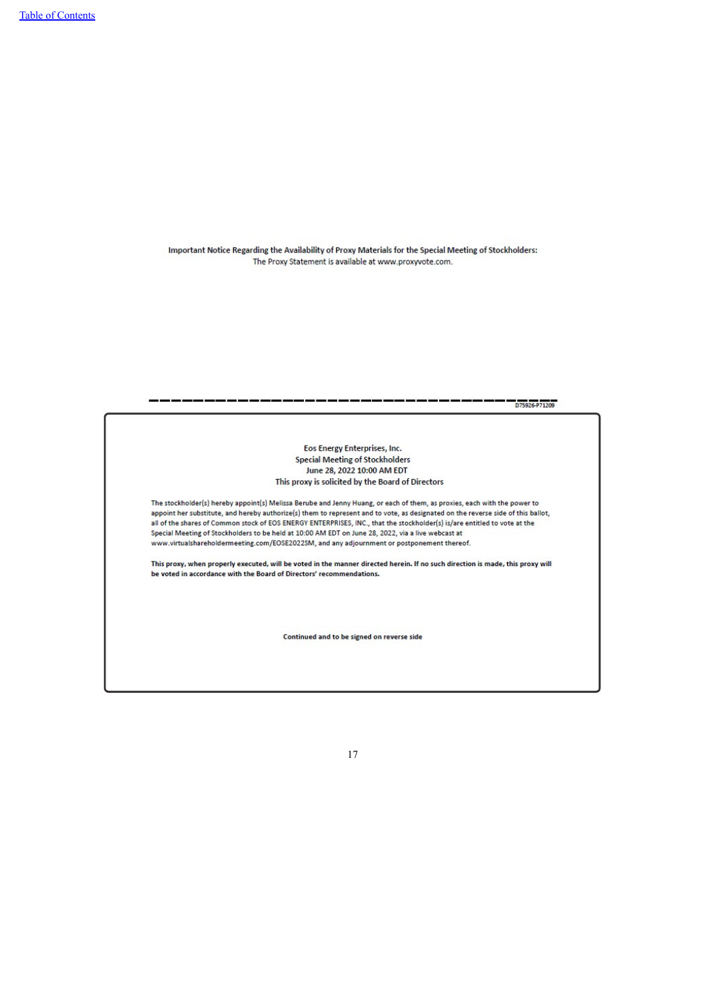Important Notice Regarding the Availability of Proxy Materials for the Special Meeting of Stockholders: The Proxy Statement is available at www.proxyvote.com.

<span id="page-19-0"></span>D75926-P71209 Eos Energy Enterprises, Inc. **Special Meeting of Stockholders** June 28, 2022 10:00 AM EDT This proxy is solicited by the Board of Directors The stockholder(s) hereby appoint(s) Melissa Berube and Jenny Huang, or each of them, as proxies, each with the power to appoint her substitute, and hereby authorize(s) them to represent and to vote, as designated on the reverse side of this ballot, all of the shares of Common stock of EOS ENERGY ENTERPRISES, INC., that the stockholder(s) is/are entitled to vote at the Special Meeting of Stockholders to be held at 10:00 AM EDT on June 28, 2022, via a live webcast at www.virtualshareholdermeeting.com/EOSE2022SM, and any adjournment or postponement thereof. This proxy, when properly executed, will be voted in the manner directed herein. If no such direction is made, this proxy will be voted in accordance with the Board of Directors' recommendations. Continued and to be signed on reverse side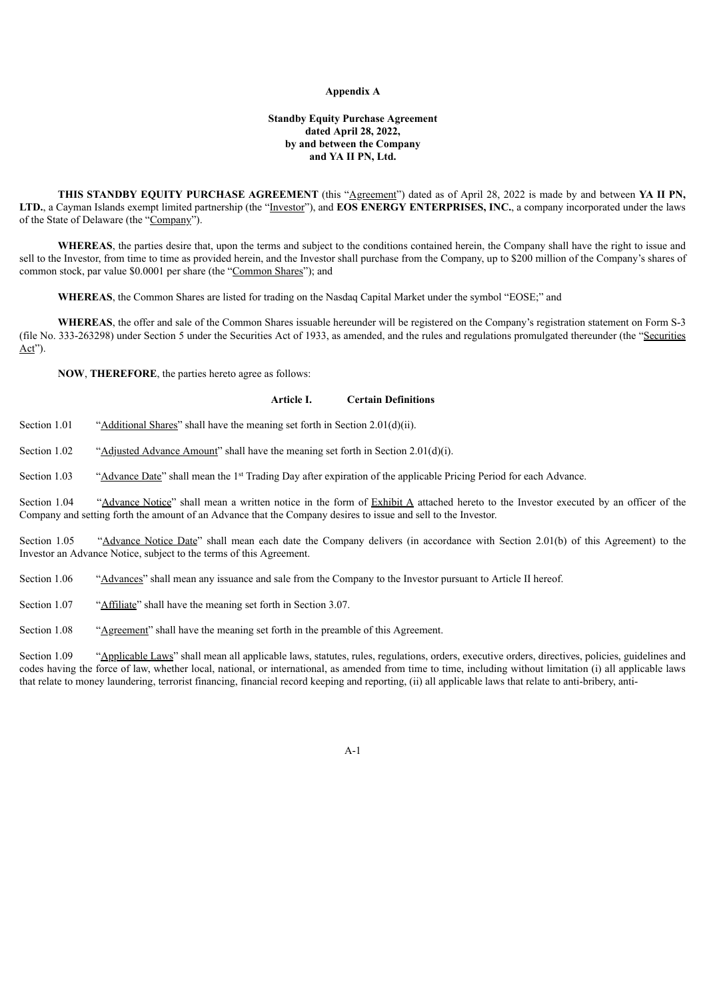#### **Appendix A**

# **Standby Equity Purchase Agreement dated April 28, 2022, by and between the Company and YA II PN, Ltd.**

**THIS STANDBY EQUITY PURCHASE AGREEMENT** (this "Agreement") dated as of April 28, 2022 is made by and between **YA II** PN, **LTD.**, a Cayman Islands exempt limited partnership (the "Investor"), and **EOS ENERGY ENTERPRISES, INC.**, a company incorporated under the laws of the State of Delaware (the "Company").

**WHEREAS**, the parties desire that, upon the terms and subject to the conditions contained herein, the Company shall have the right to issue and sell to the Investor, from time to time as provided herein, and the Investor shall purchase from the Company, up to \$200 million of the Company's shares of common stock, par value \$0.0001 per share (the "Common Shares"); and

**WHEREAS**, the Common Shares are listed for trading on the Nasdaq Capital Market under the symbol "EOSE;" and

**WHEREAS**, the offer and sale of the Common Shares issuable hereunder will be registered on the Company's registration statement on Form S-3 (file No. 333-263298) under Section 5 under the Securities Act of 1933, as amended, and the rules and regulations promulgated thereunder (the "Securities Act").

**NOW**, **THEREFORE**, the parties hereto agree as follows:

# **Article I. Certain Definitions**

Section 1.01 "Additional Shares" shall have the meaning set forth in Section 2.01(d)(ii).

Section 1.02 "Adjusted Advance Amount" shall have the meaning set forth in Section 2.01(d)(i).

Section 1.03 "Advance Date" shall mean the 1<sup>st</sup> Trading Day after expiration of the applicable Pricing Period for each Advance.

Section 1.04 "Advance Notice" shall mean a written notice in the form of Exhibit A attached hereto to the Investor executed by an officer of the Company and setting forth the amount of an Advance that the Company desires to issue and sell to the Investor.

Section 1.05 "Advance Notice Date" shall mean each date the Company delivers (in accordance with Section 2.01(b) of this Agreement) to the Investor an Advance Notice, subject to the terms of this Agreement.

Section 1.06 "Advances" shall mean any issuance and sale from the Company to the Investor pursuant to Article II hereof.

Section 1.07 "Affiliate" shall have the meaning set forth in Section 3.07.

Section 1.08 "Agreement" shall have the meaning set forth in the preamble of this Agreement.

Section 1.09 "Applicable Laws" shall mean all applicable laws, statutes, rules, regulations, orders, executive orders, directives, policies, guidelines and codes having the force of law, whether local, national, or international, as amended from time to time, including without limitation (i) all applicable laws that relate to money laundering, terrorist financing, financial record keeping and reporting, (ii) all applicable laws that relate to anti-bribery, anti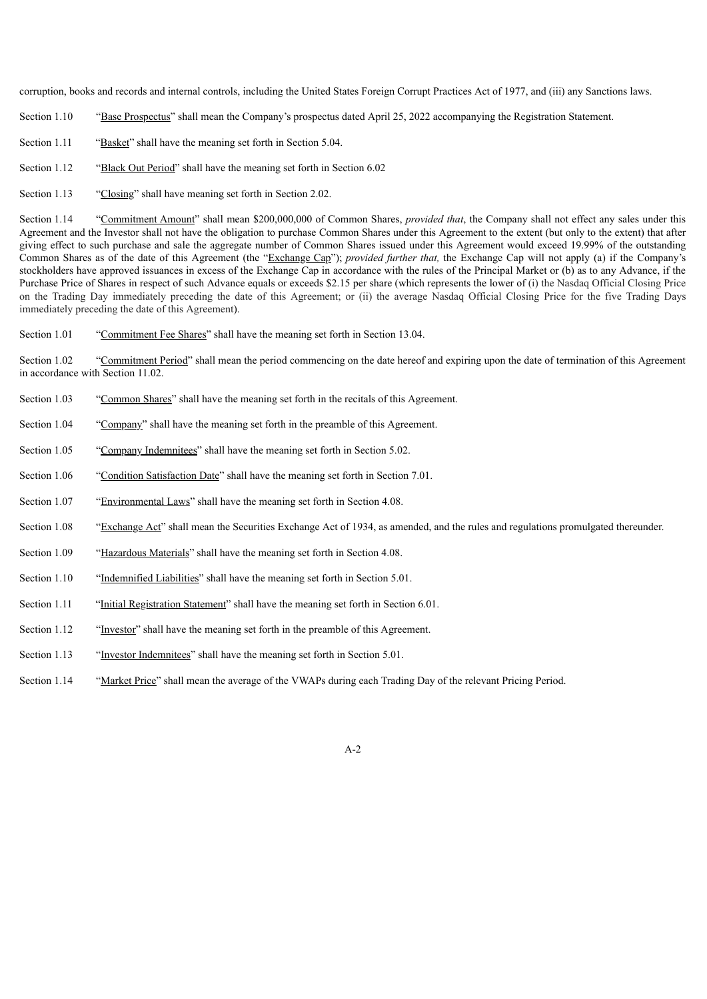corruption, books and records and internal controls, including the United States Foreign Corrupt Practices Act of 1977, and (iii) any Sanctions laws.

- Section 1.10 "Base Prospectus" shall mean the Company's prospectus dated April 25, 2022 accompanying the Registration Statement.
- Section 1.11 "Basket" shall have the meaning set forth in Section 5.04.
- Section 1.12 "Black Out Period" shall have the meaning set forth in Section 6.02
- Section 1.13 "Closing" shall have meaning set forth in Section 2.02.

Section 1.14 "Commitment Amount" shall mean \$200,000,000 of Common Shares, *provided that*, the Company shall not effect any sales under this Agreement and the Investor shall not have the obligation to purchase Common Shares under this Agreement to the extent (but only to the extent) that after giving effect to such purchase and sale the aggregate number of Common Shares issued under this Agreement would exceed 19.99% of the outstanding Common Shares as of the date of this Agreement (the "Exchange Cap"); *provided further that,* the Exchange Cap will not apply (a) if the Company's stockholders have approved issuances in excess of the Exchange Cap in accordance with the rules of the Principal Market or (b) as to any Advance, if the Purchase Price of Shares in respect of such Advance equals or exceeds \$2.15 per share (which represents the lower of (i) the Nasdaq Official Closing Price on the Trading Day immediately preceding the date of this Agreement; or (ii) the average Nasdaq Official Closing Price for the five Trading Days immediately preceding the date of this Agreement).

Section 1.01 "Commitment Fee Shares" shall have the meaning set forth in Section 13.04.

Section 1.02 "Commitment Period" shall mean the period commencing on the date hereof and expiring upon the date of termination of this Agreement in accordance with Section 11.02.

- Section 1.03 "Common Shares" shall have the meaning set forth in the recitals of this Agreement.
- Section 1.04 "Company" shall have the meaning set forth in the preamble of this Agreement.
- Section 1.05 "Company Indemnitees" shall have the meaning set forth in Section 5.02.
- Section 1.06 "Condition Satisfaction Date" shall have the meaning set forth in Section 7.01.
- Section 1.07 "Environmental Laws" shall have the meaning set forth in Section 4.08.
- Section 1.08 "Exchange Act" shall mean the Securities Exchange Act of 1934, as amended, and the rules and regulations promulgated thereunder.
- Section 1.09 "Hazardous Materials" shall have the meaning set forth in Section 4.08.
- Section 1.10 "Indemnified Liabilities" shall have the meaning set forth in Section 5.01.
- Section 1.11 "Initial Registration Statement" shall have the meaning set forth in Section 6.01.
- Section 1.12 "Investor" shall have the meaning set forth in the preamble of this Agreement.
- Section 1.13 "Investor Indemnitees" shall have the meaning set forth in Section 5.01.
- Section 1.14 "Market Price" shall mean the average of the VWAPs during each Trading Day of the relevant Pricing Period.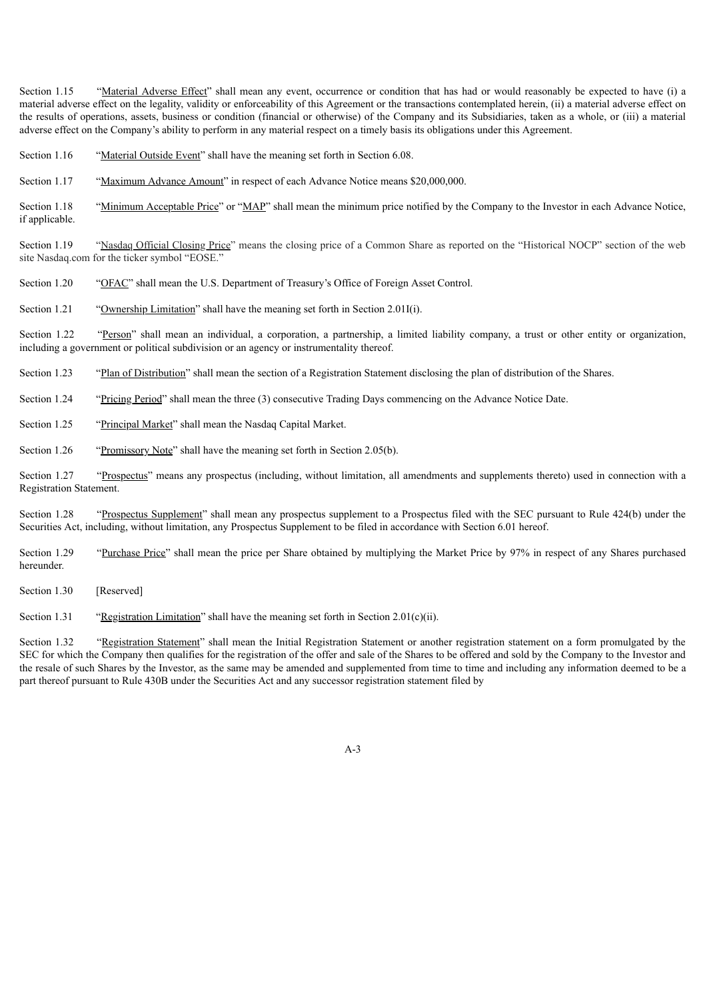Section 1.15 "Material Adverse Effect" shall mean any event, occurrence or condition that has had or would reasonably be expected to have (i) a material adverse effect on the legality, validity or enforceability of this Agreement or the transactions contemplated herein, (ii) a material adverse effect on the results of operations, assets, business or condition (financial or otherwise) of the Company and its Subsidiaries, taken as a whole, or (iii) a material adverse effect on the Company's ability to perform in any material respect on a timely basis its obligations under this Agreement.

- Section 1.16 "Material Outside Event" shall have the meaning set forth in Section 6.08.
- Section 1.17 "Maximum Advance Amount" in respect of each Advance Notice means \$20,000,000.

Section 1.18 "Minimum Acceptable Price" or "MAP" shall mean the minimum price notified by the Company to the Investor in each Advance Notice, if applicable.

Section 1.19 "Nasdaq Official Closing Price" means the closing price of a Common Share as reported on the "Historical NOCP" section of the web site Nasdaq.com for the ticker symbol "EOSE."

Section 1.20 "OFAC" shall mean the U.S. Department of Treasury's Office of Foreign Asset Control.

Section 1.21 "Ownership Limitation" shall have the meaning set forth in Section 2.01I(i).

Section 1.22 "Person" shall mean an individual, a corporation, a partnership, a limited liability company, a trust or other entity or organization, including a government or political subdivision or an agency or instrumentality thereof.

Section 1.23 "Plan of Distribution" shall mean the section of a Registration Statement disclosing the plan of distribution of the Shares.

Section 1.24 "Pricing Period" shall mean the three (3) consecutive Trading Days commencing on the Advance Notice Date.

- Section 1.25 "Principal Market" shall mean the Nasdaq Capital Market.
- Section 1.26 "Promissory Note" shall have the meaning set forth in Section 2.05(b).

Section 1.27 "Prospectus" means any prospectus (including, without limitation, all amendments and supplements thereto) used in connection with a Registration Statement.

Section 1.28 "Prospectus Supplement" shall mean any prospectus supplement to a Prospectus filed with the SEC pursuant to Rule 424(b) under the Securities Act, including, without limitation, any Prospectus Supplement to be filed in accordance with Section 6.01 hereof.

Section 1.29 "Purchase Price" shall mean the price per Share obtained by multiplying the Market Price by 97% in respect of any Shares purchased hereunder.

Section 1.30 [Reserved]

Section 1.31 "Registration Limitation" shall have the meaning set forth in Section 2.01(c)(ii).

Section 1.32 "Registration Statement" shall mean the Initial Registration Statement or another registration statement on a form promulgated by the SEC for which the Company then qualifies for the registration of the offer and sale of the Shares to be offered and sold by the Company to the Investor and the resale of such Shares by the Investor, as the same may be amended and supplemented from time to time and including any information deemed to be a part thereof pursuant to Rule 430B under the Securities Act and any successor registration statement filed by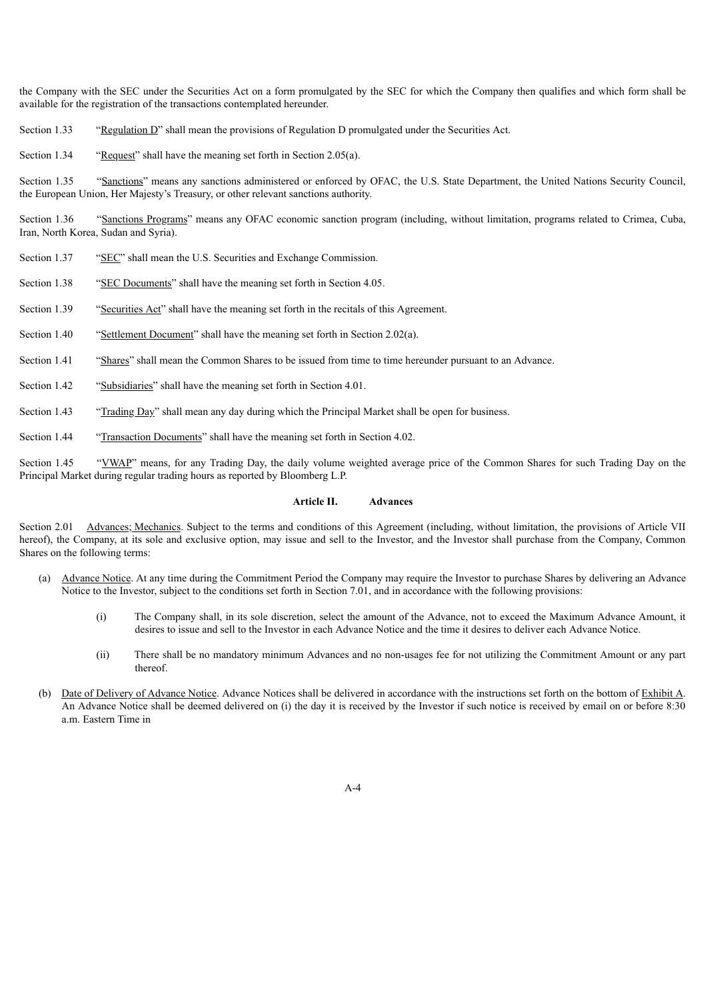the Company with the SEC under the Securities Act on a form promulgated by the SEC for which the Company then qualifies and which form shall be available for the registration of the transactions contemplated hereunder.

Section 1.33 "Regulation D" shall mean the provisions of Regulation D promulgated under the Securities Act.

Section 1.34 "Request" shall have the meaning set forth in Section 2.05(a).

Section 1.35 "Sanctions" means any sanctions administered or enforced by OFAC, the U.S. State Department, the United Nations Security Council, the European Union, Her Majesty's Treasury, or other relevant sanctions authority.

Section 1.36 "Sanctions Programs" means any OFAC economic sanction program (including, without limitation, programs related to Crimea, Cuba, Iran, North Korea, Sudan and Syria).

- Section 1.37 "SEC" shall mean the U.S. Securities and Exchange Commission.
- Section 1.38 "SEC Documents" shall have the meaning set forth in Section 4.05.
- Section 1.39 "Securities Act" shall have the meaning set forth in the recitals of this Agreement.
- Section 1.40 "Settlement Document" shall have the meaning set forth in Section 2.02(a).
- Section 1.41 "Shares" shall mean the Common Shares to be issued from time to time hereunder pursuant to an Advance.
- Section 1.42 "Subsidiaries" shall have the meaning set forth in Section 4.01.
- Section 1.43 "Trading Day" shall mean any day during which the Principal Market shall be open for business.
- Section 1.44 "Transaction Documents" shall have the meaning set forth in Section 4.02.

Section 1.45 "VWAP" means, for any Trading Day, the daily volume weighted average price of the Common Shares for such Trading Day on the Principal Market during regular trading hours as reported by Bloomberg L.P.

# **Article II. Advances**

Section 2.01 Advances; Mechanics. Subject to the terms and conditions of this Agreement (including, without limitation, the provisions of Article VII hereof), the Company, at its sole and exclusive option, may issue and sell to the Investor, and the Investor shall purchase from the Company, Common Shares on the following terms:

- (a) Advance Notice. At any time during the Commitment Period the Company may require the Investor to purchase Shares by delivering an Advance Notice to the Investor, subject to the conditions set forth in Section 7.01, and in accordance with the following provisions:
	- (i) The Company shall, in its sole discretion, select the amount of the Advance, not to exceed the Maximum Advance Amount, it desires to issue and sell to the Investor in each Advance Notice and the time it desires to deliver each Advance Notice.
	- (ii) There shall be no mandatory minimum Advances and no non-usages fee for not utilizing the Commitment Amount or any part thereof.
- (b) Date of Delivery of Advance Notice. Advance Notices shall be delivered in accordance with the instructions set forth on the bottom of Exhibit A. An Advance Notice shall be deemed delivered on (i) the day it is received by the Investor if such notice is received by email on or before 8:30 a.m. Eastern Time in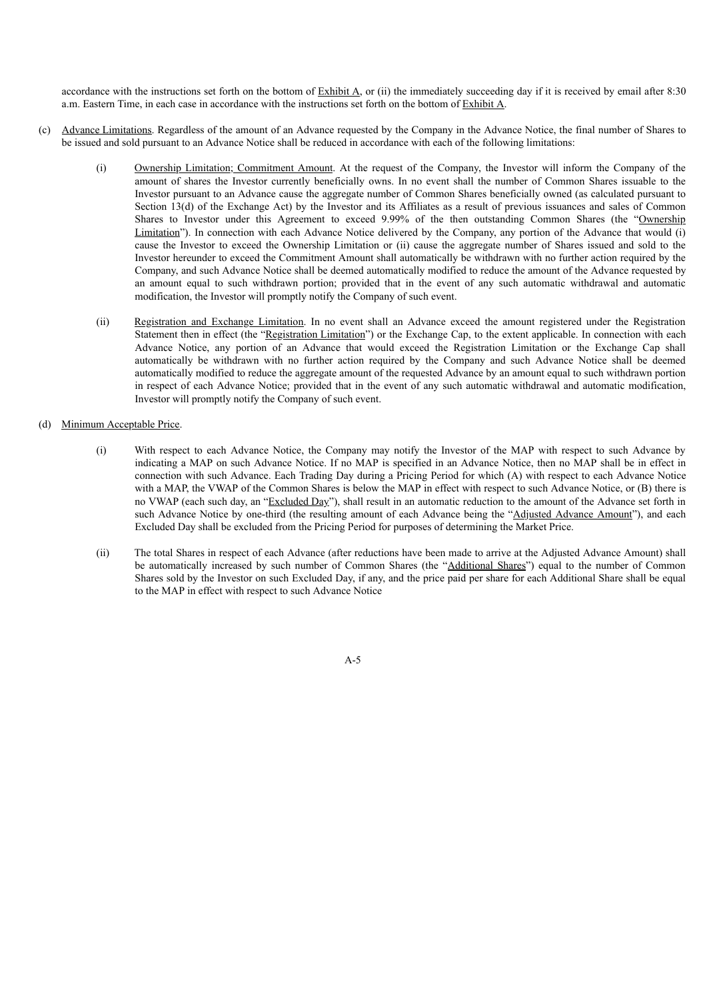accordance with the instructions set forth on the bottom of  $\frac{Exhibit A}{A}$ , or (ii) the immediately succeeding day if it is received by email after 8:30 a.m. Eastern Time, in each case in accordance with the instructions set forth on the bottom of Exhibit A.

- (c) Advance Limitations. Regardless of the amount of an Advance requested by the Company in the Advance Notice, the final number of Shares to be issued and sold pursuant to an Advance Notice shall be reduced in accordance with each of the following limitations:
	- (i) Ownership Limitation; Commitment Amount. At the request of the Company, the Investor will inform the Company of the amount of shares the Investor currently beneficially owns. In no event shall the number of Common Shares issuable to the Investor pursuant to an Advance cause the aggregate number of Common Shares beneficially owned (as calculated pursuant to Section 13(d) of the Exchange Act) by the Investor and its Affiliates as a result of previous issuances and sales of Common Shares to Investor under this Agreement to exceed 9.99% of the then outstanding Common Shares (the "Ownership Limitation"). In connection with each Advance Notice delivered by the Company, any portion of the Advance that would (i) cause the Investor to exceed the Ownership Limitation or (ii) cause the aggregate number of Shares issued and sold to the Investor hereunder to exceed the Commitment Amount shall automatically be withdrawn with no further action required by the Company, and such Advance Notice shall be deemed automatically modified to reduce the amount of the Advance requested by an amount equal to such withdrawn portion; provided that in the event of any such automatic withdrawal and automatic modification, the Investor will promptly notify the Company of such event.
	- (ii) Registration and Exchange Limitation. In no event shall an Advance exceed the amount registered under the Registration Statement then in effect (the "Registration Limitation") or the Exchange Cap, to the extent applicable. In connection with each Advance Notice, any portion of an Advance that would exceed the Registration Limitation or the Exchange Cap shall automatically be withdrawn with no further action required by the Company and such Advance Notice shall be deemed automatically modified to reduce the aggregate amount of the requested Advance by an amount equal to such withdrawn portion in respect of each Advance Notice; provided that in the event of any such automatic withdrawal and automatic modification, Investor will promptly notify the Company of such event.

# (d) Minimum Acceptable Price.

- (i) With respect to each Advance Notice, the Company may notify the Investor of the MAP with respect to such Advance by indicating a MAP on such Advance Notice. If no MAP is specified in an Advance Notice, then no MAP shall be in effect in connection with such Advance. Each Trading Day during a Pricing Period for which (A) with respect to each Advance Notice with a MAP, the VWAP of the Common Shares is below the MAP in effect with respect to such Advance Notice, or (B) there is no VWAP (each such day, an "Excluded Day"), shall result in an automatic reduction to the amount of the Advance set forth in such Advance Notice by one-third (the resulting amount of each Advance being the "Adjusted Advance Amount"), and each Excluded Day shall be excluded from the Pricing Period for purposes of determining the Market Price.
- (ii) The total Shares in respect of each Advance (after reductions have been made to arrive at the Adjusted Advance Amount) shall be automatically increased by such number of Common Shares (the "Additional Shares") equal to the number of Common Shares sold by the Investor on such Excluded Day, if any, and the price paid per share for each Additional Share shall be equal to the MAP in effect with respect to such Advance Notice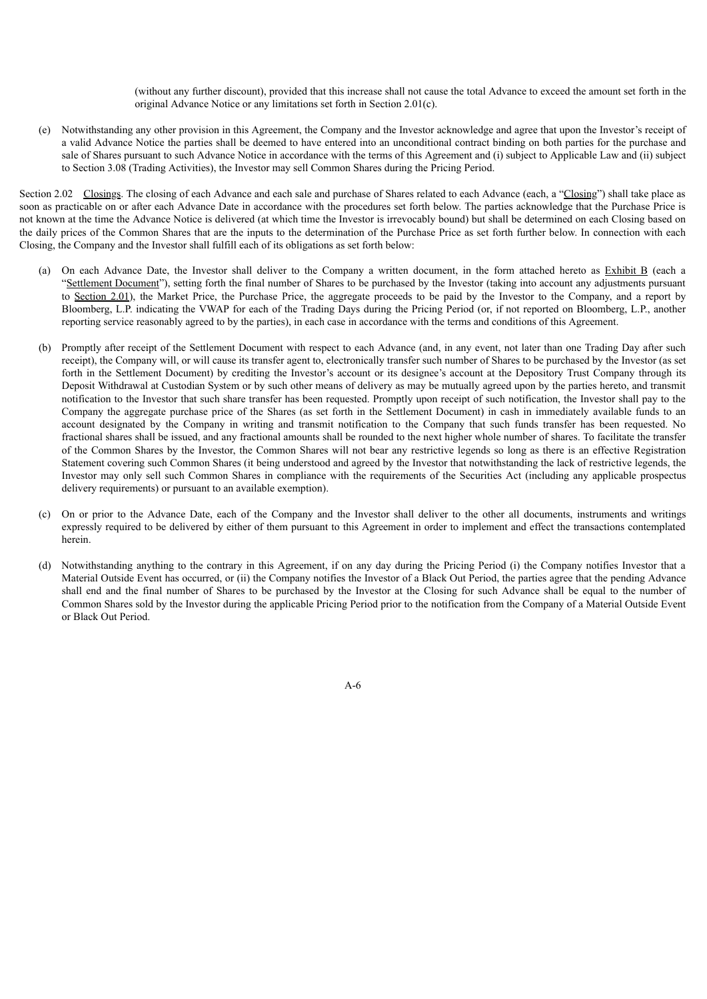(without any further discount), provided that this increase shall not cause the total Advance to exceed the amount set forth in the original Advance Notice or any limitations set forth in Section 2.01(c).

(e) Notwithstanding any other provision in this Agreement, the Company and the Investor acknowledge and agree that upon the Investor's receipt of a valid Advance Notice the parties shall be deemed to have entered into an unconditional contract binding on both parties for the purchase and sale of Shares pursuant to such Advance Notice in accordance with the terms of this Agreement and (i) subject to Applicable Law and (ii) subject to Section 3.08 (Trading Activities), the Investor may sell Common Shares during the Pricing Period.

Section 2.02 Closings. The closing of each Advance and each sale and purchase of Shares related to each Advance (each, a "Closing") shall take place as soon as practicable on or after each Advance Date in accordance with the procedures set forth below. The parties acknowledge that the Purchase Price is not known at the time the Advance Notice is delivered (at which time the Investor is irrevocably bound) but shall be determined on each Closing based on the daily prices of the Common Shares that are the inputs to the determination of the Purchase Price as set forth further below. In connection with each Closing, the Company and the Investor shall fulfill each of its obligations as set forth below:

- (a) On each Advance Date, the Investor shall deliver to the Company a written document, in the form attached hereto as Exhibit B (each a "Settlement Document"), setting forth the final number of Shares to be purchased by the Investor (taking into account any adjustments pursuant to Section 2.01), the Market Price, the Purchase Price, the aggregate proceeds to be paid by the Investor to the Company, and a report by Bloomberg, L.P. indicating the VWAP for each of the Trading Days during the Pricing Period (or, if not reported on Bloomberg, L.P., another reporting service reasonably agreed to by the parties), in each case in accordance with the terms and conditions of this Agreement.
- (b) Promptly after receipt of the Settlement Document with respect to each Advance (and, in any event, not later than one Trading Day after such receipt), the Company will, or will cause its transfer agent to, electronically transfer such number of Shares to be purchased by the Investor (as set forth in the Settlement Document) by crediting the Investor's account or its designee's account at the Depository Trust Company through its Deposit Withdrawal at Custodian System or by such other means of delivery as may be mutually agreed upon by the parties hereto, and transmit notification to the Investor that such share transfer has been requested. Promptly upon receipt of such notification, the Investor shall pay to the Company the aggregate purchase price of the Shares (as set forth in the Settlement Document) in cash in immediately available funds to an account designated by the Company in writing and transmit notification to the Company that such funds transfer has been requested. No fractional shares shall be issued, and any fractional amounts shall be rounded to the next higher whole number of shares. To facilitate the transfer of the Common Shares by the Investor, the Common Shares will not bear any restrictive legends so long as there is an effective Registration Statement covering such Common Shares (it being understood and agreed by the Investor that notwithstanding the lack of restrictive legends, the Investor may only sell such Common Shares in compliance with the requirements of the Securities Act (including any applicable prospectus delivery requirements) or pursuant to an available exemption).
- (c) On or prior to the Advance Date, each of the Company and the Investor shall deliver to the other all documents, instruments and writings expressly required to be delivered by either of them pursuant to this Agreement in order to implement and effect the transactions contemplated herein.
- (d) Notwithstanding anything to the contrary in this Agreement, if on any day during the Pricing Period (i) the Company notifies Investor that a Material Outside Event has occurred, or (ii) the Company notifies the Investor of a Black Out Period, the parties agree that the pending Advance shall end and the final number of Shares to be purchased by the Investor at the Closing for such Advance shall be equal to the number of Common Shares sold by the Investor during the applicable Pricing Period prior to the notification from the Company of a Material Outside Event or Black Out Period.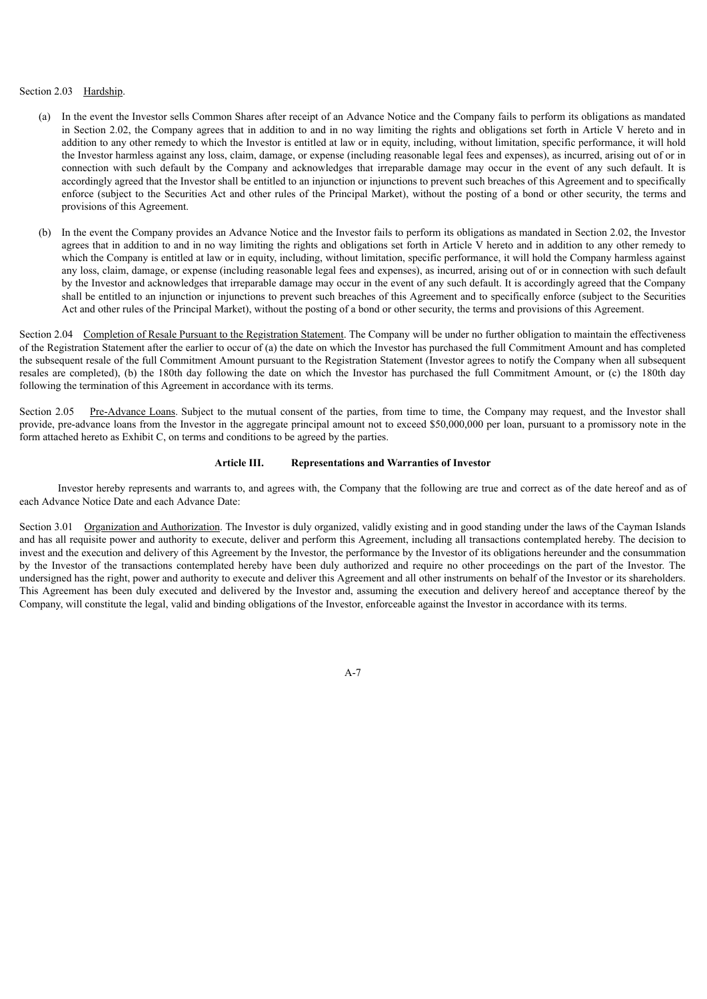# Section 2.03 Hardship.

- (a) In the event the Investor sells Common Shares after receipt of an Advance Notice and the Company fails to perform its obligations as mandated in Section 2.02, the Company agrees that in addition to and in no way limiting the rights and obligations set forth in Article V hereto and in addition to any other remedy to which the Investor is entitled at law or in equity, including, without limitation, specific performance, it will hold the Investor harmless against any loss, claim, damage, or expense (including reasonable legal fees and expenses), as incurred, arising out of or in connection with such default by the Company and acknowledges that irreparable damage may occur in the event of any such default. It is accordingly agreed that the Investor shall be entitled to an injunction or injunctions to prevent such breaches of this Agreement and to specifically enforce (subject to the Securities Act and other rules of the Principal Market), without the posting of a bond or other security, the terms and provisions of this Agreement.
- (b) In the event the Company provides an Advance Notice and the Investor fails to perform its obligations as mandated in Section 2.02, the Investor agrees that in addition to and in no way limiting the rights and obligations set forth in Article V hereto and in addition to any other remedy to which the Company is entitled at law or in equity, including, without limitation, specific performance, it will hold the Company harmless against any loss, claim, damage, or expense (including reasonable legal fees and expenses), as incurred, arising out of or in connection with such default by the Investor and acknowledges that irreparable damage may occur in the event of any such default. It is accordingly agreed that the Company shall be entitled to an injunction or injunctions to prevent such breaches of this Agreement and to specifically enforce (subject to the Securities Act and other rules of the Principal Market), without the posting of a bond or other security, the terms and provisions of this Agreement.

Section 2.04 Completion of Resale Pursuant to the Registration Statement. The Company will be under no further obligation to maintain the effectiveness of the Registration Statement after the earlier to occur of (a) the date on which the Investor has purchased the full Commitment Amount and has completed the subsequent resale of the full Commitment Amount pursuant to the Registration Statement (Investor agrees to notify the Company when all subsequent resales are completed), (b) the 180th day following the date on which the Investor has purchased the full Commitment Amount, or (c) the 180th day following the termination of this Agreement in accordance with its terms.

Section 2.05 Pre-Advance Loans. Subject to the mutual consent of the parties, from time to time, the Company may request, and the Investor shall provide, pre-advance loans from the Investor in the aggregate principal amount not to exceed \$50,000,000 per loan, pursuant to a promissory note in the form attached hereto as Exhibit C, on terms and conditions to be agreed by the parties.

# **Article III. Representations and Warranties of Investor**

Investor hereby represents and warrants to, and agrees with, the Company that the following are true and correct as of the date hereof and as of each Advance Notice Date and each Advance Date:

Section 3.01 Organization and Authorization. The Investor is duly organized, validly existing and in good standing under the laws of the Cayman Islands and has all requisite power and authority to execute, deliver and perform this Agreement, including all transactions contemplated hereby. The decision to invest and the execution and delivery of this Agreement by the Investor, the performance by the Investor of its obligations hereunder and the consummation by the Investor of the transactions contemplated hereby have been duly authorized and require no other proceedings on the part of the Investor. The undersigned has the right, power and authority to execute and deliver this Agreement and all other instruments on behalf of the Investor or its shareholders. This Agreement has been duly executed and delivered by the Investor and, assuming the execution and delivery hereof and acceptance thereof by the Company, will constitute the legal, valid and binding obligations of the Investor, enforceable against the Investor in accordance with its terms.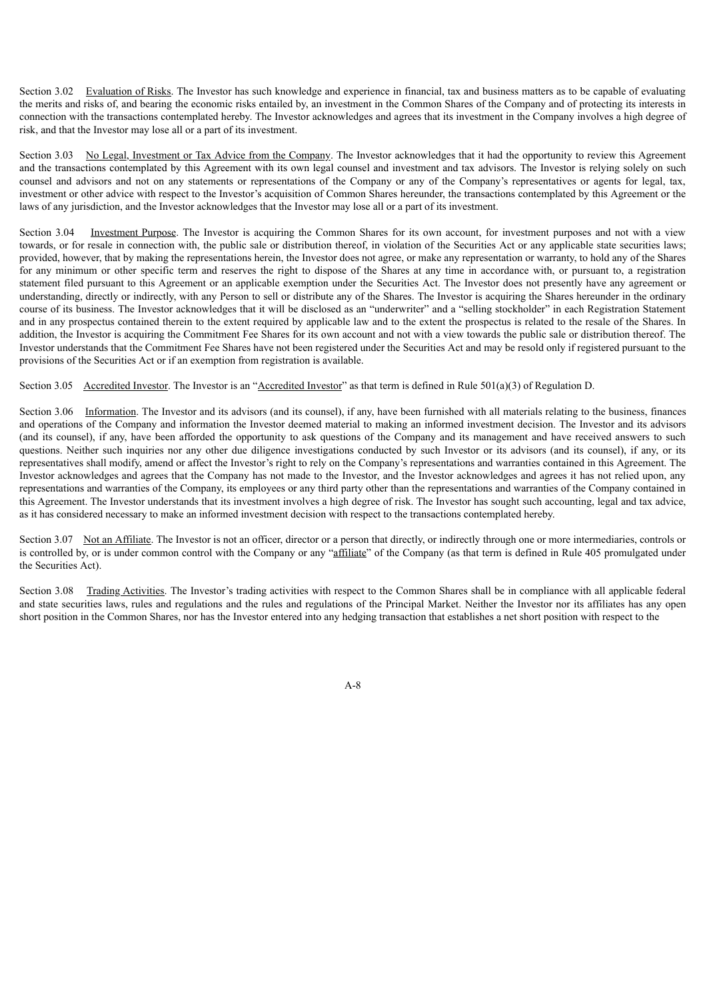Section 3.02 Evaluation of Risks. The Investor has such knowledge and experience in financial, tax and business matters as to be capable of evaluating the merits and risks of, and bearing the economic risks entailed by, an investment in the Common Shares of the Company and of protecting its interests in connection with the transactions contemplated hereby. The Investor acknowledges and agrees that its investment in the Company involves a high degree of risk, and that the Investor may lose all or a part of its investment.

Section 3.03 No Legal, Investment or Tax Advice from the Company. The Investor acknowledges that it had the opportunity to review this Agreement and the transactions contemplated by this Agreement with its own legal counsel and investment and tax advisors. The Investor is relying solely on such counsel and advisors and not on any statements or representations of the Company or any of the Company's representatives or agents for legal, tax, investment or other advice with respect to the Investor's acquisition of Common Shares hereunder, the transactions contemplated by this Agreement or the laws of any jurisdiction, and the Investor acknowledges that the Investor may lose all or a part of its investment.

Section 3.04 Investment Purpose. The Investor is acquiring the Common Shares for its own account, for investment purposes and not with a view towards, or for resale in connection with, the public sale or distribution thereof, in violation of the Securities Act or any applicable state securities laws; provided, however, that by making the representations herein, the Investor does not agree, or make any representation or warranty, to hold any of the Shares for any minimum or other specific term and reserves the right to dispose of the Shares at any time in accordance with, or pursuant to, a registration statement filed pursuant to this Agreement or an applicable exemption under the Securities Act. The Investor does not presently have any agreement or understanding, directly or indirectly, with any Person to sell or distribute any of the Shares. The Investor is acquiring the Shares hereunder in the ordinary course of its business. The Investor acknowledges that it will be disclosed as an "underwriter" and a "selling stockholder" in each Registration Statement and in any prospectus contained therein to the extent required by applicable law and to the extent the prospectus is related to the resale of the Shares. In addition, the Investor is acquiring the Commitment Fee Shares for its own account and not with a view towards the public sale or distribution thereof. The Investor understands that the Commitment Fee Shares have not been registered under the Securities Act and may be resold only if registered pursuant to the provisions of the Securities Act or if an exemption from registration is available.

Section 3.05 Accredited Investor. The Investor is an "Accredited Investor" as that term is defined in Rule 501(a)(3) of Regulation D.

Section 3.06 Information. The Investor and its advisors (and its counsel), if any, have been furnished with all materials relating to the business, finances and operations of the Company and information the Investor deemed material to making an informed investment decision. The Investor and its advisors (and its counsel), if any, have been afforded the opportunity to ask questions of the Company and its management and have received answers to such questions. Neither such inquiries nor any other due diligence investigations conducted by such Investor or its advisors (and its counsel), if any, or its representatives shall modify, amend or affect the Investor's right to rely on the Company's representations and warranties contained in this Agreement. The Investor acknowledges and agrees that the Company has not made to the Investor, and the Investor acknowledges and agrees it has not relied upon, any representations and warranties of the Company, its employees or any third party other than the representations and warranties of the Company contained in this Agreement. The Investor understands that its investment involves a high degree of risk. The Investor has sought such accounting, legal and tax advice, as it has considered necessary to make an informed investment decision with respect to the transactions contemplated hereby.

Section 3.07 Not an Affiliate. The Investor is not an officer, director or a person that directly, or indirectly through one or more intermediaries, controls or is controlled by, or is under common control with the Company or any "affiliate" of the Company (as that term is defined in Rule 405 promulgated under the Securities Act).

Section 3.08 Trading Activities. The Investor's trading activities with respect to the Common Shares shall be in compliance with all applicable federal and state securities laws, rules and regulations and the rules and regulations of the Principal Market. Neither the Investor nor its affiliates has any open short position in the Common Shares, nor has the Investor entered into any hedging transaction that establishes a net short position with respect to the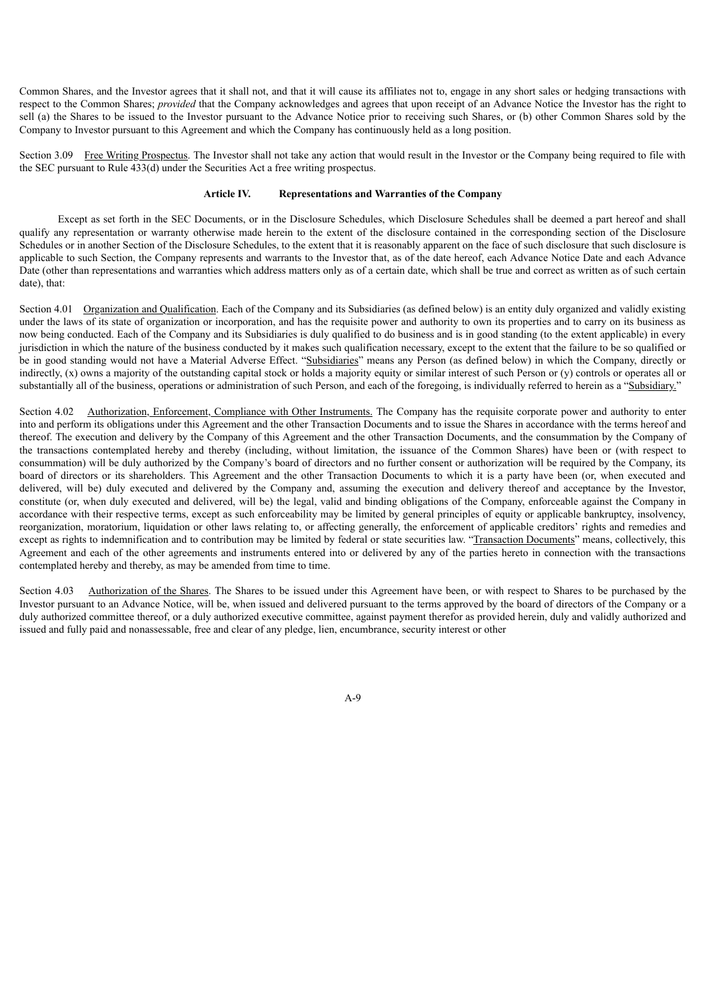Common Shares, and the Investor agrees that it shall not, and that it will cause its affiliates not to, engage in any short sales or hedging transactions with respect to the Common Shares; *provided* that the Company acknowledges and agrees that upon receipt of an Advance Notice the Investor has the right to sell (a) the Shares to be issued to the Investor pursuant to the Advance Notice prior to receiving such Shares, or (b) other Common Shares sold by the Company to Investor pursuant to this Agreement and which the Company has continuously held as a long position.

Section 3.09 Free Writing Prospectus. The Investor shall not take any action that would result in the Investor or the Company being required to file with the SEC pursuant to Rule 433(d) under the Securities Act a free writing prospectus.

# **Article IV. Representations and Warranties of the Company**

Except as set forth in the SEC Documents, or in the Disclosure Schedules, which Disclosure Schedules shall be deemed a part hereof and shall qualify any representation or warranty otherwise made herein to the extent of the disclosure contained in the corresponding section of the Disclosure Schedules or in another Section of the Disclosure Schedules, to the extent that it is reasonably apparent on the face of such disclosure that such disclosure is applicable to such Section, the Company represents and warrants to the Investor that, as of the date hereof, each Advance Notice Date and each Advance Date (other than representations and warranties which address matters only as of a certain date, which shall be true and correct as written as of such certain date), that:

Section 4.01 Organization and Qualification. Each of the Company and its Subsidiaries (as defined below) is an entity duly organized and validly existing under the laws of its state of organization or incorporation, and has the requisite power and authority to own its properties and to carry on its business as now being conducted. Each of the Company and its Subsidiaries is duly qualified to do business and is in good standing (to the extent applicable) in every jurisdiction in which the nature of the business conducted by it makes such qualification necessary, except to the extent that the failure to be so qualified or be in good standing would not have a Material Adverse Effect. "Subsidiaries" means any Person (as defined below) in which the Company, directly or indirectly, (x) owns a majority of the outstanding capital stock or holds a majority equity or similar interest of such Person or (y) controls or operates all or substantially all of the business, operations or administration of such Person, and each of the foregoing, is individually referred to herein as a "Subsidiary."

Section 4.02 Authorization, Enforcement, Compliance with Other Instruments. The Company has the requisite corporate power and authority to enter into and perform its obligations under this Agreement and the other Transaction Documents and to issue the Shares in accordance with the terms hereof and thereof. The execution and delivery by the Company of this Agreement and the other Transaction Documents, and the consummation by the Company of the transactions contemplated hereby and thereby (including, without limitation, the issuance of the Common Shares) have been or (with respect to consummation) will be duly authorized by the Company's board of directors and no further consent or authorization will be required by the Company, its board of directors or its shareholders. This Agreement and the other Transaction Documents to which it is a party have been (or, when executed and delivered, will be) duly executed and delivered by the Company and, assuming the execution and delivery thereof and acceptance by the Investor, constitute (or, when duly executed and delivered, will be) the legal, valid and binding obligations of the Company, enforceable against the Company in accordance with their respective terms, except as such enforceability may be limited by general principles of equity or applicable bankruptcy, insolvency, reorganization, moratorium, liquidation or other laws relating to, or affecting generally, the enforcement of applicable creditors' rights and remedies and except as rights to indemnification and to contribution may be limited by federal or state securities law. "Transaction Documents" means, collectively, this Agreement and each of the other agreements and instruments entered into or delivered by any of the parties hereto in connection with the transactions contemplated hereby and thereby, as may be amended from time to time.

Section 4.03 Authorization of the Shares. The Shares to be issued under this Agreement have been, or with respect to Shares to be purchased by the Investor pursuant to an Advance Notice, will be, when issued and delivered pursuant to the terms approved by the board of directors of the Company or a duly authorized committee thereof, or a duly authorized executive committee, against payment therefor as provided herein, duly and validly authorized and issued and fully paid and nonassessable, free and clear of any pledge, lien, encumbrance, security interest or other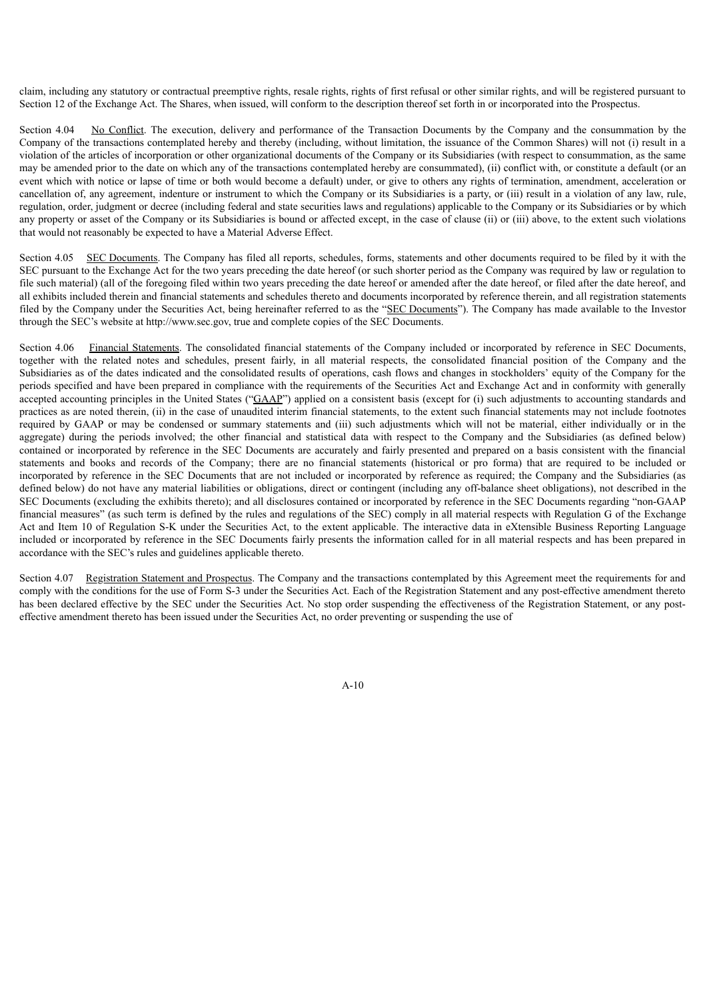claim, including any statutory or contractual preemptive rights, resale rights, rights of first refusal or other similar rights, and will be registered pursuant to Section 12 of the Exchange Act. The Shares, when issued, will conform to the description thereof set forth in or incorporated into the Prospectus.

Section 4.04 No Conflict. The execution, delivery and performance of the Transaction Documents by the Company and the consummation by the Company of the transactions contemplated hereby and thereby (including, without limitation, the issuance of the Common Shares) will not (i) result in a violation of the articles of incorporation or other organizational documents of the Company or its Subsidiaries (with respect to consummation, as the same may be amended prior to the date on which any of the transactions contemplated hereby are consummated), (ii) conflict with, or constitute a default (or an event which with notice or lapse of time or both would become a default) under, or give to others any rights of termination, amendment, acceleration or cancellation of, any agreement, indenture or instrument to which the Company or its Subsidiaries is a party, or (iii) result in a violation of any law, rule, regulation, order, judgment or decree (including federal and state securities laws and regulations) applicable to the Company or its Subsidiaries or by which any property or asset of the Company or its Subsidiaries is bound or affected except, in the case of clause (ii) or (iii) above, to the extent such violations that would not reasonably be expected to have a Material Adverse Effect.

Section 4.05 SEC Documents. The Company has filed all reports, schedules, forms, statements and other documents required to be filed by it with the SEC pursuant to the Exchange Act for the two years preceding the date hereof (or such shorter period as the Company was required by law or regulation to file such material) (all of the foregoing filed within two years preceding the date hereof or amended after the date hereof, or filed after the date hereof, and all exhibits included therein and financial statements and schedules thereto and documents incorporated by reference therein, and all registration statements filed by the Company under the Securities Act, being hereinafter referred to as the "SEC Documents"). The Company has made available to the Investor through the SEC's website at http://www.sec.gov, true and complete copies of the SEC Documents.

Section 4.06 Financial Statements. The consolidated financial statements of the Company included or incorporated by reference in SEC Documents, together with the related notes and schedules, present fairly, in all material respects, the consolidated financial position of the Company and the Subsidiaries as of the dates indicated and the consolidated results of operations, cash flows and changes in stockholders' equity of the Company for the periods specified and have been prepared in compliance with the requirements of the Securities Act and Exchange Act and in conformity with generally accepted accounting principles in the United States ("GAAP") applied on a consistent basis (except for (i) such adjustments to accounting standards and practices as are noted therein, (ii) in the case of unaudited interim financial statements, to the extent such financial statements may not include footnotes required by GAAP or may be condensed or summary statements and (iii) such adjustments which will not be material, either individually or in the aggregate) during the periods involved; the other financial and statistical data with respect to the Company and the Subsidiaries (as defined below) contained or incorporated by reference in the SEC Documents are accurately and fairly presented and prepared on a basis consistent with the financial statements and books and records of the Company; there are no financial statements (historical or pro forma) that are required to be included or incorporated by reference in the SEC Documents that are not included or incorporated by reference as required; the Company and the Subsidiaries (as defined below) do not have any material liabilities or obligations, direct or contingent (including any off-balance sheet obligations), not described in the SEC Documents (excluding the exhibits thereto); and all disclosures contained or incorporated by reference in the SEC Documents regarding "non-GAAP financial measures" (as such term is defined by the rules and regulations of the SEC) comply in all material respects with Regulation G of the Exchange Act and Item 10 of Regulation S-K under the Securities Act, to the extent applicable. The interactive data in eXtensible Business Reporting Language included or incorporated by reference in the SEC Documents fairly presents the information called for in all material respects and has been prepared in accordance with the SEC's rules and guidelines applicable thereto.

Section 4.07 Registration Statement and Prospectus. The Company and the transactions contemplated by this Agreement meet the requirements for and comply with the conditions for the use of Form S-3 under the Securities Act. Each of the Registration Statement and any post-effective amendment thereto has been declared effective by the SEC under the Securities Act. No stop order suspending the effectiveness of the Registration Statement, or any posteffective amendment thereto has been issued under the Securities Act, no order preventing or suspending the use of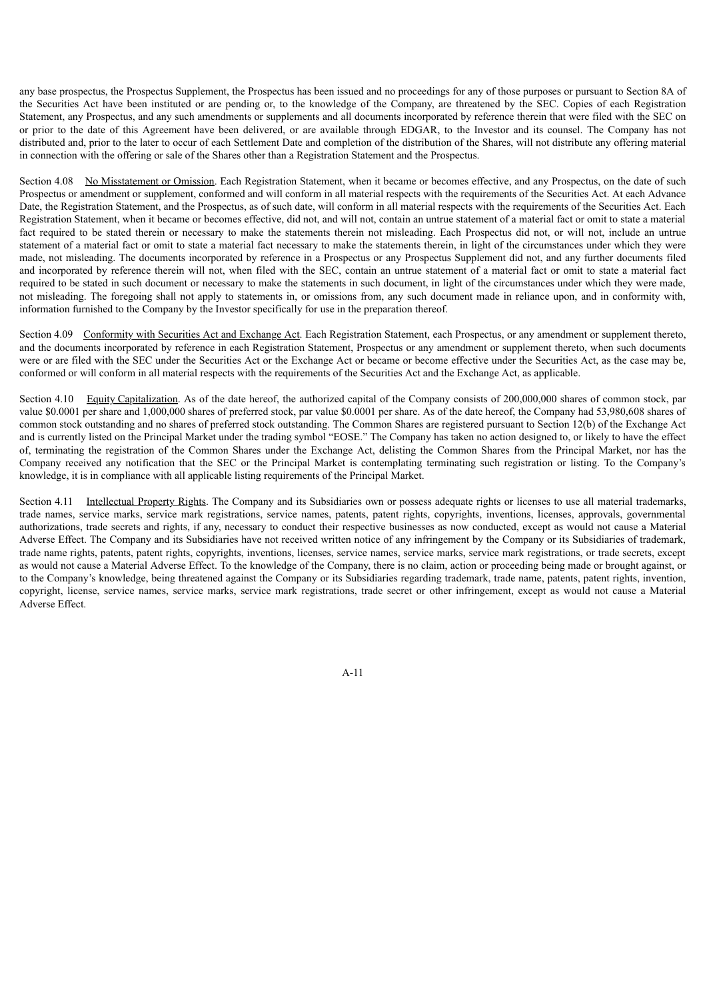any base prospectus, the Prospectus Supplement, the Prospectus has been issued and no proceedings for any of those purposes or pursuant to Section 8A of the Securities Act have been instituted or are pending or, to the knowledge of the Company, are threatened by the SEC. Copies of each Registration Statement, any Prospectus, and any such amendments or supplements and all documents incorporated by reference therein that were filed with the SEC on or prior to the date of this Agreement have been delivered, or are available through EDGAR, to the Investor and its counsel. The Company has not distributed and, prior to the later to occur of each Settlement Date and completion of the distribution of the Shares, will not distribute any offering material in connection with the offering or sale of the Shares other than a Registration Statement and the Prospectus.

Section 4.08 No Misstatement or Omission. Each Registration Statement, when it became or becomes effective, and any Prospectus, on the date of such Prospectus or amendment or supplement, conformed and will conform in all material respects with the requirements of the Securities Act. At each Advance Date, the Registration Statement, and the Prospectus, as of such date, will conform in all material respects with the requirements of the Securities Act. Each Registration Statement, when it became or becomes effective, did not, and will not, contain an untrue statement of a material fact or omit to state a material fact required to be stated therein or necessary to make the statements therein not misleading. Each Prospectus did not, or will not, include an untrue statement of a material fact or omit to state a material fact necessary to make the statements therein, in light of the circumstances under which they were made, not misleading. The documents incorporated by reference in a Prospectus or any Prospectus Supplement did not, and any further documents filed and incorporated by reference therein will not, when filed with the SEC, contain an untrue statement of a material fact or omit to state a material fact required to be stated in such document or necessary to make the statements in such document, in light of the circumstances under which they were made, not misleading. The foregoing shall not apply to statements in, or omissions from, any such document made in reliance upon, and in conformity with, information furnished to the Company by the Investor specifically for use in the preparation thereof.

Section 4.09 Conformity with Securities Act and Exchange Act. Each Registration Statement, each Prospectus, or any amendment or supplement thereto, and the documents incorporated by reference in each Registration Statement, Prospectus or any amendment or supplement thereto, when such documents were or are filed with the SEC under the Securities Act or the Exchange Act or became or become effective under the Securities Act, as the case may be, conformed or will conform in all material respects with the requirements of the Securities Act and the Exchange Act, as applicable.

Section 4.10 Equity Capitalization. As of the date hereof, the authorized capital of the Company consists of 200,000,000 shares of common stock, par value \$0.0001 per share and 1,000,000 shares of preferred stock, par value \$0.0001 per share. As of the date hereof, the Company had 53,980,608 shares of common stock outstanding and no shares of preferred stock outstanding. The Common Shares are registered pursuant to Section 12(b) of the Exchange Act and is currently listed on the Principal Market under the trading symbol "EOSE." The Company has taken no action designed to, or likely to have the effect of, terminating the registration of the Common Shares under the Exchange Act, delisting the Common Shares from the Principal Market, nor has the Company received any notification that the SEC or the Principal Market is contemplating terminating such registration or listing. To the Company's knowledge, it is in compliance with all applicable listing requirements of the Principal Market.

Section 4.11 Intellectual Property Rights. The Company and its Subsidiaries own or possess adequate rights or licenses to use all material trademarks, trade names, service marks, service mark registrations, service names, patents, patent rights, copyrights, inventions, licenses, approvals, governmental authorizations, trade secrets and rights, if any, necessary to conduct their respective businesses as now conducted, except as would not cause a Material Adverse Effect. The Company and its Subsidiaries have not received written notice of any infringement by the Company or its Subsidiaries of trademark, trade name rights, patents, patent rights, copyrights, inventions, licenses, service names, service marks, service mark registrations, or trade secrets, except as would not cause a Material Adverse Effect. To the knowledge of the Company, there is no claim, action or proceeding being made or brought against, or to the Company's knowledge, being threatened against the Company or its Subsidiaries regarding trademark, trade name, patents, patent rights, invention, copyright, license, service names, service marks, service mark registrations, trade secret or other infringement, except as would not cause a Material Adverse Effect.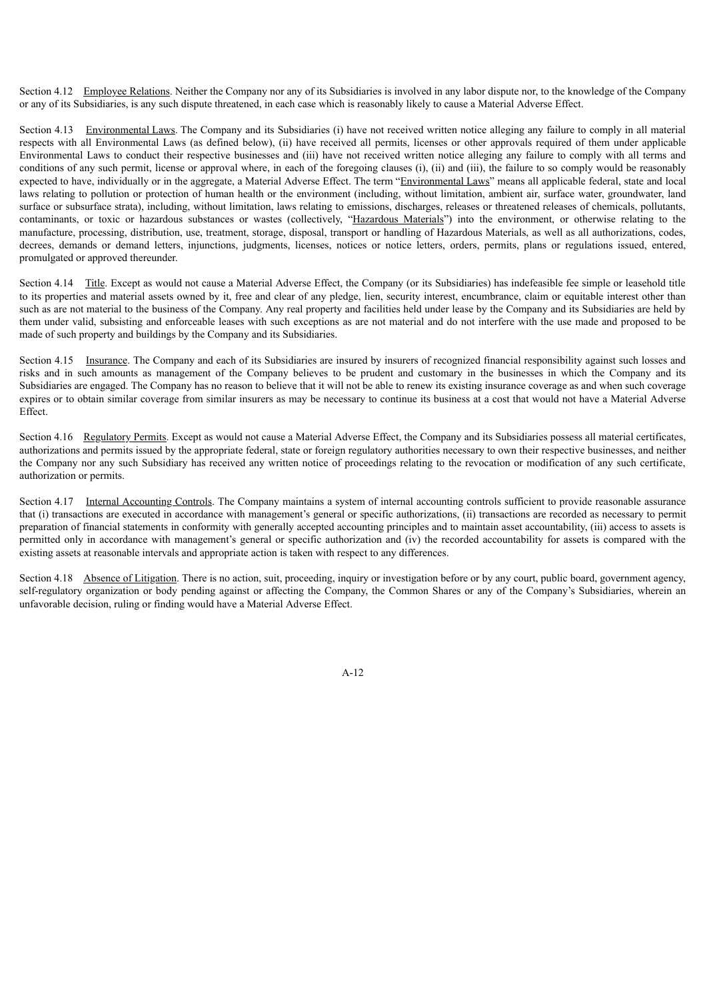Section 4.12 Employee Relations. Neither the Company nor any of its Subsidiaries is involved in any labor dispute nor, to the knowledge of the Company or any of its Subsidiaries, is any such dispute threatened, in each case which is reasonably likely to cause a Material Adverse Effect.

Section 4.13 Environmental Laws. The Company and its Subsidiaries (i) have not received written notice alleging any failure to comply in all material respects with all Environmental Laws (as defined below), (ii) have received all permits, licenses or other approvals required of them under applicable Environmental Laws to conduct their respective businesses and (iii) have not received written notice alleging any failure to comply with all terms and conditions of any such permit, license or approval where, in each of the foregoing clauses (i), (ii) and (iii), the failure to so comply would be reasonably expected to have, individually or in the aggregate, a Material Adverse Effect. The term "Environmental Laws" means all applicable federal, state and local laws relating to pollution or protection of human health or the environment (including, without limitation, ambient air, surface water, groundwater, land surface or subsurface strata), including, without limitation, laws relating to emissions, discharges, releases or threatened releases of chemicals, pollutants, contaminants, or toxic or hazardous substances or wastes (collectively, "Hazardous Materials") into the environment, or otherwise relating to the manufacture, processing, distribution, use, treatment, storage, disposal, transport or handling of Hazardous Materials, as well as all authorizations, codes, decrees, demands or demand letters, injunctions, judgments, licenses, notices or notice letters, orders, permits, plans or regulations issued, entered, promulgated or approved thereunder.

Section 4.14 Title. Except as would not cause a Material Adverse Effect, the Company (or its Subsidiaries) has indefeasible fee simple or leasehold title to its properties and material assets owned by it, free and clear of any pledge, lien, security interest, encumbrance, claim or equitable interest other than such as are not material to the business of the Company. Any real property and facilities held under lease by the Company and its Subsidiaries are held by them under valid, subsisting and enforceable leases with such exceptions as are not material and do not interfere with the use made and proposed to be made of such property and buildings by the Company and its Subsidiaries.

Section 4.15 Insurance. The Company and each of its Subsidiaries are insured by insurers of recognized financial responsibility against such losses and risks and in such amounts as management of the Company believes to be prudent and customary in the businesses in which the Company and its Subsidiaries are engaged. The Company has no reason to believe that it will not be able to renew its existing insurance coverage as and when such coverage expires or to obtain similar coverage from similar insurers as may be necessary to continue its business at a cost that would not have a Material Adverse Effect.

Section 4.16 Regulatory Permits. Except as would not cause a Material Adverse Effect, the Company and its Subsidiaries possess all material certificates, authorizations and permits issued by the appropriate federal, state or foreign regulatory authorities necessary to own their respective businesses, and neither the Company nor any such Subsidiary has received any written notice of proceedings relating to the revocation or modification of any such certificate, authorization or permits.

Section 4.17 Internal Accounting Controls. The Company maintains a system of internal accounting controls sufficient to provide reasonable assurance that (i) transactions are executed in accordance with management's general or specific authorizations, (ii) transactions are recorded as necessary to permit preparation of financial statements in conformity with generally accepted accounting principles and to maintain asset accountability, (iii) access to assets is permitted only in accordance with management's general or specific authorization and (iv) the recorded accountability for assets is compared with the existing assets at reasonable intervals and appropriate action is taken with respect to any differences.

Section 4.18 Absence of Litigation. There is no action, suit, proceeding, inquiry or investigation before or by any court, public board, government agency, self-regulatory organization or body pending against or affecting the Company, the Common Shares or any of the Company's Subsidiaries, wherein an unfavorable decision, ruling or finding would have a Material Adverse Effect.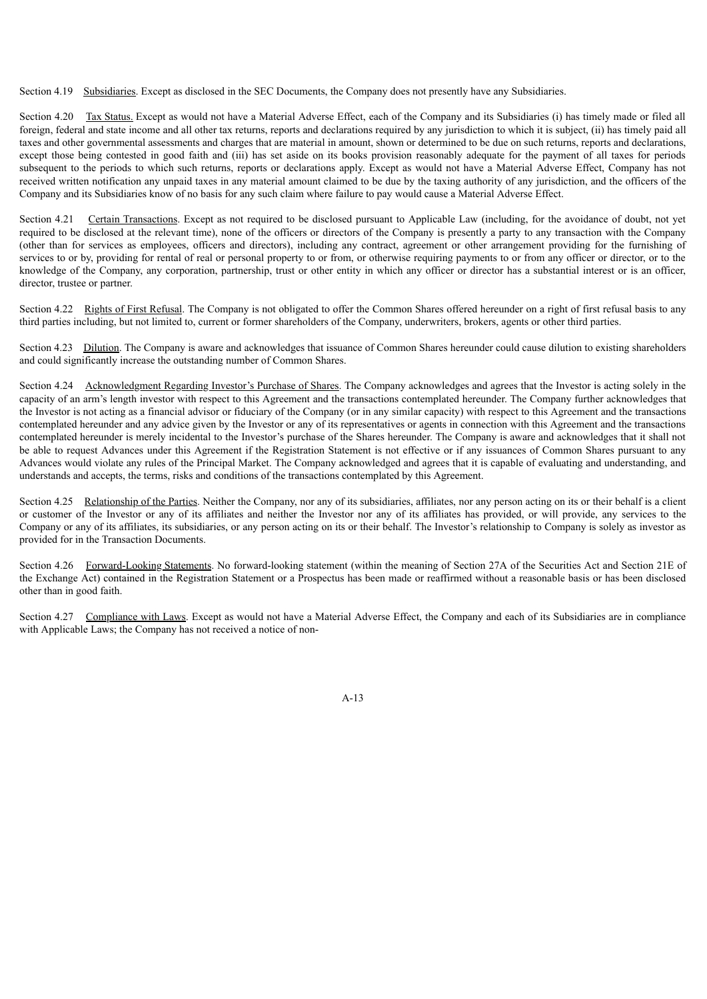Section 4.19 Subsidiaries. Except as disclosed in the SEC Documents, the Company does not presently have any Subsidiaries.

Section 4.20 Tax Status. Except as would not have a Material Adverse Effect, each of the Company and its Subsidiaries (i) has timely made or filed all foreign, federal and state income and all other tax returns, reports and declarations required by any jurisdiction to which it is subject, (ii) has timely paid all taxes and other governmental assessments and charges that are material in amount, shown or determined to be due on such returns, reports and declarations, except those being contested in good faith and (iii) has set aside on its books provision reasonably adequate for the payment of all taxes for periods subsequent to the periods to which such returns, reports or declarations apply. Except as would not have a Material Adverse Effect, Company has not received written notification any unpaid taxes in any material amount claimed to be due by the taxing authority of any jurisdiction, and the officers of the Company and its Subsidiaries know of no basis for any such claim where failure to pay would cause a Material Adverse Effect.

Section 4.21 Certain Transactions. Except as not required to be disclosed pursuant to Applicable Law (including, for the avoidance of doubt, not yet required to be disclosed at the relevant time), none of the officers or directors of the Company is presently a party to any transaction with the Company (other than for services as employees, officers and directors), including any contract, agreement or other arrangement providing for the furnishing of services to or by, providing for rental of real or personal property to or from, or otherwise requiring payments to or from any officer or director, or to the knowledge of the Company, any corporation, partnership, trust or other entity in which any officer or director has a substantial interest or is an officer, director, trustee or partner.

Section 4.22 Rights of First Refusal. The Company is not obligated to offer the Common Shares offered hereunder on a right of first refusal basis to any third parties including, but not limited to, current or former shareholders of the Company, underwriters, brokers, agents or other third parties.

Section 4.23 Dilution. The Company is aware and acknowledges that issuance of Common Shares hereunder could cause dilution to existing shareholders and could significantly increase the outstanding number of Common Shares.

Section 4.24 Acknowledgment Regarding Investor's Purchase of Shares. The Company acknowledges and agrees that the Investor is acting solely in the capacity of an arm's length investor with respect to this Agreement and the transactions contemplated hereunder. The Company further acknowledges that the Investor is not acting as a financial advisor or fiduciary of the Company (or in any similar capacity) with respect to this Agreement and the transactions contemplated hereunder and any advice given by the Investor or any of its representatives or agents in connection with this Agreement and the transactions contemplated hereunder is merely incidental to the Investor's purchase of the Shares hereunder. The Company is aware and acknowledges that it shall not be able to request Advances under this Agreement if the Registration Statement is not effective or if any issuances of Common Shares pursuant to any Advances would violate any rules of the Principal Market. The Company acknowledged and agrees that it is capable of evaluating and understanding, and understands and accepts, the terms, risks and conditions of the transactions contemplated by this Agreement.

Section 4.25 Relationship of the Parties. Neither the Company, nor any of its subsidiaries, affiliates, nor any person acting on its or their behalf is a client or customer of the Investor or any of its affiliates and neither the Investor nor any of its affiliates has provided, or will provide, any services to the Company or any of its affiliates, its subsidiaries, or any person acting on its or their behalf. The Investor's relationship to Company is solely as investor as provided for in the Transaction Documents.

Section 4.26 Forward-Looking Statements. No forward-looking statement (within the meaning of Section 27A of the Securities Act and Section 21E of the Exchange Act) contained in the Registration Statement or a Prospectus has been made or reaffirmed without a reasonable basis or has been disclosed other than in good faith.

Section 4.27 Compliance with Laws. Except as would not have a Material Adverse Effect, the Company and each of its Subsidiaries are in compliance with Applicable Laws; the Company has not received a notice of non-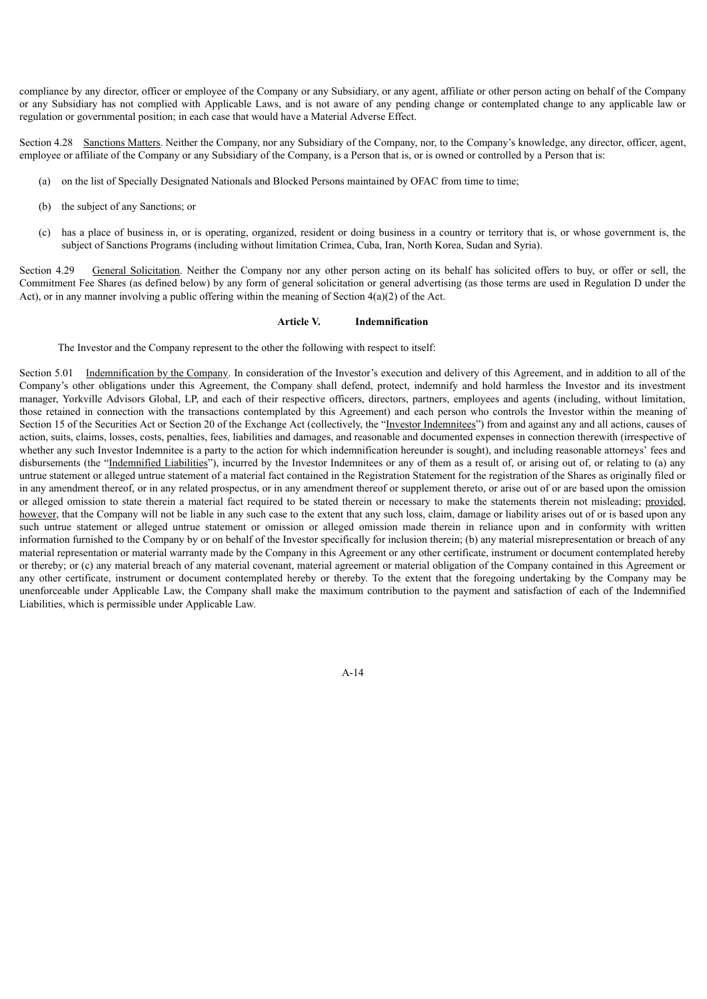compliance by any director, officer or employee of the Company or any Subsidiary, or any agent, affiliate or other person acting on behalf of the Company or any Subsidiary has not complied with Applicable Laws, and is not aware of any pending change or contemplated change to any applicable law or regulation or governmental position; in each case that would have a Material Adverse Effect.

Section 4.28 Sanctions Matters. Neither the Company, nor any Subsidiary of the Company, nor, to the Company's knowledge, any director, officer, agent, employee or affiliate of the Company or any Subsidiary of the Company, is a Person that is, or is owned or controlled by a Person that is:

- (a) on the list of Specially Designated Nationals and Blocked Persons maintained by OFAC from time to time;
- (b) the subject of any Sanctions; or
- (c) has a place of business in, or is operating, organized, resident or doing business in a country or territory that is, or whose government is, the subject of Sanctions Programs (including without limitation Crimea, Cuba, Iran, North Korea, Sudan and Syria).

Section 4.29 General Solicitation. Neither the Company nor any other person acting on its behalf has solicited offers to buy, or offer or sell, the Commitment Fee Shares (as defined below) by any form of general solicitation or general advertising (as those terms are used in Regulation D under the Act), or in any manner involving a public offering within the meaning of Section  $4(a)(2)$  of the Act.

#### **Article V. Indemnification**

The Investor and the Company represent to the other the following with respect to itself:

Section 5.01 Indemnification by the Company. In consideration of the Investor's execution and delivery of this Agreement, and in addition to all of the Company's other obligations under this Agreement, the Company shall defend, protect, indemnify and hold harmless the Investor and its investment manager, Yorkville Advisors Global, LP, and each of their respective officers, directors, partners, employees and agents (including, without limitation, those retained in connection with the transactions contemplated by this Agreement) and each person who controls the Investor within the meaning of Section 15 of the Securities Act or Section 20 of the Exchange Act (collectively, the "Investor Indemnitees") from and against any and all actions, causes of action, suits, claims, losses, costs, penalties, fees, liabilities and damages, and reasonable and documented expenses in connection therewith (irrespective of whether any such Investor Indemnitee is a party to the action for which indemnification hereunder is sought), and including reasonable attorneys' fees and disbursements (the "Indemnified Liabilities"), incurred by the Investor Indemnitees or any of them as a result of, or arising out of, or relating to (a) any untrue statement or alleged untrue statement of a material fact contained in the Registration Statement for the registration of the Shares as originally filed or in any amendment thereof, or in any related prospectus, or in any amendment thereof or supplement thereto, or arise out of or are based upon the omission or alleged omission to state therein a material fact required to be stated therein or necessary to make the statements therein not misleading; provided, however, that the Company will not be liable in any such case to the extent that any such loss, claim, damage or liability arises out of or is based upon any such untrue statement or alleged untrue statement or omission or alleged omission made therein in reliance upon and in conformity with written information furnished to the Company by or on behalf of the Investor specifically for inclusion therein; (b) any material misrepresentation or breach of any material representation or material warranty made by the Company in this Agreement or any other certificate, instrument or document contemplated hereby or thereby; or (c) any material breach of any material covenant, material agreement or material obligation of the Company contained in this Agreement or any other certificate, instrument or document contemplated hereby or thereby. To the extent that the foregoing undertaking by the Company may be unenforceable under Applicable Law, the Company shall make the maximum contribution to the payment and satisfaction of each of the Indemnified Liabilities, which is permissible under Applicable Law.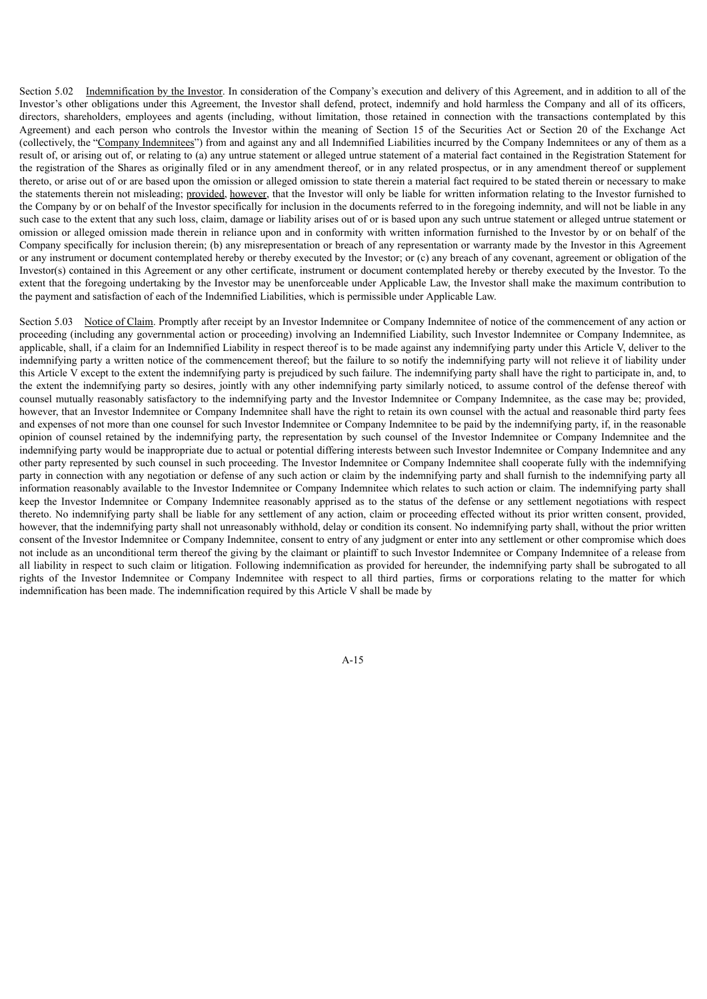Section 5.02 Indemnification by the Investor. In consideration of the Company's execution and delivery of this Agreement, and in addition to all of the Investor's other obligations under this Agreement, the Investor shall defend, protect, indemnify and hold harmless the Company and all of its officers, directors, shareholders, employees and agents (including, without limitation, those retained in connection with the transactions contemplated by this Agreement) and each person who controls the Investor within the meaning of Section 15 of the Securities Act or Section 20 of the Exchange Act (collectively, the "Company Indemnitees") from and against any and all Indemnified Liabilities incurred by the Company Indemnitees or any of them as a result of, or arising out of, or relating to (a) any untrue statement or alleged untrue statement of a material fact contained in the Registration Statement for the registration of the Shares as originally filed or in any amendment thereof, or in any related prospectus, or in any amendment thereof or supplement thereto, or arise out of or are based upon the omission or alleged omission to state therein a material fact required to be stated therein or necessary to make the statements therein not misleading; provided, however, that the Investor will only be liable for written information relating to the Investor furnished to the Company by or on behalf of the Investor specifically for inclusion in the documents referred to in the foregoing indemnity, and will not be liable in any such case to the extent that any such loss, claim, damage or liability arises out of or is based upon any such untrue statement or alleged untrue statement or omission or alleged omission made therein in reliance upon and in conformity with written information furnished to the Investor by or on behalf of the Company specifically for inclusion therein; (b) any misrepresentation or breach of any representation or warranty made by the Investor in this Agreement or any instrument or document contemplated hereby or thereby executed by the Investor; or (c) any breach of any covenant, agreement or obligation of the Investor(s) contained in this Agreement or any other certificate, instrument or document contemplated hereby or thereby executed by the Investor. To the extent that the foregoing undertaking by the Investor may be unenforceable under Applicable Law, the Investor shall make the maximum contribution to the payment and satisfaction of each of the Indemnified Liabilities, which is permissible under Applicable Law.

Section 5.03 Notice of Claim. Promptly after receipt by an Investor Indemnitee or Company Indemnitee of notice of the commencement of any action or proceeding (including any governmental action or proceeding) involving an Indemnified Liability, such Investor Indemnitee or Company Indemnitee, as applicable, shall, if a claim for an Indemnified Liability in respect thereof is to be made against any indemnifying party under this Article V, deliver to the indemnifying party a written notice of the commencement thereof; but the failure to so notify the indemnifying party will not relieve it of liability under this Article V except to the extent the indemnifying party is prejudiced by such failure. The indemnifying party shall have the right to participate in, and, to the extent the indemnifying party so desires, jointly with any other indemnifying party similarly noticed, to assume control of the defense thereof with counsel mutually reasonably satisfactory to the indemnifying party and the Investor Indemnitee or Company Indemnitee, as the case may be; provided, however, that an Investor Indemnitee or Company Indemnitee shall have the right to retain its own counsel with the actual and reasonable third party fees and expenses of not more than one counsel for such Investor Indemnitee or Company Indemnitee to be paid by the indemnifying party, if, in the reasonable opinion of counsel retained by the indemnifying party, the representation by such counsel of the Investor Indemnitee or Company Indemnitee and the indemnifying party would be inappropriate due to actual or potential differing interests between such Investor Indemnitee or Company Indemnitee and any other party represented by such counsel in such proceeding. The Investor Indemnitee or Company Indemnitee shall cooperate fully with the indemnifying party in connection with any negotiation or defense of any such action or claim by the indemnifying party and shall furnish to the indemnifying party all information reasonably available to the Investor Indemnitee or Company Indemnitee which relates to such action or claim. The indemnifying party shall keep the Investor Indemnitee or Company Indemnitee reasonably apprised as to the status of the defense or any settlement negotiations with respect thereto. No indemnifying party shall be liable for any settlement of any action, claim or proceeding effected without its prior written consent, provided, however, that the indemnifying party shall not unreasonably withhold, delay or condition its consent. No indemnifying party shall, without the prior written consent of the Investor Indemnitee or Company Indemnitee, consent to entry of any judgment or enter into any settlement or other compromise which does not include as an unconditional term thereof the giving by the claimant or plaintiff to such Investor Indemnitee or Company Indemnitee of a release from all liability in respect to such claim or litigation. Following indemnification as provided for hereunder, the indemnifying party shall be subrogated to all rights of the Investor Indemnitee or Company Indemnitee with respect to all third parties, firms or corporations relating to the matter for which indemnification has been made. The indemnification required by this Article V shall be made by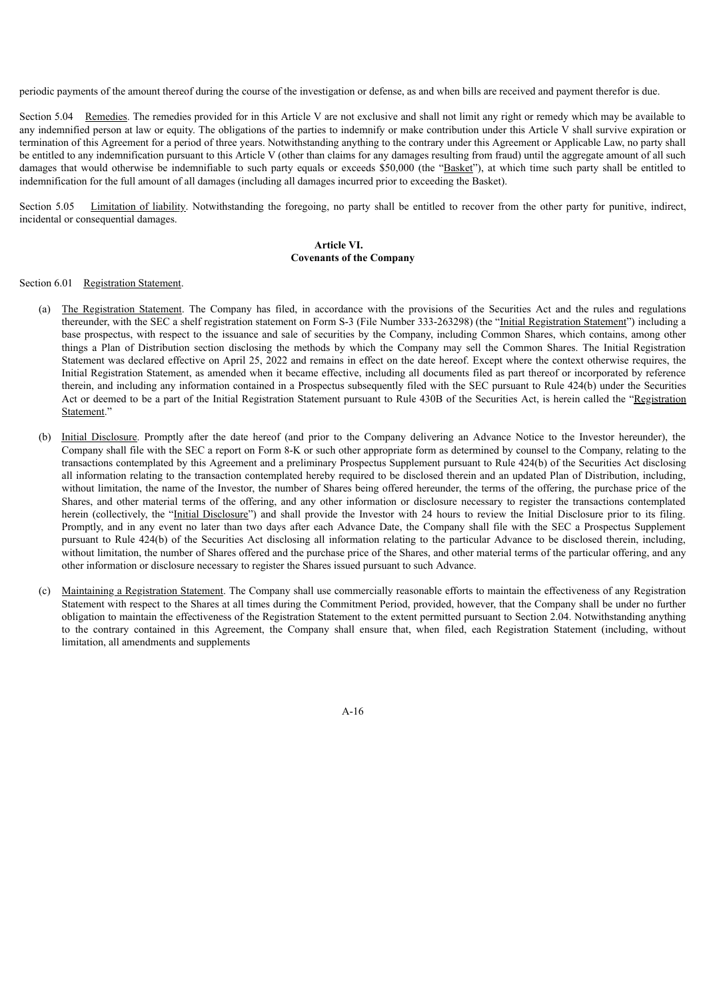periodic payments of the amount thereof during the course of the investigation or defense, as and when bills are received and payment therefor is due.

Section 5.04 Remedies. The remedies provided for in this Article V are not exclusive and shall not limit any right or remedy which may be available to any indemnified person at law or equity. The obligations of the parties to indemnify or make contribution under this Article V shall survive expiration or termination of this Agreement for a period of three years. Notwithstanding anything to the contrary under this Agreement or Applicable Law, no party shall be entitled to any indemnification pursuant to this Article V (other than claims for any damages resulting from fraud) until the aggregate amount of all such damages that would otherwise be indemnifiable to such party equals or exceeds \$50,000 (the "Basket"), at which time such party shall be entitled to indemnification for the full amount of all damages (including all damages incurred prior to exceeding the Basket).

Section 5.05 Limitation of liability. Notwithstanding the foregoing, no party shall be entitled to recover from the other party for punitive, indirect, incidental or consequential damages.

# **Article VI. Covenants of the Company**

# Section 6.01 Registration Statement.

- (a) The Registration Statement. The Company has filed, in accordance with the provisions of the Securities Act and the rules and regulations thereunder, with the SEC a shelf registration statement on Form S-3 (File Number 333-263298) (the "Initial Registration Statement") including a base prospectus, with respect to the issuance and sale of securities by the Company, including Common Shares, which contains, among other things a Plan of Distribution section disclosing the methods by which the Company may sell the Common Shares. The Initial Registration Statement was declared effective on April 25, 2022 and remains in effect on the date hereof. Except where the context otherwise requires, the Initial Registration Statement, as amended when it became effective, including all documents filed as part thereof or incorporated by reference therein, and including any information contained in a Prospectus subsequently filed with the SEC pursuant to Rule 424(b) under the Securities Act or deemed to be a part of the Initial Registration Statement pursuant to Rule 430B of the Securities Act, is herein called the "Registration Statement."
- (b) Initial Disclosure. Promptly after the date hereof (and prior to the Company delivering an Advance Notice to the Investor hereunder), the Company shall file with the SEC a report on Form 8-K or such other appropriate form as determined by counsel to the Company, relating to the transactions contemplated by this Agreement and a preliminary Prospectus Supplement pursuant to Rule 424(b) of the Securities Act disclosing all information relating to the transaction contemplated hereby required to be disclosed therein and an updated Plan of Distribution, including, without limitation, the name of the Investor, the number of Shares being offered hereunder, the terms of the offering, the purchase price of the Shares, and other material terms of the offering, and any other information or disclosure necessary to register the transactions contemplated herein (collectively, the "Initial Disclosure") and shall provide the Investor with 24 hours to review the Initial Disclosure prior to its filing. Promptly, and in any event no later than two days after each Advance Date, the Company shall file with the SEC a Prospectus Supplement pursuant to Rule 424(b) of the Securities Act disclosing all information relating to the particular Advance to be disclosed therein, including, without limitation, the number of Shares offered and the purchase price of the Shares, and other material terms of the particular offering, and any other information or disclosure necessary to register the Shares issued pursuant to such Advance.
- (c) Maintaining a Registration Statement. The Company shall use commercially reasonable efforts to maintain the effectiveness of any Registration Statement with respect to the Shares at all times during the Commitment Period, provided, however, that the Company shall be under no further obligation to maintain the effectiveness of the Registration Statement to the extent permitted pursuant to Section 2.04. Notwithstanding anything to the contrary contained in this Agreement, the Company shall ensure that, when filed, each Registration Statement (including, without limitation, all amendments and supplements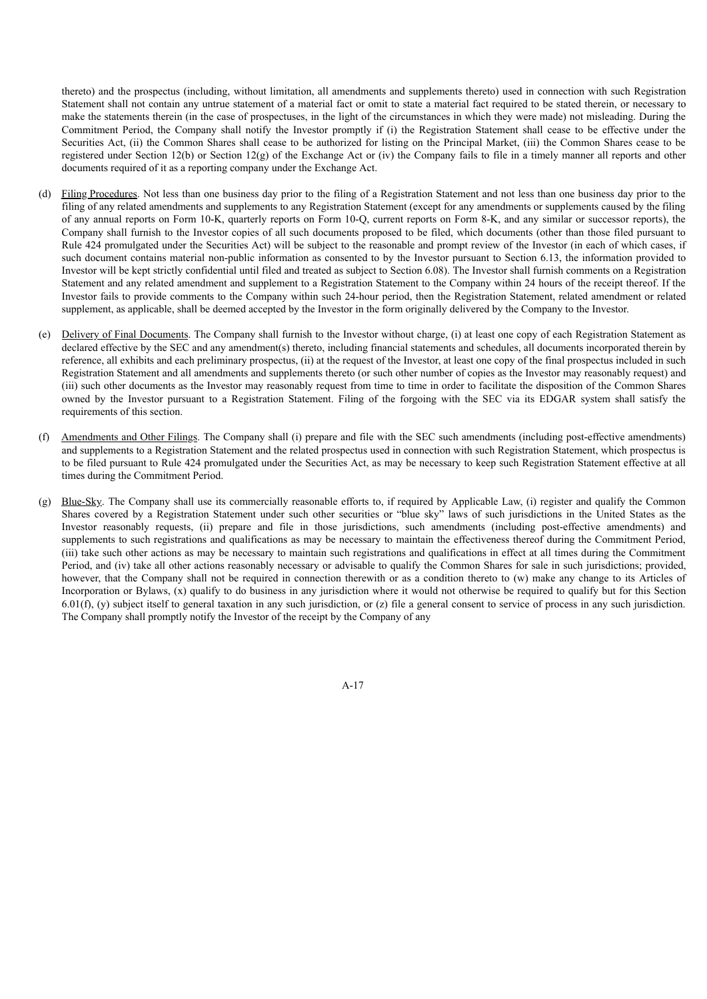thereto) and the prospectus (including, without limitation, all amendments and supplements thereto) used in connection with such Registration Statement shall not contain any untrue statement of a material fact or omit to state a material fact required to be stated therein, or necessary to make the statements therein (in the case of prospectuses, in the light of the circumstances in which they were made) not misleading. During the Commitment Period, the Company shall notify the Investor promptly if (i) the Registration Statement shall cease to be effective under the Securities Act, (ii) the Common Shares shall cease to be authorized for listing on the Principal Market, (iii) the Common Shares cease to be registered under Section 12(b) or Section 12(g) of the Exchange Act or (iv) the Company fails to file in a timely manner all reports and other documents required of it as a reporting company under the Exchange Act.

- (d) Filing Procedures. Not less than one business day prior to the filing of a Registration Statement and not less than one business day prior to the filing of any related amendments and supplements to any Registration Statement (except for any amendments or supplements caused by the filing of any annual reports on Form 10-K, quarterly reports on Form 10-Q, current reports on Form 8-K, and any similar or successor reports), the Company shall furnish to the Investor copies of all such documents proposed to be filed, which documents (other than those filed pursuant to Rule 424 promulgated under the Securities Act) will be subject to the reasonable and prompt review of the Investor (in each of which cases, if such document contains material non-public information as consented to by the Investor pursuant to Section 6.13, the information provided to Investor will be kept strictly confidential until filed and treated as subject to Section 6.08). The Investor shall furnish comments on a Registration Statement and any related amendment and supplement to a Registration Statement to the Company within 24 hours of the receipt thereof. If the Investor fails to provide comments to the Company within such 24-hour period, then the Registration Statement, related amendment or related supplement, as applicable, shall be deemed accepted by the Investor in the form originally delivered by the Company to the Investor.
- (e) Delivery of Final Documents. The Company shall furnish to the Investor without charge, (i) at least one copy of each Registration Statement as declared effective by the SEC and any amendment(s) thereto, including financial statements and schedules, all documents incorporated therein by reference, all exhibits and each preliminary prospectus, (ii) at the request of the Investor, at least one copy of the final prospectus included in such Registration Statement and all amendments and supplements thereto (or such other number of copies as the Investor may reasonably request) and (iii) such other documents as the Investor may reasonably request from time to time in order to facilitate the disposition of the Common Shares owned by the Investor pursuant to a Registration Statement. Filing of the forgoing with the SEC via its EDGAR system shall satisfy the requirements of this section.
- (f) Amendments and Other Filings. The Company shall (i) prepare and file with the SEC such amendments (including post-effective amendments) and supplements to a Registration Statement and the related prospectus used in connection with such Registration Statement, which prospectus is to be filed pursuant to Rule 424 promulgated under the Securities Act, as may be necessary to keep such Registration Statement effective at all times during the Commitment Period.
- (g) Blue-Sky. The Company shall use its commercially reasonable efforts to, if required by Applicable Law, (i) register and qualify the Common Shares covered by a Registration Statement under such other securities or "blue sky" laws of such jurisdictions in the United States as the Investor reasonably requests, (ii) prepare and file in those jurisdictions, such amendments (including post-effective amendments) and supplements to such registrations and qualifications as may be necessary to maintain the effectiveness thereof during the Commitment Period, (iii) take such other actions as may be necessary to maintain such registrations and qualifications in effect at all times during the Commitment Period, and (iv) take all other actions reasonably necessary or advisable to qualify the Common Shares for sale in such jurisdictions; provided, however, that the Company shall not be required in connection therewith or as a condition thereto to (w) make any change to its Articles of Incorporation or Bylaws, (x) qualify to do business in any jurisdiction where it would not otherwise be required to qualify but for this Section 6.01(f), (y) subject itself to general taxation in any such jurisdiction, or (z) file a general consent to service of process in any such jurisdiction. The Company shall promptly notify the Investor of the receipt by the Company of any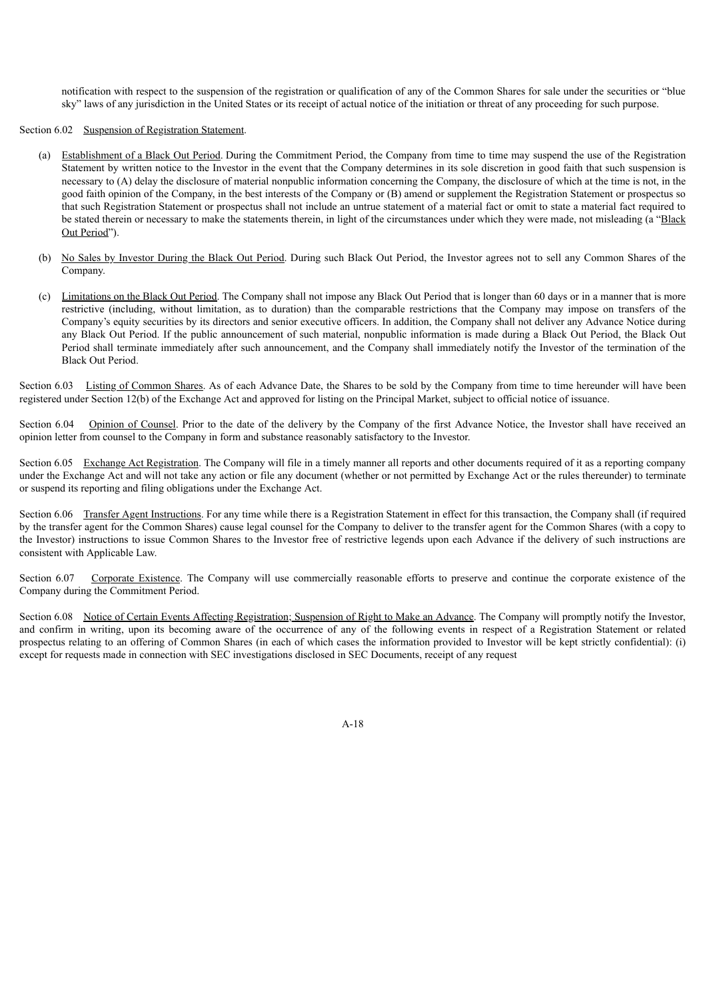notification with respect to the suspension of the registration or qualification of any of the Common Shares for sale under the securities or "blue sky" laws of any jurisdiction in the United States or its receipt of actual notice of the initiation or threat of any proceeding for such purpose.

## Section 6.02 Suspension of Registration Statement.

- (a) Establishment of a Black Out Period. During the Commitment Period, the Company from time to time may suspend the use of the Registration Statement by written notice to the Investor in the event that the Company determines in its sole discretion in good faith that such suspension is necessary to (A) delay the disclosure of material nonpublic information concerning the Company, the disclosure of which at the time is not, in the good faith opinion of the Company, in the best interests of the Company or (B) amend or supplement the Registration Statement or prospectus so that such Registration Statement or prospectus shall not include an untrue statement of a material fact or omit to state a material fact required to be stated therein or necessary to make the statements therein, in light of the circumstances under which they were made, not misleading (a "Black Out Period").
- (b) No Sales by Investor During the Black Out Period. During such Black Out Period, the Investor agrees not to sell any Common Shares of the Company.
- (c) Limitations on the Black Out Period. The Company shall not impose any Black Out Period that is longer than 60 days or in a manner that is more restrictive (including, without limitation, as to duration) than the comparable restrictions that the Company may impose on transfers of the Company's equity securities by its directors and senior executive officers. In addition, the Company shall not deliver any Advance Notice during any Black Out Period. If the public announcement of such material, nonpublic information is made during a Black Out Period, the Black Out Period shall terminate immediately after such announcement, and the Company shall immediately notify the Investor of the termination of the Black Out Period.

Section 6.03 Listing of Common Shares. As of each Advance Date, the Shares to be sold by the Company from time to time hereunder will have been registered under Section 12(b) of the Exchange Act and approved for listing on the Principal Market, subject to official notice of issuance.

Section 6.04 Opinion of Counsel. Prior to the date of the delivery by the Company of the first Advance Notice, the Investor shall have received an opinion letter from counsel to the Company in form and substance reasonably satisfactory to the Investor.

Section 6.05 Exchange Act Registration. The Company will file in a timely manner all reports and other documents required of it as a reporting company under the Exchange Act and will not take any action or file any document (whether or not permitted by Exchange Act or the rules thereunder) to terminate or suspend its reporting and filing obligations under the Exchange Act.

Section 6.06 Transfer Agent Instructions. For any time while there is a Registration Statement in effect for this transaction, the Company shall (if required by the transfer agent for the Common Shares) cause legal counsel for the Company to deliver to the transfer agent for the Common Shares (with a copy to the Investor) instructions to issue Common Shares to the Investor free of restrictive legends upon each Advance if the delivery of such instructions are consistent with Applicable Law.

Section 6.07 Corporate Existence. The Company will use commercially reasonable efforts to preserve and continue the corporate existence of the Company during the Commitment Period.

Section 6.08 Notice of Certain Events Affecting Registration; Suspension of Right to Make an Advance. The Company will promptly notify the Investor, and confirm in writing, upon its becoming aware of the occurrence of any of the following events in respect of a Registration Statement or related prospectus relating to an offering of Common Shares (in each of which cases the information provided to Investor will be kept strictly confidential): (i) except for requests made in connection with SEC investigations disclosed in SEC Documents, receipt of any request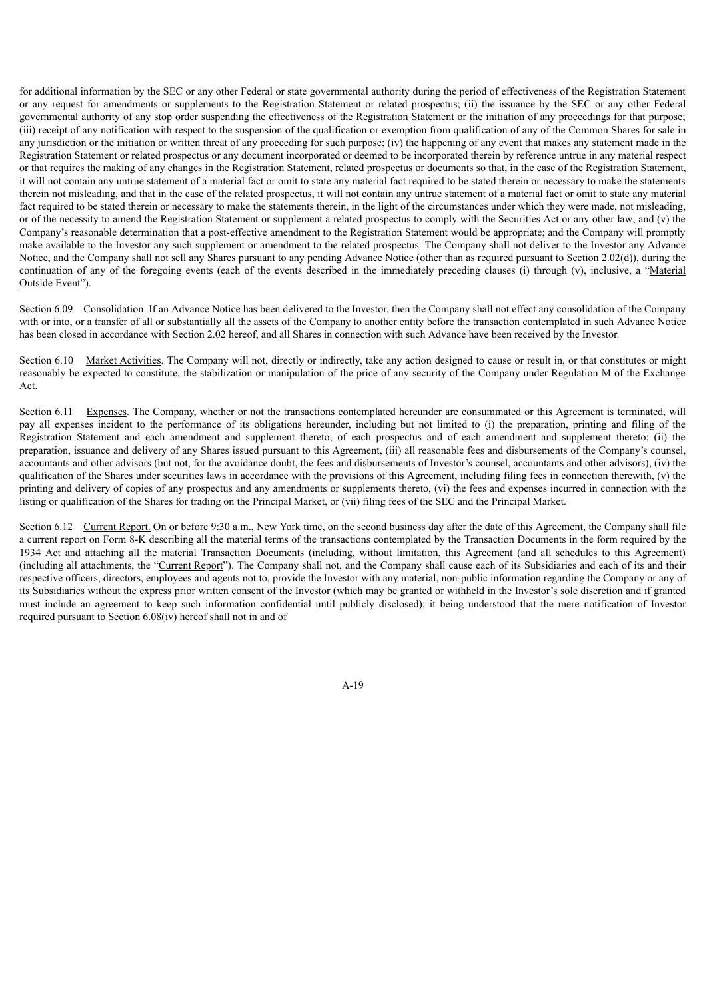for additional information by the SEC or any other Federal or state governmental authority during the period of effectiveness of the Registration Statement or any request for amendments or supplements to the Registration Statement or related prospectus; (ii) the issuance by the SEC or any other Federal governmental authority of any stop order suspending the effectiveness of the Registration Statement or the initiation of any proceedings for that purpose; (iii) receipt of any notification with respect to the suspension of the qualification or exemption from qualification of any of the Common Shares for sale in any jurisdiction or the initiation or written threat of any proceeding for such purpose; (iv) the happening of any event that makes any statement made in the Registration Statement or related prospectus or any document incorporated or deemed to be incorporated therein by reference untrue in any material respect or that requires the making of any changes in the Registration Statement, related prospectus or documents so that, in the case of the Registration Statement, it will not contain any untrue statement of a material fact or omit to state any material fact required to be stated therein or necessary to make the statements therein not misleading, and that in the case of the related prospectus, it will not contain any untrue statement of a material fact or omit to state any material fact required to be stated therein or necessary to make the statements therein, in the light of the circumstances under which they were made, not misleading, or of the necessity to amend the Registration Statement or supplement a related prospectus to comply with the Securities Act or any other law; and (v) the Company's reasonable determination that a post-effective amendment to the Registration Statement would be appropriate; and the Company will promptly make available to the Investor any such supplement or amendment to the related prospectus. The Company shall not deliver to the Investor any Advance Notice, and the Company shall not sell any Shares pursuant to any pending Advance Notice (other than as required pursuant to Section 2.02(d)), during the continuation of any of the foregoing events (each of the events described in the immediately preceding clauses (i) through (v), inclusive, a "Material Outside Event").

Section 6.09 Consolidation. If an Advance Notice has been delivered to the Investor, then the Company shall not effect any consolidation of the Company with or into, or a transfer of all or substantially all the assets of the Company to another entity before the transaction contemplated in such Advance Notice has been closed in accordance with Section 2.02 hereof, and all Shares in connection with such Advance have been received by the Investor.

Section 6.10 Market Activities. The Company will not, directly or indirectly, take any action designed to cause or result in, or that constitutes or might reasonably be expected to constitute, the stabilization or manipulation of the price of any security of the Company under Regulation M of the Exchange Act.

Section 6.11 Expenses. The Company, whether or not the transactions contemplated hereunder are consummated or this Agreement is terminated, will pay all expenses incident to the performance of its obligations hereunder, including but not limited to (i) the preparation, printing and filing of the Registration Statement and each amendment and supplement thereto, of each prospectus and of each amendment and supplement thereto; (ii) the preparation, issuance and delivery of any Shares issued pursuant to this Agreement, (iii) all reasonable fees and disbursements of the Company's counsel, accountants and other advisors (but not, for the avoidance doubt, the fees and disbursements of Investor's counsel, accountants and other advisors), (iv) the qualification of the Shares under securities laws in accordance with the provisions of this Agreement, including filing fees in connection therewith, (v) the printing and delivery of copies of any prospectus and any amendments or supplements thereto, (vi) the fees and expenses incurred in connection with the listing or qualification of the Shares for trading on the Principal Market, or (vii) filing fees of the SEC and the Principal Market.

Section 6.12 Current Report. On or before 9:30 a.m., New York time, on the second business day after the date of this Agreement, the Company shall file a current report on Form 8-K describing all the material terms of the transactions contemplated by the Transaction Documents in the form required by the 1934 Act and attaching all the material Transaction Documents (including, without limitation, this Agreement (and all schedules to this Agreement) (including all attachments, the "Current Report"). The Company shall not, and the Company shall cause each of its Subsidiaries and each of its and their respective officers, directors, employees and agents not to, provide the Investor with any material, non-public information regarding the Company or any of its Subsidiaries without the express prior written consent of the Investor (which may be granted or withheld in the Investor's sole discretion and if granted must include an agreement to keep such information confidential until publicly disclosed); it being understood that the mere notification of Investor required pursuant to Section 6.08(iv) hereof shall not in and of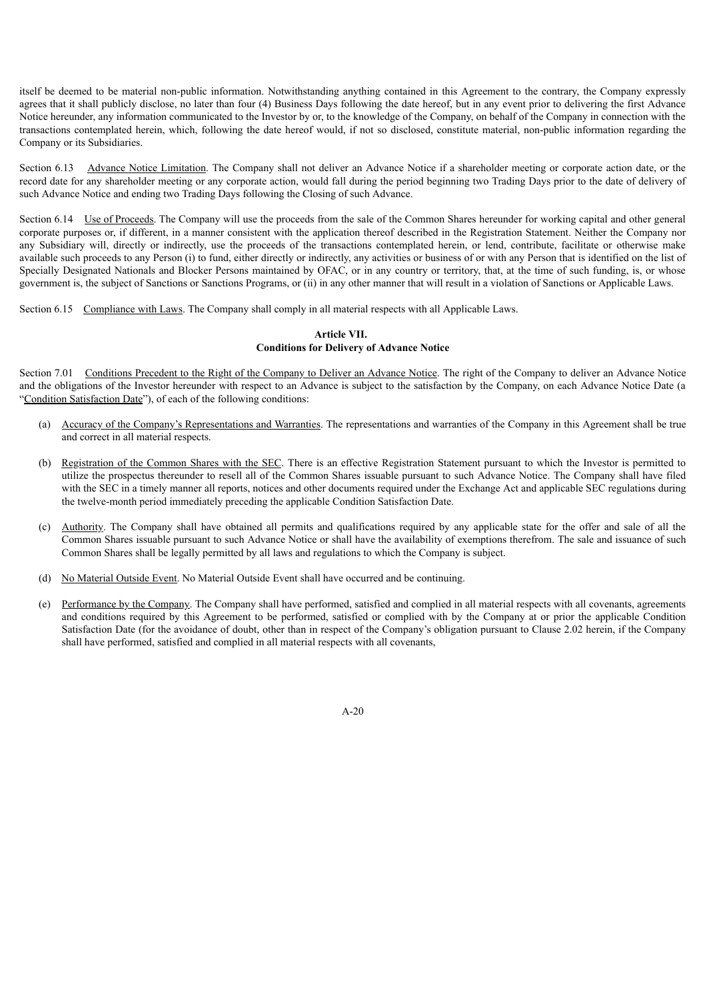itself be deemed to be material non-public information. Notwithstanding anything contained in this Agreement to the contrary, the Company expressly agrees that it shall publicly disclose, no later than four (4) Business Days following the date hereof, but in any event prior to delivering the first Advance Notice hereunder, any information communicated to the Investor by or, to the knowledge of the Company, on behalf of the Company in connection with the transactions contemplated herein, which, following the date hereof would, if not so disclosed, constitute material, non-public information regarding the Company or its Subsidiaries.

Section 6.13 Advance Notice Limitation. The Company shall not deliver an Advance Notice if a shareholder meeting or corporate action date, or the record date for any shareholder meeting or any corporate action, would fall during the period beginning two Trading Days prior to the date of delivery of such Advance Notice and ending two Trading Days following the Closing of such Advance.

Section 6.14 Use of Proceeds. The Company will use the proceeds from the sale of the Common Shares hereunder for working capital and other general corporate purposes or, if different, in a manner consistent with the application thereof described in the Registration Statement. Neither the Company nor any Subsidiary will, directly or indirectly, use the proceeds of the transactions contemplated herein, or lend, contribute, facilitate or otherwise make available such proceeds to any Person (i) to fund, either directly or indirectly, any activities or business of or with any Person that is identified on the list of Specially Designated Nationals and Blocker Persons maintained by OFAC, or in any country or territory, that, at the time of such funding, is, or whose government is, the subject of Sanctions or Sanctions Programs, or (ii) in any other manner that will result in a violation of Sanctions or Applicable Laws.

Section 6.15 Compliance with Laws. The Company shall comply in all material respects with all Applicable Laws.

# **Article VII. Conditions for Delivery of Advance Notice**

Section 7.01 Conditions Precedent to the Right of the Company to Deliver an Advance Notice. The right of the Company to deliver an Advance Notice and the obligations of the Investor hereunder with respect to an Advance is subject to the satisfaction by the Company, on each Advance Notice Date (a "Condition Satisfaction Date"), of each of the following conditions:

- (a) Accuracy of the Company's Representations and Warranties. The representations and warranties of the Company in this Agreement shall be true and correct in all material respects.
- (b) Registration of the Common Shares with the SEC. There is an effective Registration Statement pursuant to which the Investor is permitted to utilize the prospectus thereunder to resell all of the Common Shares issuable pursuant to such Advance Notice. The Company shall have filed with the SEC in a timely manner all reports, notices and other documents required under the Exchange Act and applicable SEC regulations during the twelve-month period immediately preceding the applicable Condition Satisfaction Date.
- (c) Authority. The Company shall have obtained all permits and qualifications required by any applicable state for the offer and sale of all the Common Shares issuable pursuant to such Advance Notice or shall have the availability of exemptions therefrom. The sale and issuance of such Common Shares shall be legally permitted by all laws and regulations to which the Company is subject.
- (d) No Material Outside Event. No Material Outside Event shall have occurred and be continuing.
- (e) Performance by the Company. The Company shall have performed, satisfied and complied in all material respects with all covenants, agreements and conditions required by this Agreement to be performed, satisfied or complied with by the Company at or prior the applicable Condition Satisfaction Date (for the avoidance of doubt, other than in respect of the Company's obligation pursuant to Clause 2.02 herein, if the Company shall have performed, satisfied and complied in all material respects with all covenants,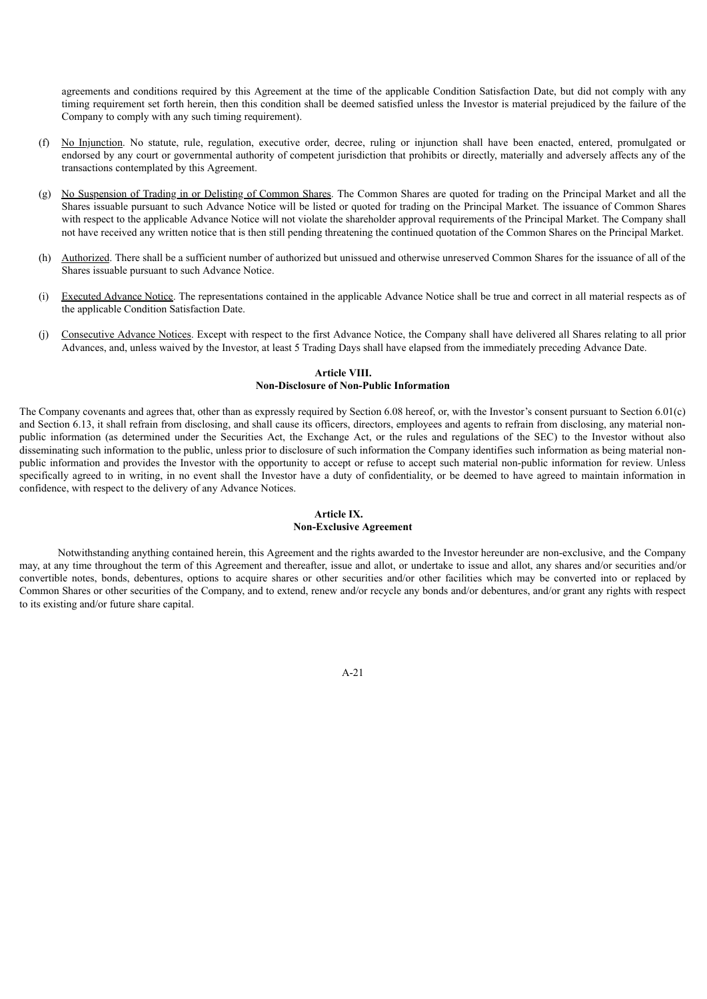agreements and conditions required by this Agreement at the time of the applicable Condition Satisfaction Date, but did not comply with any timing requirement set forth herein, then this condition shall be deemed satisfied unless the Investor is material prejudiced by the failure of the Company to comply with any such timing requirement).

- (f) No Injunction. No statute, rule, regulation, executive order, decree, ruling or injunction shall have been enacted, entered, promulgated or endorsed by any court or governmental authority of competent jurisdiction that prohibits or directly, materially and adversely affects any of the transactions contemplated by this Agreement.
- (g) No Suspension of Trading in or Delisting of Common Shares. The Common Shares are quoted for trading on the Principal Market and all the Shares issuable pursuant to such Advance Notice will be listed or quoted for trading on the Principal Market. The issuance of Common Shares with respect to the applicable Advance Notice will not violate the shareholder approval requirements of the Principal Market. The Company shall not have received any written notice that is then still pending threatening the continued quotation of the Common Shares on the Principal Market.
- (h) Authorized. There shall be a sufficient number of authorized but unissued and otherwise unreserved Common Shares for the issuance of all of the Shares issuable pursuant to such Advance Notice.
- (i) Executed Advance Notice. The representations contained in the applicable Advance Notice shall be true and correct in all material respects as of the applicable Condition Satisfaction Date.
- (j) Consecutive Advance Notices. Except with respect to the first Advance Notice, the Company shall have delivered all Shares relating to all prior Advances, and, unless waived by the Investor, at least 5 Trading Days shall have elapsed from the immediately preceding Advance Date.

# **Article VIII. Non-Disclosure of Non-Public Information**

The Company covenants and agrees that, other than as expressly required by Section 6.08 hereof, or, with the Investor's consent pursuant to Section 6.01(c) and Section 6.13, it shall refrain from disclosing, and shall cause its officers, directors, employees and agents to refrain from disclosing, any material nonpublic information (as determined under the Securities Act, the Exchange Act, or the rules and regulations of the SEC) to the Investor without also disseminating such information to the public, unless prior to disclosure of such information the Company identifies such information as being material nonpublic information and provides the Investor with the opportunity to accept or refuse to accept such material non-public information for review. Unless specifically agreed to in writing, in no event shall the Investor have a duty of confidentiality, or be deemed to have agreed to maintain information in confidence, with respect to the delivery of any Advance Notices.

# **Article IX. Non-Exclusive Agreement**

Notwithstanding anything contained herein, this Agreement and the rights awarded to the Investor hereunder are non-exclusive, and the Company may, at any time throughout the term of this Agreement and thereafter, issue and allot, or undertake to issue and allot, any shares and/or securities and/or convertible notes, bonds, debentures, options to acquire shares or other securities and/or other facilities which may be converted into or replaced by Common Shares or other securities of the Company, and to extend, renew and/or recycle any bonds and/or debentures, and/or grant any rights with respect to its existing and/or future share capital.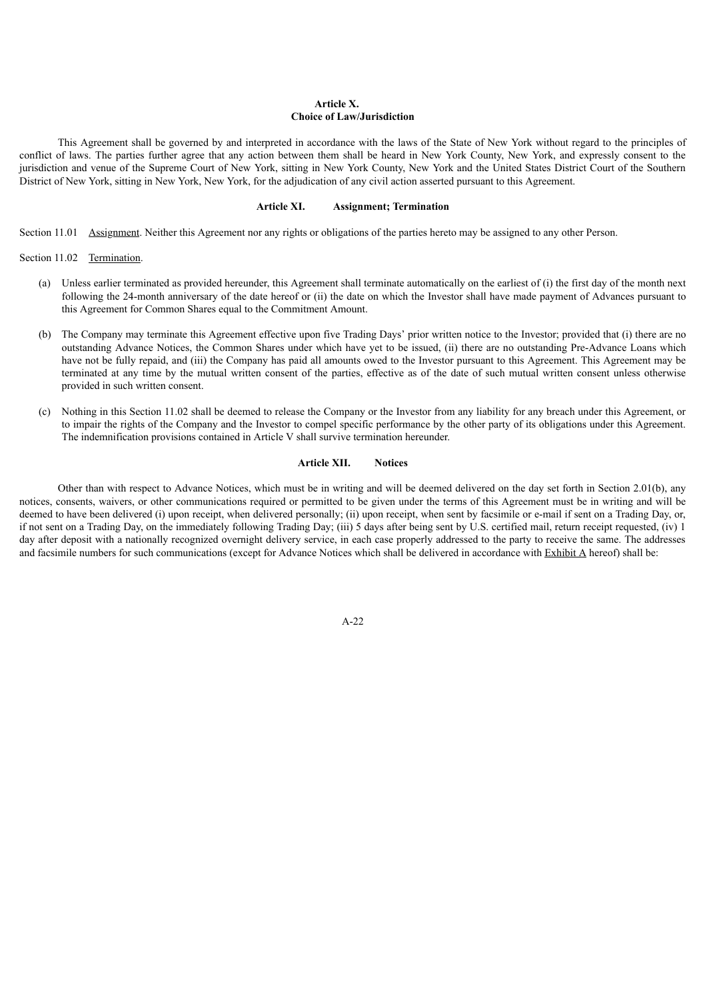# **Article X. Choice of Law/Jurisdiction**

This Agreement shall be governed by and interpreted in accordance with the laws of the State of New York without regard to the principles of conflict of laws. The parties further agree that any action between them shall be heard in New York County, New York, and expressly consent to the jurisdiction and venue of the Supreme Court of New York, sitting in New York County, New York and the United States District Court of the Southern District of New York, sitting in New York, New York, for the adjudication of any civil action asserted pursuant to this Agreement.

# **Article XI. Assignment; Termination**

Section 11.01 Assignment. Neither this Agreement nor any rights or obligations of the parties hereto may be assigned to any other Person.

Section 11.02 Termination.

- (a) Unless earlier terminated as provided hereunder, this Agreement shall terminate automatically on the earliest of (i) the first day of the month next following the 24-month anniversary of the date hereof or (ii) the date on which the Investor shall have made payment of Advances pursuant to this Agreement for Common Shares equal to the Commitment Amount.
- (b) The Company may terminate this Agreement effective upon five Trading Days' prior written notice to the Investor; provided that (i) there are no outstanding Advance Notices, the Common Shares under which have yet to be issued, (ii) there are no outstanding Pre-Advance Loans which have not be fully repaid, and (iii) the Company has paid all amounts owed to the Investor pursuant to this Agreement. This Agreement may be terminated at any time by the mutual written consent of the parties, effective as of the date of such mutual written consent unless otherwise provided in such written consent.
- (c) Nothing in this Section 11.02 shall be deemed to release the Company or the Investor from any liability for any breach under this Agreement, or to impair the rights of the Company and the Investor to compel specific performance by the other party of its obligations under this Agreement. The indemnification provisions contained in Article V shall survive termination hereunder.

#### **Article XII. Notices**

Other than with respect to Advance Notices, which must be in writing and will be deemed delivered on the day set forth in Section 2.01(b), any notices, consents, waivers, or other communications required or permitted to be given under the terms of this Agreement must be in writing and will be deemed to have been delivered (i) upon receipt, when delivered personally; (ii) upon receipt, when sent by facsimile or e-mail if sent on a Trading Day, or, if not sent on a Trading Day, on the immediately following Trading Day; (iii) 5 days after being sent by U.S. certified mail, return receipt requested, (iv) 1 day after deposit with a nationally recognized overnight delivery service, in each case properly addressed to the party to receive the same. The addresses and facsimile numbers for such communications (except for Advance Notices which shall be delivered in accordance with Exhibit A hereof) shall be: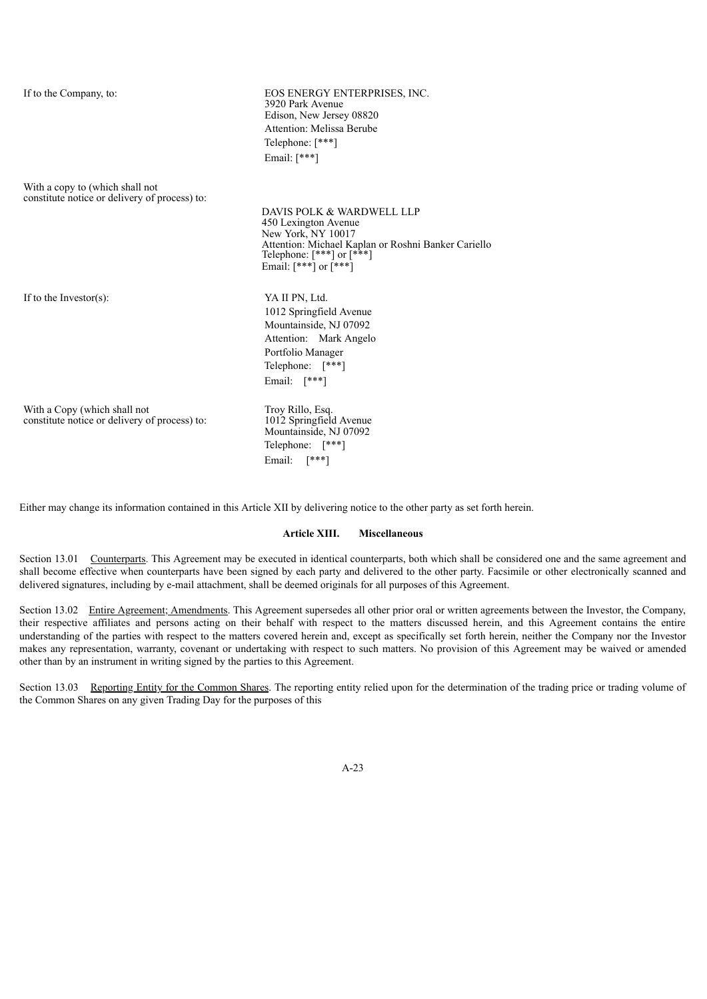If to the Company, to: EOS ENERGY ENTERPRISES, INC. 3920 Park Avenue Edison, New Jersey 08820 Attention: Melissa Berube Telephone: [\*\*\*] Email: [\*\*\*]

With a copy to (which shall not constitute notice or delivery of process) to:

> DAVIS POLK & WARDWELL LLP 450 Lexington Avenue New York, NY 10017 Attention: Michael Kaplan or Roshni Banker Cariello Telephone: [\*\*\*] or [\*\*\*] Email:  $[***]$  or  $[***]$

If to the Investor(s): YA II PN, Ltd.

1012 Springfield Avenue Mountainside, NJ 07092 Attention: Mark Angelo Portfolio Manager Telephone: [\*\*\*] Email: [\*\*\*]

With a Copy (which shall not constitute notice or delivery of process) to:

Troy Rillo, Esq. 1012 Springfield Avenue Mountainside, NJ 07092 Telephone: [\*\*\*] Email: [\*\*\*]

Either may change its information contained in this Article XII by delivering notice to the other party as set forth herein.

#### **Article XIII. Miscellaneous**

Section 13.01 Counterparts. This Agreement may be executed in identical counterparts, both which shall be considered one and the same agreement and shall become effective when counterparts have been signed by each party and delivered to the other party. Facsimile or other electronically scanned and delivered signatures, including by e-mail attachment, shall be deemed originals for all purposes of this Agreement.

Section 13.02 Entire Agreement; Amendments. This Agreement supersedes all other prior oral or written agreements between the Investor, the Company, their respective affiliates and persons acting on their behalf with respect to the matters discussed herein, and this Agreement contains the entire understanding of the parties with respect to the matters covered herein and, except as specifically set forth herein, neither the Company nor the Investor makes any representation, warranty, covenant or undertaking with respect to such matters. No provision of this Agreement may be waived or amended other than by an instrument in writing signed by the parties to this Agreement.

Section 13.03 Reporting Entity for the Common Shares. The reporting entity relied upon for the determination of the trading price or trading volume of the Common Shares on any given Trading Day for the purposes of this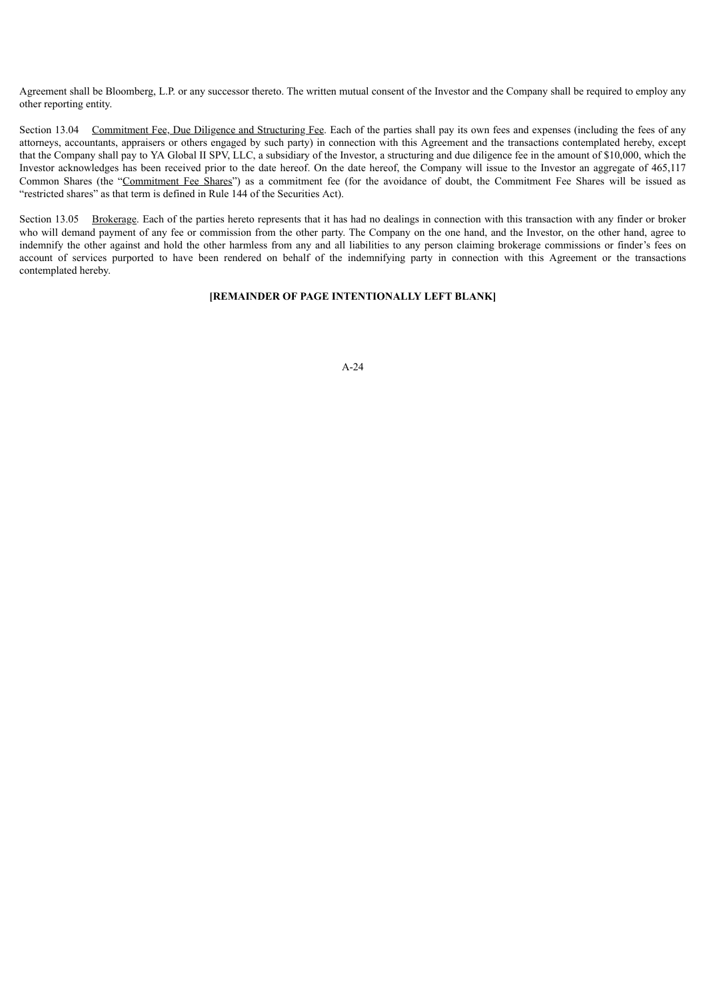Agreement shall be Bloomberg, L.P. or any successor thereto. The written mutual consent of the Investor and the Company shall be required to employ any other reporting entity.

Section 13.04 Commitment Fee, Due Diligence and Structuring Fee. Each of the parties shall pay its own fees and expenses (including the fees of any attorneys, accountants, appraisers or others engaged by such party) in connection with this Agreement and the transactions contemplated hereby, except that the Company shall pay to YA Global II SPV, LLC, a subsidiary of the Investor, a structuring and due diligence fee in the amount of \$10,000, which the Investor acknowledges has been received prior to the date hereof. On the date hereof, the Company will issue to the Investor an aggregate of 465,117 Common Shares (the "Commitment Fee Shares") as a commitment fee (for the avoidance of doubt, the Commitment Fee Shares will be issued as "restricted shares" as that term is defined in Rule 144 of the Securities Act).

Section 13.05 Brokerage. Each of the parties hereto represents that it has had no dealings in connection with this transaction with any finder or broker who will demand payment of any fee or commission from the other party. The Company on the one hand, and the Investor, on the other hand, agree to indemnify the other against and hold the other harmless from any and all liabilities to any person claiming brokerage commissions or finder's fees on account of services purported to have been rendered on behalf of the indemnifying party in connection with this Agreement or the transactions contemplated hereby.

## **[REMAINDER OF PAGE INTENTIONALLY LEFT BLANK]**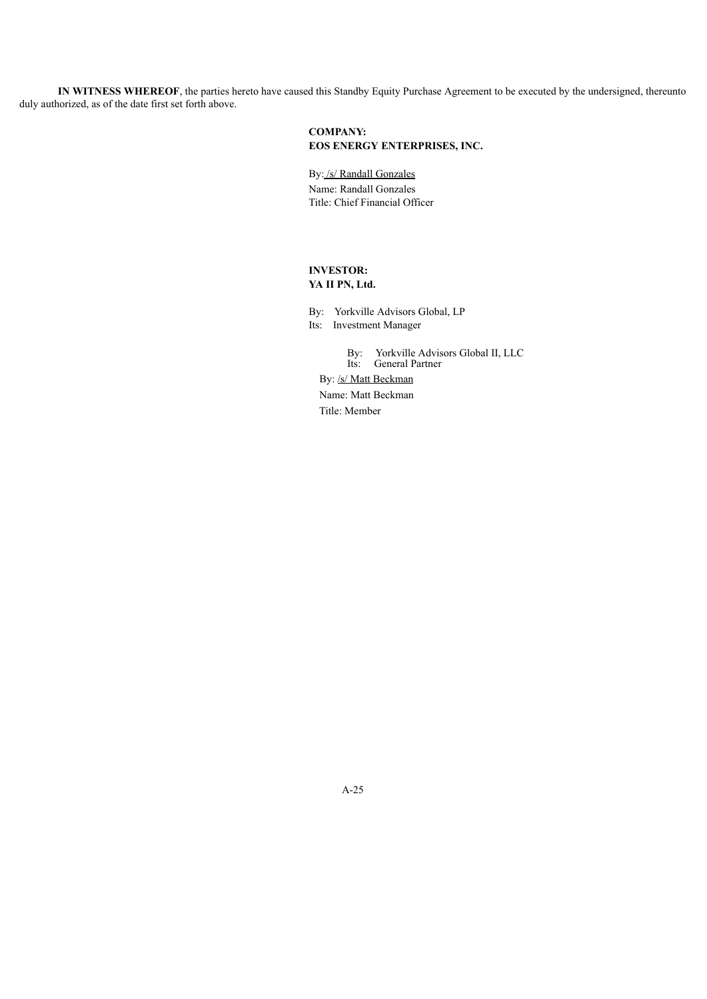**IN WITNESS WHEREOF**, the parties hereto have caused this Standby Equity Purchase Agreement to be executed by the undersigned, thereunto duly authorized, as of the date first set forth above.

# **COMPANY: EOS ENERGY ENTERPRISES, INC.**

By: /s/ Randall Gonzales Name: Randall Gonzales Title: Chief Financial Officer

# **INVESTOR: YA II PN, Ltd.**

By: Yorkville Advisors Global, LP Its: Investment Manager

By: Yorkville Advisors Global II, LLC Its: General Partner By: /s/ Matt Beckman Name: Matt Beckman Title: Member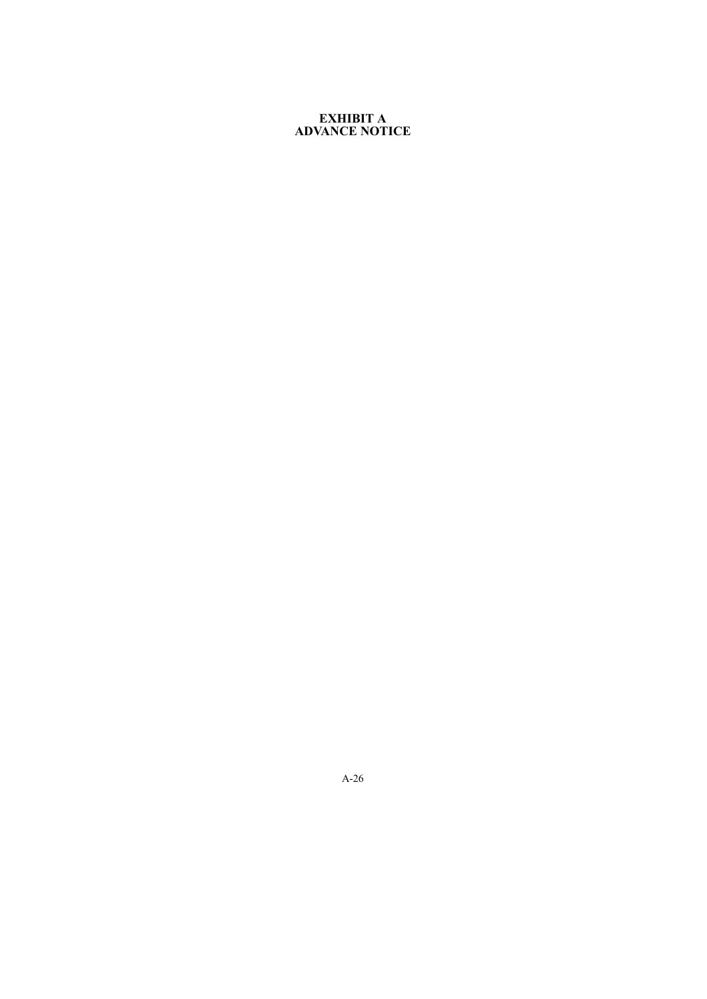# **EXHIBIT A ADVANCE NOTICE**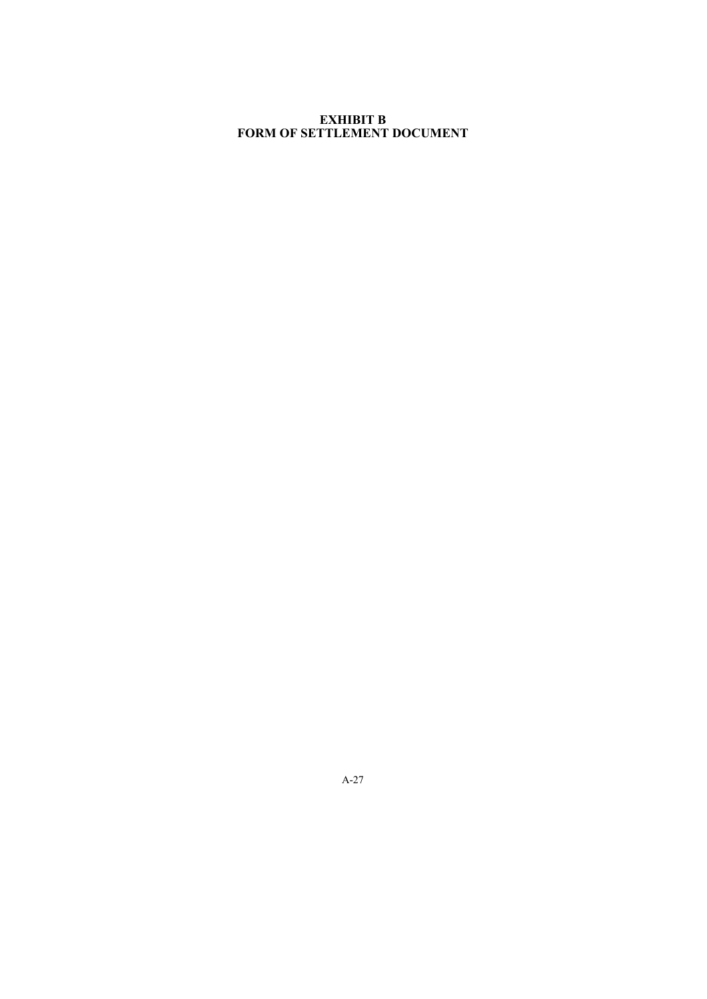# **EXHIBIT B FORM OF SETTLEMENT DOCUMENT**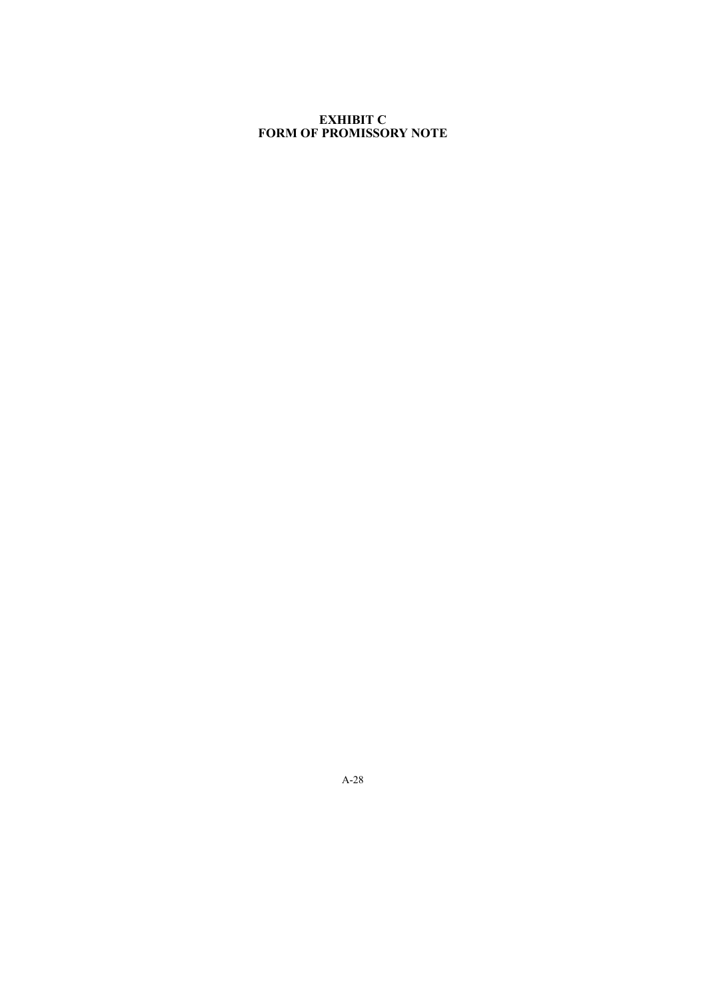# **EXHIBIT C FORM OF PROMISSORY NOTE**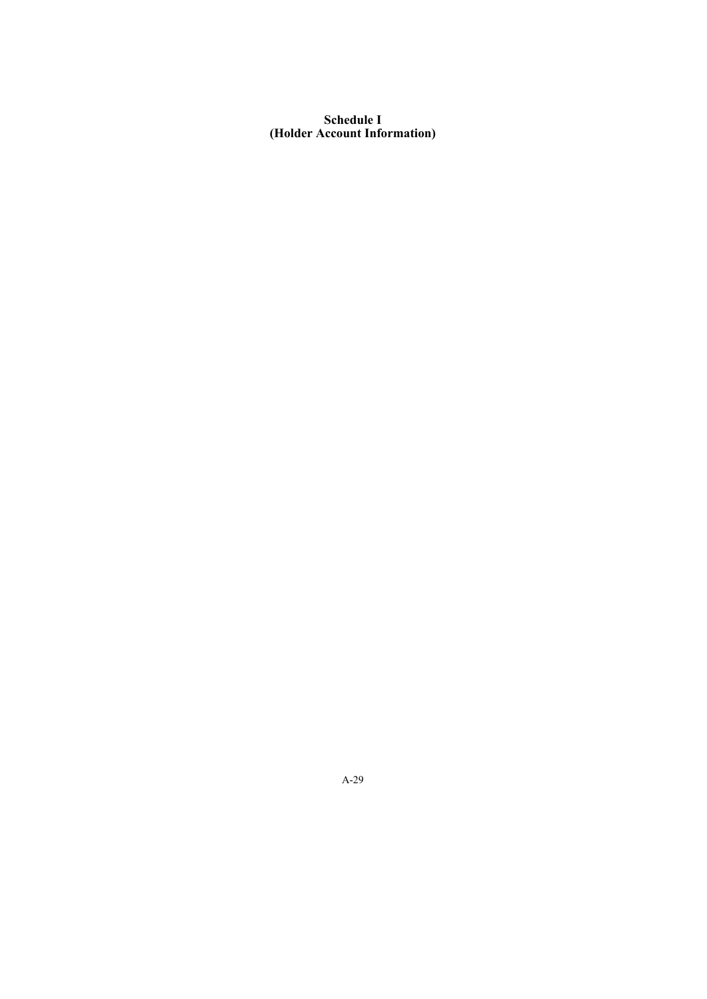# **Schedule I (Holder Account Information)**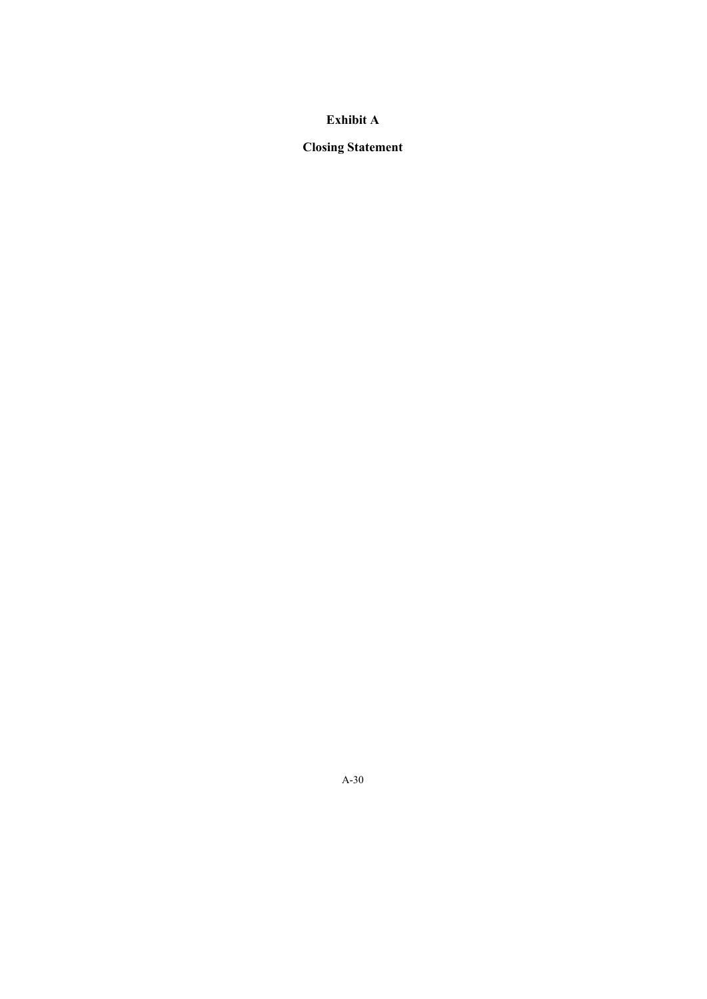# **Exhibit A**

# **Closing Statement**